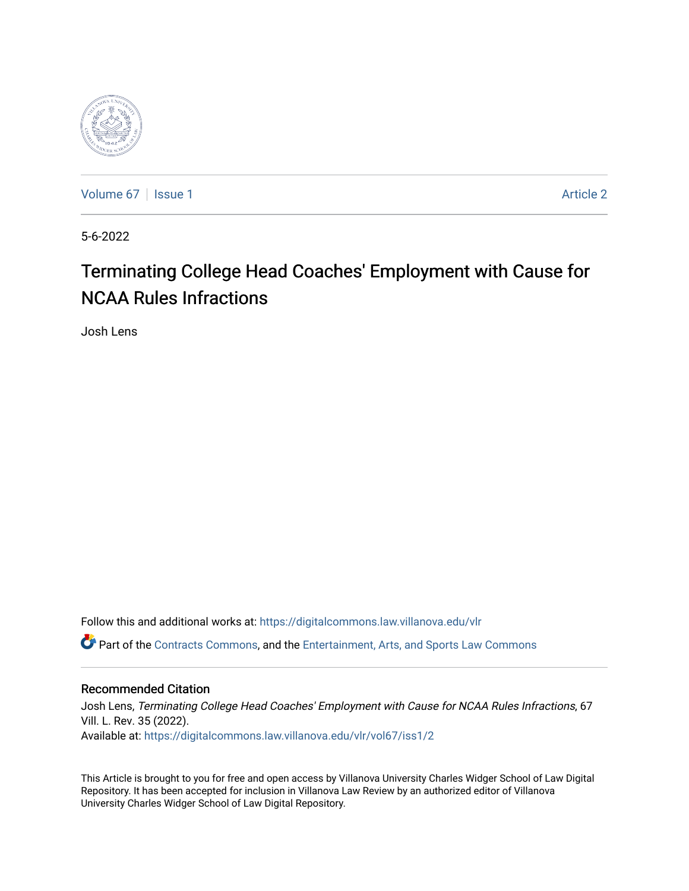

[Volume 67](https://digitalcommons.law.villanova.edu/vlr/vol67) | [Issue 1](https://digitalcommons.law.villanova.edu/vlr/vol67/iss1) Article 2

5-6-2022

# Terminating College Head Coaches' Employment with Cause for NCAA Rules Infractions

Josh Lens

Follow this and additional works at: [https://digitalcommons.law.villanova.edu/vlr](https://digitalcommons.law.villanova.edu/vlr?utm_source=digitalcommons.law.villanova.edu%2Fvlr%2Fvol67%2Fiss1%2F2&utm_medium=PDF&utm_campaign=PDFCoverPages)

Part of the [Contracts Commons](http://network.bepress.com/hgg/discipline/591?utm_source=digitalcommons.law.villanova.edu%2Fvlr%2Fvol67%2Fiss1%2F2&utm_medium=PDF&utm_campaign=PDFCoverPages), and the [Entertainment, Arts, and Sports Law Commons](http://network.bepress.com/hgg/discipline/893?utm_source=digitalcommons.law.villanova.edu%2Fvlr%2Fvol67%2Fiss1%2F2&utm_medium=PDF&utm_campaign=PDFCoverPages)

# Recommended Citation

Josh Lens, Terminating College Head Coaches' Employment with Cause for NCAA Rules Infractions, 67 Vill. L. Rev. 35 (2022). Available at: [https://digitalcommons.law.villanova.edu/vlr/vol67/iss1/2](https://digitalcommons.law.villanova.edu/vlr/vol67/iss1/2?utm_source=digitalcommons.law.villanova.edu%2Fvlr%2Fvol67%2Fiss1%2F2&utm_medium=PDF&utm_campaign=PDFCoverPages) 

This Article is brought to you for free and open access by Villanova University Charles Widger School of Law Digital Repository. It has been accepted for inclusion in Villanova Law Review by an authorized editor of Villanova University Charles Widger School of Law Digital Repository.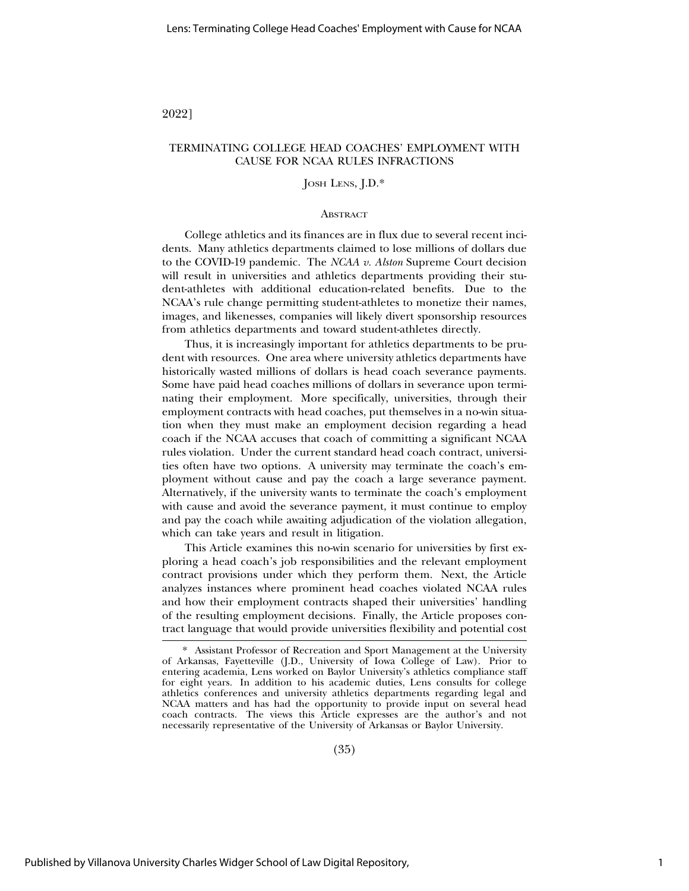#### 2022]

### TERMINATING COLLEGE HEAD COACHES' EMPLOYMENT WITH CAUSE FOR NCAA RULES INFRACTIONS

# JOSH LENS, J.D.\*

#### **ABSTRACT**

College athletics and its finances are in flux due to several recent incidents. Many athletics departments claimed to lose millions of dollars due to the COVID-19 pandemic. The *NCAA v. Alston* Supreme Court decision will result in universities and athletics departments providing their student-athletes with additional education-related benefits. Due to the NCAA's rule change permitting student-athletes to monetize their names, images, and likenesses, companies will likely divert sponsorship resources from athletics departments and toward student-athletes directly.

Thus, it is increasingly important for athletics departments to be prudent with resources. One area where university athletics departments have historically wasted millions of dollars is head coach severance payments. Some have paid head coaches millions of dollars in severance upon terminating their employment. More specifically, universities, through their employment contracts with head coaches, put themselves in a no-win situation when they must make an employment decision regarding a head coach if the NCAA accuses that coach of committing a significant NCAA rules violation. Under the current standard head coach contract, universities often have two options. A university may terminate the coach's employment without cause and pay the coach a large severance payment. Alternatively, if the university wants to terminate the coach's employment with cause and avoid the severance payment, it must continue to employ and pay the coach while awaiting adjudication of the violation allegation, which can take years and result in litigation.

This Article examines this no-win scenario for universities by first exploring a head coach's job responsibilities and the relevant employment contract provisions under which they perform them. Next, the Article analyzes instances where prominent head coaches violated NCAA rules and how their employment contracts shaped their universities' handling of the resulting employment decisions. Finally, the Article proposes contract language that would provide universities flexibility and potential cost

(35)

<sup>\*</sup> Assistant Professor of Recreation and Sport Management at the University of Arkansas, Fayetteville (J.D., University of Iowa College of Law). Prior to entering academia, Lens worked on Baylor University's athletics compliance staff for eight years. In addition to his academic duties, Lens consults for college athletics conferences and university athletics departments regarding legal and NCAA matters and has had the opportunity to provide input on several head coach contracts. The views this Article expresses are the author's and not necessarily representative of the University of Arkansas or Baylor University.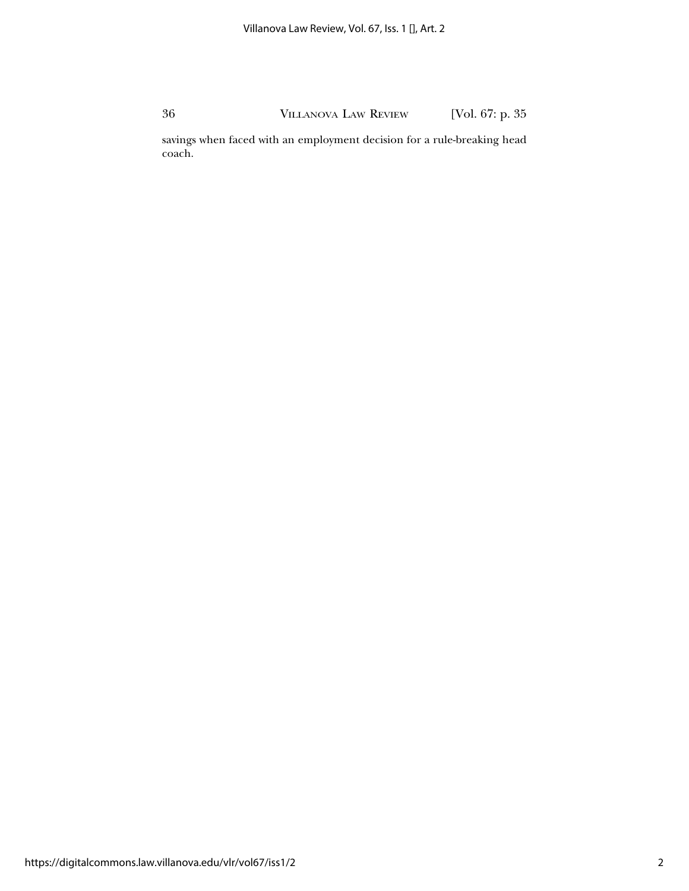savings when faced with an employment decision for a rule-breaking head coach.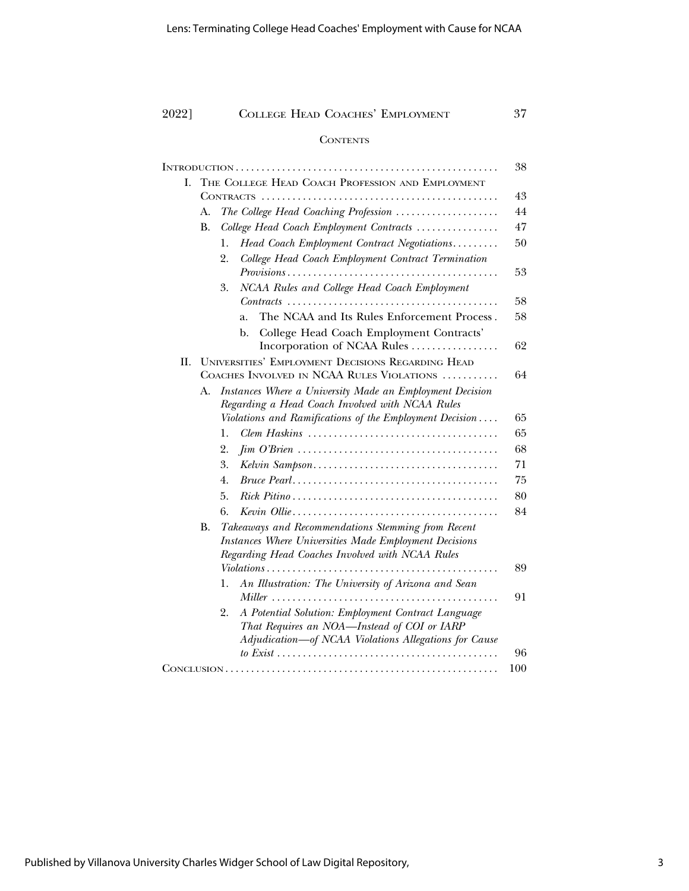### **CONTENTS**

|    |                                                   |                                                                                                        | 38  |
|----|---------------------------------------------------|--------------------------------------------------------------------------------------------------------|-----|
| Ι. | THE COLLEGE HEAD COACH PROFESSION AND EMPLOYMENT  |                                                                                                        |     |
|    | 43                                                |                                                                                                        |     |
|    | А.                                                | The College Head Coaching Profession                                                                   | 44  |
|    | <b>B.</b>                                         | College Head Coach Employment Contracts                                                                | 47  |
|    |                                                   | Head Coach Employment Contract Negotiations<br>1.                                                      | 50  |
|    |                                                   | College Head Coach Employment Contract Termination<br>2.                                               |     |
|    |                                                   | $Provisions \dots \dots \dots \dots \dots \dots \dots \dots \dots \dots \dots \dots \dots \dots \dots$ | 53  |
|    |                                                   | NCAA Rules and College Head Coach Employment<br>3.                                                     |     |
|    |                                                   | $Contracts \ldots \ldots \ldots \ldots \ldots \ldots \ldots \ldots \ldots \ldots \ldots \ldots$        | 58  |
|    |                                                   | The NCAA and Its Rules Enforcement Process.<br>a.                                                      | 58  |
|    |                                                   | College Head Coach Employment Contracts'<br>b.                                                         |     |
|    |                                                   | Incorporation of NCAA Rules                                                                            | 62  |
| П. | UNIVERSITIES' EMPLOYMENT DECISIONS REGARDING HEAD |                                                                                                        |     |
|    | COACHES INVOLVED IN NCAA RULES VIOLATIONS         |                                                                                                        | 64  |
|    | А.                                                | Instances Where a University Made an Employment Decision                                               |     |
|    |                                                   | Regarding a Head Coach Involved with NCAA Rules                                                        |     |
|    |                                                   | Violations and Ramifications of the Employment Decision                                                | 65  |
|    |                                                   | Clem Haskins $\ldots, \ldots, \ldots, \ldots, \ldots, \ldots, \ldots, \ldots, \ldots$<br>1.            | 65  |
|    |                                                   | 2.                                                                                                     | 68  |
|    |                                                   | 3.                                                                                                     | 71  |
|    |                                                   | 4.                                                                                                     | 75  |
|    |                                                   | 5.                                                                                                     | 80  |
|    |                                                   | 6.                                                                                                     | 84  |
|    | В.                                                | Takeaways and Recommendations Stemming from Recent                                                     |     |
|    |                                                   | Instances Where Universities Made Employment Decisions                                                 |     |
|    |                                                   | Regarding Head Coaches Involved with NCAA Rules                                                        |     |
|    |                                                   | Violations                                                                                             | 89  |
|    |                                                   | An Illustration: The University of Arizona and Sean<br>1.                                              |     |
|    |                                                   |                                                                                                        | 91  |
|    |                                                   | A Potential Solution: Employment Contract Language<br>2.                                               |     |
|    |                                                   | That Requires an NOA-Instead of COI or IARP<br>Adjudication-of NCAA Violations Allegations for Cause   |     |
|    |                                                   |                                                                                                        | 96  |
|    |                                                   |                                                                                                        | 100 |
|    |                                                   |                                                                                                        |     |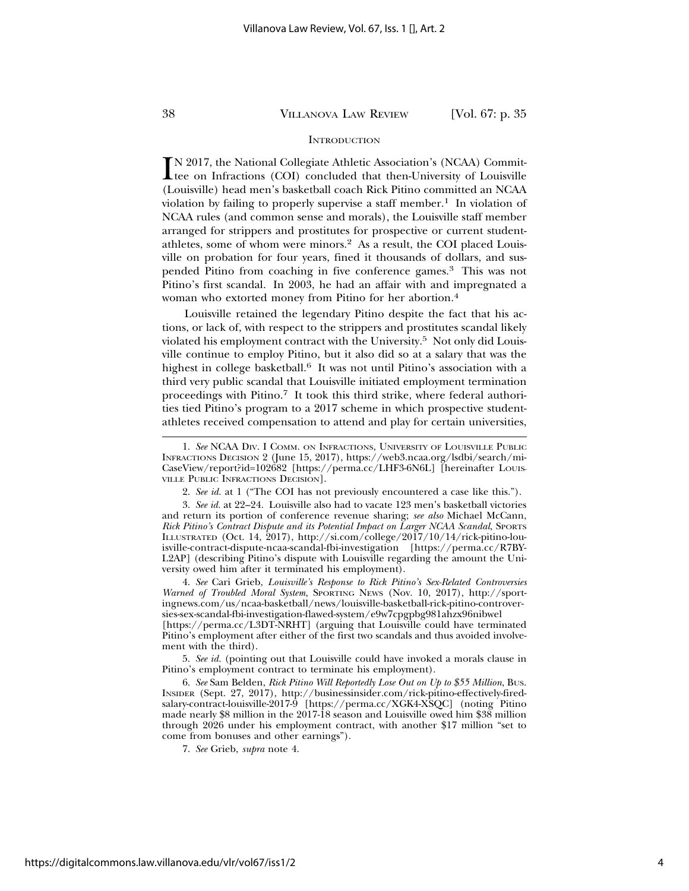#### **INTRODUCTION**

IN 2017, the National Collegiate Athletic Association's (NCAA) Commit-<br>tee on Infractions (COI) concluded that then-University of Louisville<br>(Louisville) had man's backathell agach Piek Piting committed on NCAA tee on Infractions (COI) concluded that then-University of Louisville (Louisville) head men's basketball coach Rick Pitino committed an NCAA violation by failing to properly supervise a staff member.<sup>1</sup> In violation of NCAA rules (and common sense and morals), the Louisville staff member arranged for strippers and prostitutes for prospective or current studentathletes, some of whom were minors.2 As a result, the COI placed Louisville on probation for four years, fined it thousands of dollars, and suspended Pitino from coaching in five conference games.3 This was not Pitino's first scandal. In 2003, he had an affair with and impregnated a woman who extorted money from Pitino for her abortion.4

Louisville retained the legendary Pitino despite the fact that his actions, or lack of, with respect to the strippers and prostitutes scandal likely violated his employment contract with the University.5 Not only did Louisville continue to employ Pitino, but it also did so at a salary that was the highest in college basketball.<sup>6</sup> It was not until Pitino's association with a third very public scandal that Louisville initiated employment termination proceedings with Pitino.7 It took this third strike, where federal authorities tied Pitino's program to a 2017 scheme in which prospective studentathletes received compensation to attend and play for certain universities,

4. *See* Cari Grieb, *Louisville's Response to Rick Pitino's Sex-Related Controversies Warned of Troubled Moral System*, SPORTING NEWS (Nov. 10, 2017), http://sportingnews.com/us/ncaa-basketball/news/louisville-basketball-rick-pitino-controversies-sex-scandal-fbi-investigation-flawed-system/e9w7cpgpbg981ahzx96nibwel [https://perma.cc/L3DT-NRHT] (arguing that Louisville could have terminated

Pitino's employment after either of the first two scandals and thus avoided involvement with the third).

5. *See id.* (pointing out that Louisville could have invoked a morals clause in Pitino's employment contract to terminate his employment).

6. *See* Sam Belden, *Rick Pitino Will Reportedly Lose Out on Up to \$55 Million*, BUS. INSIDER (Sept. 27, 2017), http://businessinsider.com/rick-pitino-effectively-firedsalary-contract-louisville-2017-9 [https://perma.cc/XGK4-XSQC] (noting Pitino made nearly \$8 million in the 2017-18 season and Louisville owed him \$38 million through 2026 under his employment contract, with another \$17 million "set to come from bonuses and other earnings").

7. *See* Grieb, *supra* note 4.

<sup>1.</sup> *See* NCAA DIV. I COMM. ON INFRACTIONS, UNIVERSITY OF LOUISVILLE PUBLIC INFRACTIONS DECISION 2 (June 15, 2017), https://web3.ncaa.org/lsdbi/search/mi-CaseView/report?id=102682 [https://perma.cc/LHF3-6N6L] [hereinafter LOUIS-VILLE PUBLIC INFRACTIONS DECISION].

<sup>2.</sup> *See id.* at 1 ("The COI has not previously encountered a case like this.").

<sup>3.</sup> *See id.* at 22–24. Louisville also had to vacate 123 men's basketball victories and return its portion of conference revenue sharing; *see also* Michael McCann, *Rick Pitino's Contract Dispute and its Potential Impact on Larger NCAA Scandal*, SPORTS ILLUSTRATED (Oct. 14, 2017), http://si.com/college/2017/10/14/rick-pitino-louisville-contract-dispute-ncaa-scandal-fbi-investigation [https://perma.cc/R7BY-L2AP] (describing Pitino's dispute with Louisville regarding the amount the University owed him after it terminated his employment).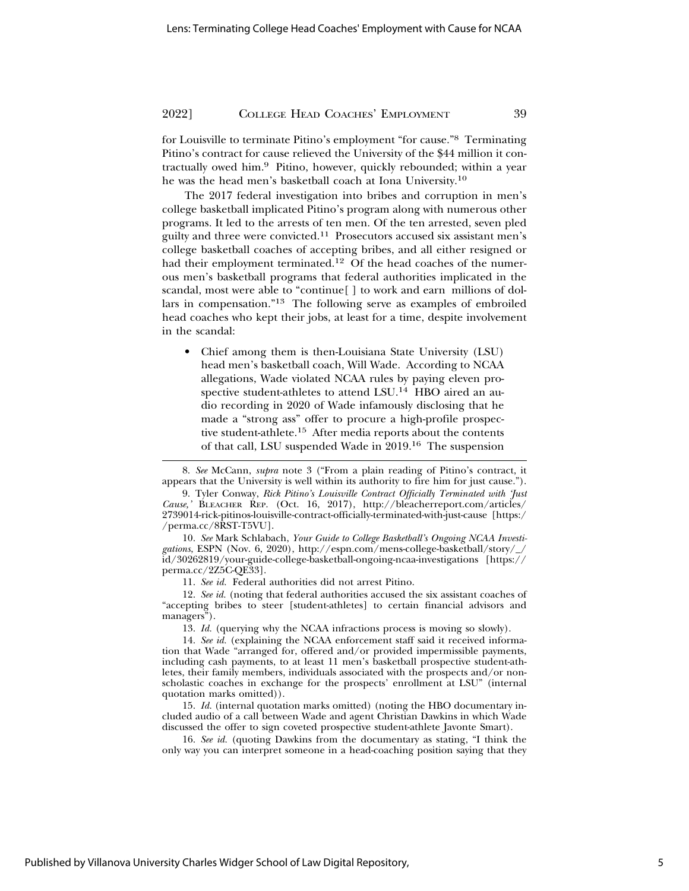for Louisville to terminate Pitino's employment "for cause."8 Terminating Pitino's contract for cause relieved the University of the \$44 million it contractually owed him.9 Pitino, however, quickly rebounded; within a year he was the head men's basketball coach at Iona University.10

The 2017 federal investigation into bribes and corruption in men's college basketball implicated Pitino's program along with numerous other programs. It led to the arrests of ten men. Of the ten arrested, seven pled guilty and three were convicted.11 Prosecutors accused six assistant men's college basketball coaches of accepting bribes, and all either resigned or had their employment terminated.<sup>12</sup> Of the head coaches of the numerous men's basketball programs that federal authorities implicated in the scandal, most were able to "continue[ ] to work and earn millions of dollars in compensation."13 The following serve as examples of embroiled head coaches who kept their jobs, at least for a time, despite involvement in the scandal:

• Chief among them is then-Louisiana State University (LSU) head men's basketball coach, Will Wade. According to NCAA allegations, Wade violated NCAA rules by paying eleven prospective student-athletes to attend LSU.<sup>14</sup> HBO aired an audio recording in 2020 of Wade infamously disclosing that he made a "strong ass" offer to procure a high-profile prospective student-athlete.15 After media reports about the contents of that call, LSU suspended Wade in 2019.16 The suspension

10. *See* Mark Schlabach, *Your Guide to College Basketball's Ongoing NCAA Investi*gations, ESPN (Nov. 6, 2020), http://espn.com/mens-college-basketball/story/ id/30262819/your-guide-college-basketball-ongoing-ncaa-investigations [https:// perma.cc/2Z5C-QE33].

11. *See id.* Federal authorities did not arrest Pitino.

12. *See id.* (noting that federal authorities accused the six assistant coaches of "accepting bribes to steer [student-athletes] to certain financial advisors and managers").

13. *Id.* (querying why the NCAA infractions process is moving so slowly).

14. *See id.* (explaining the NCAA enforcement staff said it received information that Wade "arranged for, offered and/or provided impermissible payments, including cash payments, to at least 11 men's basketball prospective student-athletes, their family members, individuals associated with the prospects and/or nonscholastic coaches in exchange for the prospects' enrollment at LSU" (internal quotation marks omitted)).

15. *Id.* (internal quotation marks omitted) (noting the HBO documentary included audio of a call between Wade and agent Christian Dawkins in which Wade discussed the offer to sign coveted prospective student-athlete Javonte Smart).

16. *See id.* (quoting Dawkins from the documentary as stating, "I think the only way you can interpret someone in a head-coaching position saying that they

<sup>8.</sup> *See* McCann, *supra* note 3 ("From a plain reading of Pitino's contract, it appears that the University is well within its authority to fire him for just cause.").

<sup>9.</sup> Tyler Conway, *Rick Pitino's Louisville Contract Officially Terminated with 'Just Cause,'* BLEACHER REP. (Oct. 16, 2017), http://bleacherreport.com/articles/ 2739014-rick-pitinos-louisville-contract-officially-terminated-with-just-cause [https:/ /perma.cc/8RST-T5VU].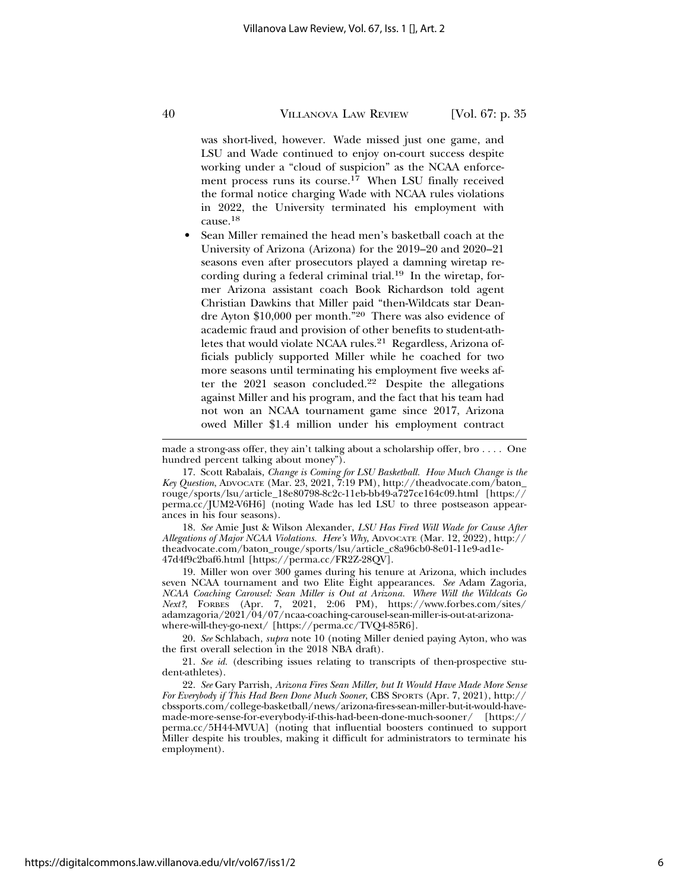was short-lived, however. Wade missed just one game, and LSU and Wade continued to enjoy on-court success despite working under a "cloud of suspicion" as the NCAA enforcement process runs its course.<sup>17</sup> When LSU finally received the formal notice charging Wade with NCAA rules violations in 2022, the University terminated his employment with cause.<sup>18</sup>

• Sean Miller remained the head men's basketball coach at the University of Arizona (Arizona) for the 2019–20 and 2020–21 seasons even after prosecutors played a damning wiretap recording during a federal criminal trial.<sup>19</sup> In the wiretap, former Arizona assistant coach Book Richardson told agent Christian Dawkins that Miller paid "then-Wildcats star Deandre Ayton \$10,000 per month."20 There was also evidence of academic fraud and provision of other benefits to student-athletes that would violate NCAA rules.<sup>21</sup> Regardless, Arizona officials publicly supported Miller while he coached for two more seasons until terminating his employment five weeks after the 2021 season concluded.22 Despite the allegations against Miller and his program, and the fact that his team had not won an NCAA tournament game since 2017, Arizona owed Miller \$1.4 million under his employment contract

made a strong-ass offer, they ain't talking about a scholarship offer, bro . . . . One hundred percent talking about money").

17. Scott Rabalais, *Change is Coming for LSU Basketball. How Much Change is the Key Question*, ADVOCATE (Mar. 23, 2021, 7:19 PM), http://theadvocate.com/baton\_ rouge/sports/lsu/article\_18e80798-8c2c-11eb-bb49-a727ce164c09.html [https:// perma.cc/JUM2-V6H6] (noting Wade has led LSU to three postseason appearances in his four seasons).

18. *See* Amie Just & Wilson Alexander, *LSU Has Fired Will Wade for Cause After Allegations of Major NCAA Violations. Here's Why,* ADVOCATE (Mar. 12, 2022), http:// theadvocate.com/baton\_rouge/sports/lsu/article\_c8a96cb0-8e01-11e9-ad1e-47d4f9c2baf6.html [https://perma.cc/FR2Z-28QV].

19. Miller won over 300 games during his tenure at Arizona, which includes seven NCAA tournament and two Elite Eight appearances. *See* Adam Zagoria, *NCAA Coaching Carousel: Sean Miller is Out at Arizona. Where Will the Wildcats Go* Next?, FORBES (Apr. 7, 2021, 2:06 PM), https://www.forbes.com/sites/ adamzagoria/2021/04/07/ncaa-coaching-carousel-sean-miller-is-out-at-arizonawhere-will-they-go-next/ [https://perma.cc/TVQ4-85R6].

20. *See* Schlabach, *supra* note 10 (noting Miller denied paying Ayton, who was the first overall selection in the 2018 NBA draft).

21. *See id.* (describing issues relating to transcripts of then-prospective student-athletes).

22. *See* Gary Parrish, *Arizona Fires Sean Miller, but It Would Have Made More Sense For Everybody if This Had Been Done Much Sooner*, CBS SPORTS (Apr. 7, 2021), http:// cbssports.com/college-basketball/news/arizona-fires-sean-miller-but-it-would-havemade-more-sense-for-everybody-if-this-had-been-done-much-sooner/ [https:// perma.cc/5H44-MVUA] (noting that influential boosters continued to support Miller despite his troubles, making it difficult for administrators to terminate his employment).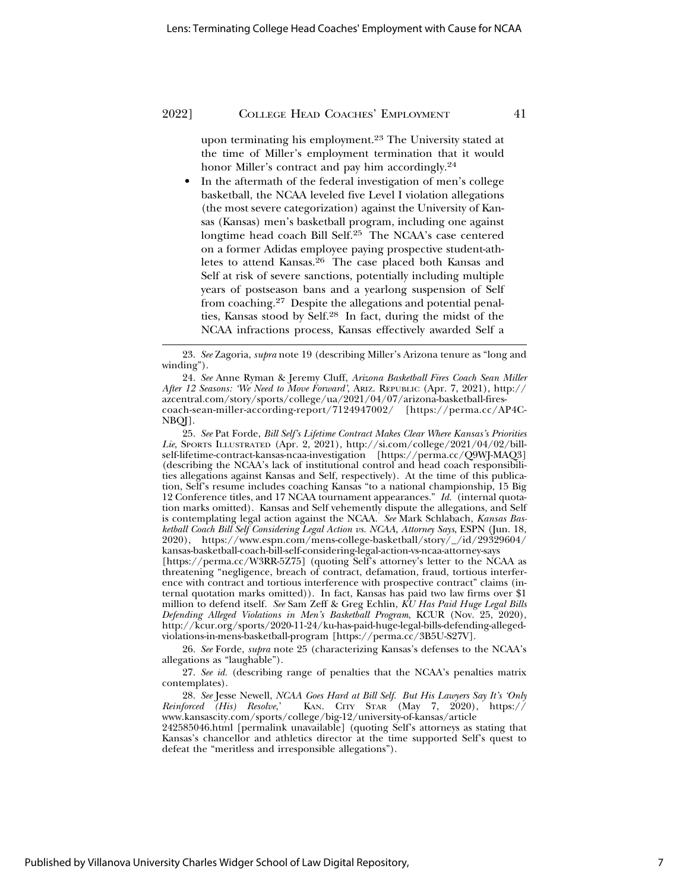upon terminating his employment.<sup>23</sup> The University stated at the time of Miller's employment termination that it would honor Miller's contract and pay him accordingly.24

In the aftermath of the federal investigation of men's college basketball, the NCAA leveled five Level I violation allegations (the most severe categorization) against the University of Kansas (Kansas) men's basketball program, including one against longtime head coach Bill Self.25 The NCAA's case centered on a former Adidas employee paying prospective student-athletes to attend Kansas.<sup>26</sup> The case placed both Kansas and Self at risk of severe sanctions, potentially including multiple years of postseason bans and a yearlong suspension of Self from coaching.27 Despite the allegations and potential penalties, Kansas stood by Self.28 In fact, during the midst of the NCAA infractions process, Kansas effectively awarded Self a

25. *See* Pat Forde, *Bill Self's Lifetime Contract Makes Clear Where Kansas's Priorities Lie*, SPORTS ILLUSTRATED (Apr. 2, 2021), http://si.com/college/2021/04/02/billself-lifetime-contract-kansas-ncaa-investigation [https://perma.cc/Q9WJ-MAQ3] (describing the NCAA's lack of institutional control and head coach responsibilities allegations against Kansas and Self, respectively). At the time of this publication, Self's resume includes coaching Kansas "to a national championship, 15 Big 12 Conference titles, and 17 NCAA tournament appearances." *Id.* (internal quotation marks omitted). Kansas and Self vehemently dispute the allegations, and Self is contemplating legal action against the NCAA. *See* Mark Schlabach, *Kansas Basketball Coach Bill Self Considering Legal Action vs. NCAA, Attorney Says*, ESPN (Jun. 18, 2020), https://www.espn.com/mens-college-basketball/story/\_/id/29329604/ kansas-basketball-coach-bill-self-considering-legal-action-vs-ncaa-attorney-says

[https://perma.cc/W3RR-5Z75] (quoting Self's attorney's letter to the NCAA as threatening "negligence, breach of contract, defamation, fraud, tortious interference with contract and tortious interference with prospective contract" claims (internal quotation marks omitted)). In fact, Kansas has paid two law firms over \$1 million to defend itself. *See* Sam Zeff & Greg Echlin, *KU Has Paid Huge Legal Bills Defending Alleged Violations in Men's Basketball Program*, KCUR (Nov. 25, 2020), http://kcur.org/sports/2020-11-24/ku-has-paid-huge-legal-bills-defending-allegedviolations-in-mens-basketball-program [https://perma.cc/3B5U-S27V].

26. *See* Forde, *supra* note 25 (characterizing Kansas's defenses to the NCAA's allegations as "laughable").

27. *See id.* (describing range of penalties that the NCAA's penalties matrix contemplates).

28. *See* Jesse Newell, *NCAA Goes Hard at Bill Self. But His Lawyers Say It's 'Only Reinforced (His) Resolve*,' KAN. CITY STAR (May 7, 2020), https:// www.kansascity.com/sports/college/big-12/university-of-kansas/article

242585046.html [permalink unavailable] (quoting Self's attorneys as stating that Kansas's chancellor and athletics director at the time supported Self's quest to defeat the "meritless and irresponsible allegations").

<sup>23.</sup> *See* Zagoria, *supra* note 19 (describing Miller's Arizona tenure as "long and winding").

<sup>24.</sup> *See* Anne Ryman & Jeremy Cluff, *Arizona Basketball Fires Coach Sean Miller After 12 Seasons: 'We Need to Move Forward'*, ARIZ. REPUBLIC (Apr. 7, 2021), http:// azcentral.com/story/sports/college/ua/2021/04/07/arizona-basketball-firescoach-sean-miller-according-report/7124947002/ [https://perma.cc/AP4C-NBQJ].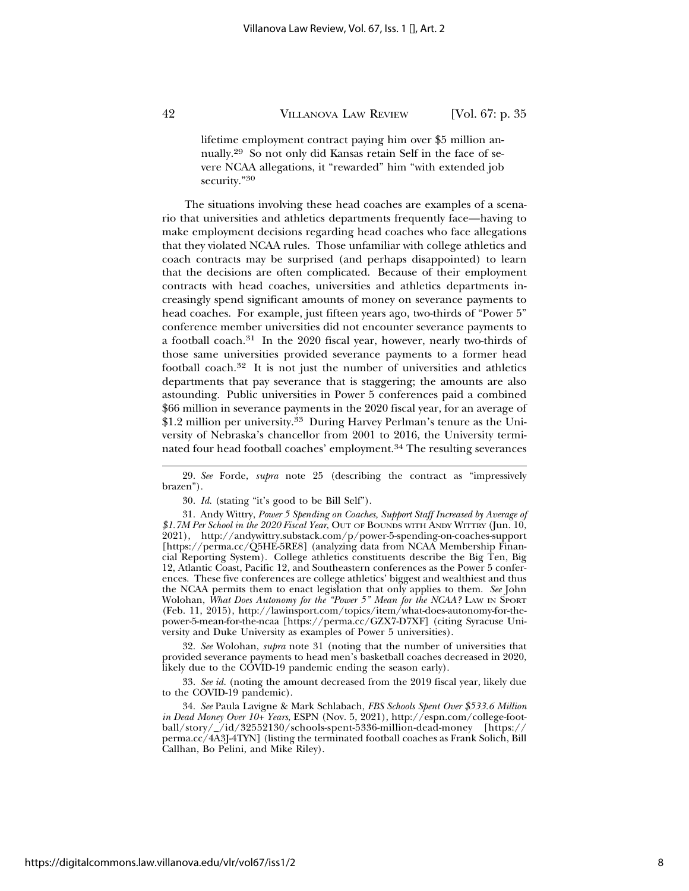lifetime employment contract paying him over \$5 million annually.29 So not only did Kansas retain Self in the face of severe NCAA allegations, it "rewarded" him "with extended job security."<sup>30</sup>

The situations involving these head coaches are examples of a scenario that universities and athletics departments frequently face—having to make employment decisions regarding head coaches who face allegations that they violated NCAA rules. Those unfamiliar with college athletics and coach contracts may be surprised (and perhaps disappointed) to learn that the decisions are often complicated. Because of their employment contracts with head coaches, universities and athletics departments increasingly spend significant amounts of money on severance payments to head coaches. For example, just fifteen years ago, two-thirds of "Power 5" conference member universities did not encounter severance payments to a football coach.31 In the 2020 fiscal year, however, nearly two-thirds of those same universities provided severance payments to a former head football coach.32 It is not just the number of universities and athletics departments that pay severance that is staggering; the amounts are also astounding. Public universities in Power 5 conferences paid a combined \$66 million in severance payments in the 2020 fiscal year, for an average of \$1.2 million per university.<sup>33</sup> During Harvey Perlman's tenure as the University of Nebraska's chancellor from 2001 to 2016, the University terminated four head football coaches' employment.<sup>34</sup> The resulting severances

30. *Id.* (stating "it's good to be Bill Self").

31. Andy Wittry, *Power 5 Spending on Coaches, Support Staff Increased by Average of \$1.7M Per School in the 2020 Fiscal Year*, OUT OF BOUNDS WITH ANDY WITTRY (Jun. 10, 2021), http://andywittry.substack.com/p/power-5-spending-on-coaches-support [https://perma.cc/Q5HE-5RE8] (analyzing data from NCAA Membership Financial Reporting System). College athletics constituents describe the Big Ten, Big 12, Atlantic Coast, Pacific 12, and Southeastern conferences as the Power 5 conferences. These five conferences are college athletics' biggest and wealthiest and thus the NCAA permits them to enact legislation that only applies to them. *See* John Wolohan, *What Does Autonomy for the "Power 5" Mean for the NCAA?* LAW IN SPORT (Feb. 11, 2015), http://lawinsport.com/topics/item/what-does-autonomy-for-thepower-5-mean-for-the-ncaa [https://perma.cc/GZX7-D7XF] (citing Syracuse University and Duke University as examples of Power 5 universities).

32. *See* Wolohan, *supra* note 31 (noting that the number of universities that provided severance payments to head men's basketball coaches decreased in 2020, likely due to the COVID-19 pandemic ending the season early).

33. *See id.* (noting the amount decreased from the 2019 fiscal year, likely due to the COVID-19 pandemic).

34. *See* Paula Lavigne & Mark Schlabach, *FBS Schools Spent Over \$533.6 Million in Dead Money Over 10+ Years*, ESPN (Nov. 5, 2021), http://espn.com/college-football/story/\_/id/32552130/schools-spent-5336-million-dead-money [https:// perma.cc/4A3J-4TYN] (listing the terminated football coaches as Frank Solich, Bill Callhan, Bo Pelini, and Mike Riley).

<sup>29.</sup> *See* Forde, *supra* note 25 (describing the contract as "impressively brazen").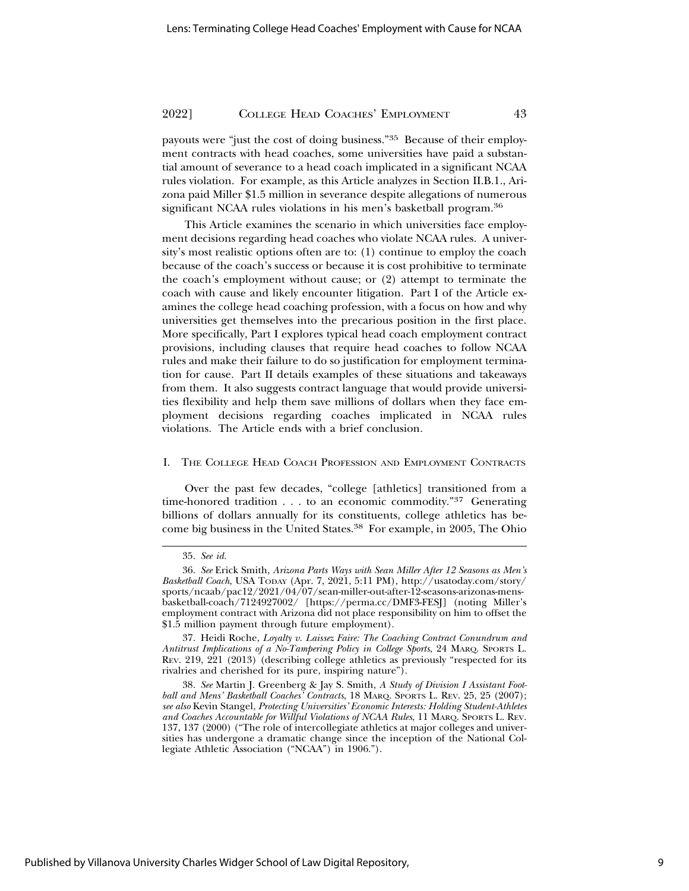payouts were "just the cost of doing business."35 Because of their employment contracts with head coaches, some universities have paid a substantial amount of severance to a head coach implicated in a significant NCAA rules violation. For example, as this Article analyzes in Section II.B.1., Arizona paid Miller \$1.5 million in severance despite allegations of numerous significant NCAA rules violations in his men's basketball program.36

This Article examines the scenario in which universities face employment decisions regarding head coaches who violate NCAA rules. A university's most realistic options often are to: (1) continue to employ the coach because of the coach's success or because it is cost prohibitive to terminate the coach's employment without cause; or (2) attempt to terminate the coach with cause and likely encounter litigation. Part I of the Article examines the college head coaching profession, with a focus on how and why universities get themselves into the precarious position in the first place. More specifically, Part I explores typical head coach employment contract provisions, including clauses that require head coaches to follow NCAA rules and make their failure to do so justification for employment termination for cause. Part II details examples of these situations and takeaways from them. It also suggests contract language that would provide universities flexibility and help them save millions of dollars when they face employment decisions regarding coaches implicated in NCAA rules violations. The Article ends with a brief conclusion.

#### I. THE COLLEGE HEAD COACH PROFESSION AND EMPLOYMENT CONTRACTS

Over the past few decades, "college [athletics] transitioned from a time-honored tradition . . . to an economic commodity."37 Generating billions of dollars annually for its constituents, college athletics has become big business in the United States.38 For example, in 2005, The Ohio

<sup>35.</sup> *See id.*

<sup>36.</sup> *See* Erick Smith, *Arizona Parts Ways with Sean Miller After 12 Seasons as Men's Basketball Coach*, USA TODAY (Apr. 7, 2021, 5:11 PM), http://usatoday.com/story/ sports/ncaab/pac12/2021/04/07/sean-miller-out-after-12-seasons-arizonas-mensbasketball-coach/7124927002/ [https://perma.cc/DMF3-FESJ] (noting Miller's employment contract with Arizona did not place responsibility on him to offset the \$1.5 million payment through future employment).

<sup>37.</sup> Heidi Roche, *Loyalty v. Laissez Faire: The Coaching Contract Conundrum and Antitrust Implications of a No-Tampering Policy in College Sports*, 24 MARQ. SPORTS L. REV. 219, 221 (2013) (describing college athletics as previously "respected for its rivalries and cherished for its pure, inspiring nature").

<sup>38.</sup> *See* Martin J. Greenberg & Jay S. Smith, *A Study of Division I Assistant Football and Mens' Basketball Coaches' Contracts*, 18 MARQ. SPORTS L. REV. 25, 25 (2007); *see also* Kevin Stangel, *Protecting Universities' Economic Interests: Holding Student-Athletes and Coaches Accountable for Willful Violations of NCAA Rules*, 11 MARQ. SPORTS L. REV. 137, 137 (2000) ("The role of intercollegiate athletics at major colleges and universities has undergone a dramatic change since the inception of the National Collegiate Athletic Association ("NCAA") in 1906.").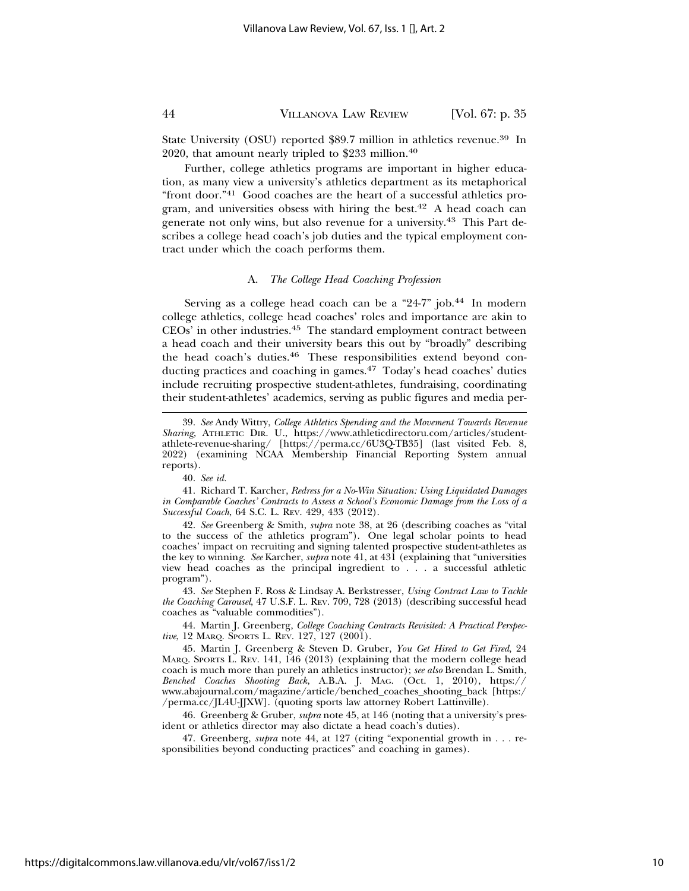State University (OSU) reported \$89.7 million in athletics revenue.39 In 2020, that amount nearly tripled to \$233 million.40

Further, college athletics programs are important in higher education, as many view a university's athletics department as its metaphorical "front door."41 Good coaches are the heart of a successful athletics program, and universities obsess with hiring the best.<sup>42</sup> A head coach can generate not only wins, but also revenue for a university.43 This Part describes a college head coach's job duties and the typical employment contract under which the coach performs them.

#### A. *The College Head Coaching Profession*

Serving as a college head coach can be a "24-7" job.<sup>44</sup> In modern college athletics, college head coaches' roles and importance are akin to CEOs' in other industries.45 The standard employment contract between a head coach and their university bears this out by "broadly" describing the head coach's duties.46 These responsibilities extend beyond conducting practices and coaching in games.<sup>47</sup> Today's head coaches' duties include recruiting prospective student-athletes, fundraising, coordinating their student-athletes' academics, serving as public figures and media per-

42. *See* Greenberg & Smith, *supra* note 38, at 26 (describing coaches as "vital to the success of the athletics program"). One legal scholar points to head coaches' impact on recruiting and signing talented prospective student-athletes as the key to winnin*g*. *See* Karcher, *supra* note 41, at 431 (explaining that "universities view head coaches as the principal ingredient to . . . a successful athletic program").

43. *See* Stephen F. Ross & Lindsay A. Berkstresser, *Using Contract Law to Tackle the Coaching Carousel*, 47 U.S.F. L. REV. 709, 728 (2013) (describing successful head coaches as "valuable commodities").

44. Martin J. Greenberg, *College Coaching Contracts Revisited: A Practical Perspective*, 12 MARQ. SPORTS L. REV. 127, 127 (2001).

45. Martin J. Greenberg & Steven D. Gruber, *You Get Hired to Get Fired*, 24 MARQ. SPORTS L. REV. 141, 146 (2013) (explaining that the modern college head coach is much more than purely an athletics instructor); *see also* Brendan L. Smith, *Benched Coaches Shooting Back*, A.B.A. J. MAG. (Oct. 1, 2010), https:// www.abajournal.com/magazine/article/benched\_coaches\_shooting\_back [https:/ /perma.cc/JL4U-JJXW]. (quoting sports law attorney Robert Lattinville).

46. Greenberg & Gruber, *supra* note 45, at 146 (noting that a university's president or athletics director may also dictate a head coach's duties).

47. Greenberg, *supra* note 44, at 127 (citing "exponential growth in . . . responsibilities beyond conducting practices" and coaching in games).

<sup>39.</sup> *See* Andy Wittry, *College Athletics Spending and the Movement Towards Revenue Sharing*, ATHLETIC DIR. U., https://www.athleticdirectoru.com/articles/studentathlete-revenue-sharing/ [https://perma.cc/6U3Q-TB35] (last visited Feb. 8, 2022) (examining NCAA Membership Financial Reporting System annual reports).

<sup>40.</sup> *See id.*

<sup>41.</sup> Richard T. Karcher, *Redress for a No-Win Situation: Using Liquidated Damages in Comparable Coaches' Contracts to Assess a School's Economic Damage from the Loss of a Successful Coach*, 64 S.C. L. REV. 429, 433 (2012).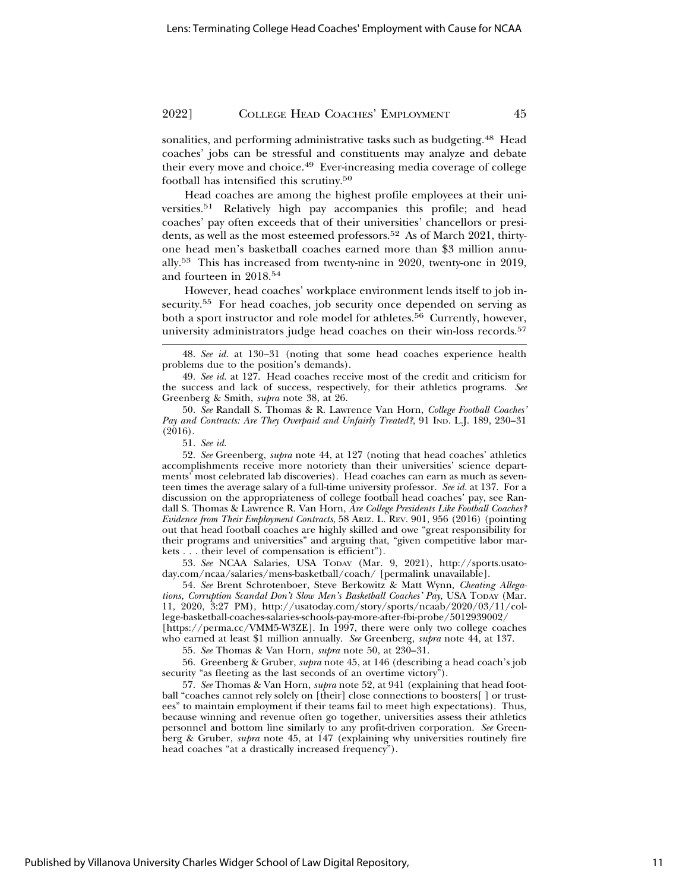sonalities, and performing administrative tasks such as budgeting.48 Head coaches' jobs can be stressful and constituents may analyze and debate their every move and choice.<sup>49</sup> Ever-increasing media coverage of college football has intensified this scrutiny.50

Head coaches are among the highest profile employees at their universities.51 Relatively high pay accompanies this profile; and head coaches' pay often exceeds that of their universities' chancellors or presidents, as well as the most esteemed professors.<sup>52</sup> As of March 2021, thirtyone head men's basketball coaches earned more than \$3 million annually.53 This has increased from twenty-nine in 2020, twenty-one in 2019, and fourteen in 2018.54

However, head coaches' workplace environment lends itself to job insecurity.<sup>55</sup> For head coaches, job security once depended on serving as both a sport instructor and role model for athletes.<sup>56</sup> Currently, however, university administrators judge head coaches on their win-loss records.57

52. *See* Greenberg, *supra* note 44, at 127 (noting that head coaches' athletics accomplishments receive more notoriety than their universities' science departments' most celebrated lab discoveries). Head coaches can earn as much as seventeen times the average salary of a full-time university professor. *See id.* at 137. For a discussion on the appropriateness of college football head coaches' pay, see Randall S. Thomas & Lawrence R. Van Horn, *Are College Presidents Like Football Coaches? Evidence from Their Employment Contracts*, 58 ARIZ. L. REV. 901, 956 (2016) (pointing out that head football coaches are highly skilled and owe "great responsibility for their programs and universities" and arguing that, "given competitive labor markets . . . their level of compensation is efficient").

53. *See* NCAA Salaries, USA TODAY (Mar. 9, 2021), http://sports.usatoday.com/ncaa/salaries/mens-basketball/coach/ [permalink unavailable].

54. *See* Brent Schrotenboer, Steve Berkowitz & Matt Wynn, *Cheating Allegations, Corruption Scandal Don't Slow Men's Basketball Coaches' Pay*, USA TODAY (Mar. 11, 2020, 3:27 PM), http://usatoday.com/story/sports/ncaab/2020/03/11/college-basketball-coaches-salaries-schools-pay-more-after-fbi-probe/5012939002/ [https://perma.cc/VMM5-W3ZE]. In 1997, there were only two college coaches who earned at least \$1 million annually. *See* Greenberg, *supra* note 44, at 137.

55. *See* Thomas & Van Horn, *supra* note 50, at 230–31.

56. Greenberg & Gruber, *supra* note 45, at 146 (describing a head coach's job security "as fleeting as the last seconds of an overtime victory").

57. *See* Thomas & Van Horn, *supra* note 52, at 941 (explaining that head football "coaches cannot rely solely on [their] close connections to boosters[ ] or trustees" to maintain employment if their teams fail to meet high expectations). Thus, because winning and revenue often go together, universities assess their athletics personnel and bottom line similarly to any profit-driven corporation. *See* Greenberg & Gruber, *supra* note 45, at 147 (explaining why universities routinely fire head coaches "at a drastically increased frequency").

<sup>48.</sup> *See id.* at 130–31 (noting that some head coaches experience health problems due to the position's demands).

<sup>49.</sup> *See id.* at 127. Head coaches receive most of the credit and criticism for the success and lack of success, respectively, for their athletics programs. *See* Greenberg & Smith, *supra* note 38, at 26.

<sup>50.</sup> *See* Randall S. Thomas & R. Lawrence Van Horn, *College Football Coaches' Pay and Contracts: Are They Overpaid and Unfairly Treated?*, 91 IND. L.J. 189, 230–31  $(2016).$ 

<sup>51.</sup> *See id.*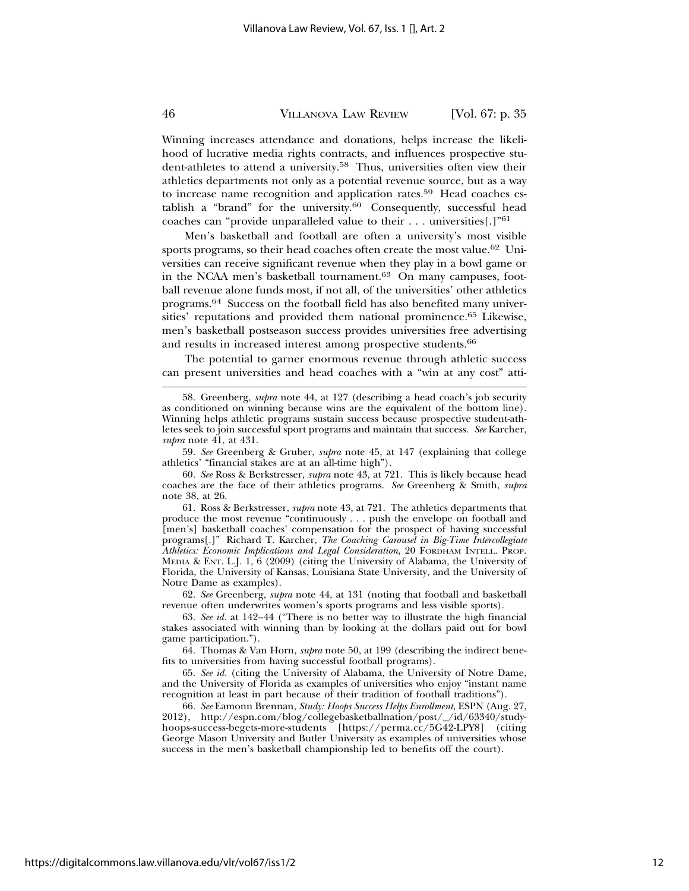Winning increases attendance and donations, helps increase the likelihood of lucrative media rights contracts, and influences prospective student-athletes to attend a university.58 Thus, universities often view their athletics departments not only as a potential revenue source, but as a way to increase name recognition and application rates.59 Head coaches establish a "brand" for the university.60 Consequently, successful head coaches can "provide unparalleled value to their . . . universities[.]"61

Men's basketball and football are often a university's most visible sports programs, so their head coaches often create the most value.<sup>62</sup> Universities can receive significant revenue when they play in a bowl game or in the NCAA men's basketball tournament.<sup>63</sup> On many campuses, football revenue alone funds most, if not all, of the universities' other athletics programs.64 Success on the football field has also benefited many universities' reputations and provided them national prominence.65 Likewise, men's basketball postseason success provides universities free advertising and results in increased interest among prospective students.<sup>66</sup>

The potential to garner enormous revenue through athletic success can present universities and head coaches with a "win at any cost" atti-

62. *See* Greenberg, *supra* note 44, at 131 (noting that football and basketball revenue often underwrites women's sports programs and less visible sports).

63. *See id.* at 142–44 ("There is no better way to illustrate the high financial stakes associated with winning than by looking at the dollars paid out for bowl game participation.").

64. Thomas & Van Horn, *supra* note 50, at 199 (describing the indirect benefits to universities from having successful football programs).

65. *See id.* (citing the University of Alabama, the University of Notre Dame, and the University of Florida as examples of universities who enjoy "instant name recognition at least in part because of their tradition of football traditions").

66. *See* Eamonn Brennan, *Study: Hoops Success Helps Enrollment*, ESPN (Aug. 27, 2012), http://espn.com/blog/collegebasketballnation/post/\_/id/63340/studyhoops-success-begets-more-students [https://perma.cc/5G42-LPY8] (citing George Mason University and Butler University as examples of universities whose success in the men's basketball championship led to benefits off the court).

<sup>58.</sup> Greenberg, *supra* note 44, at 127 (describing a head coach's job security as conditioned on winning because wins are the equivalent of the bottom line). Winning helps athletic programs sustain success because prospective student-athletes seek to join successful sport programs and maintain that success. *See* Karcher, *supra* note 41, at 431.

<sup>59.</sup> *See* Greenberg & Gruber, *supra* note 45, at 147 (explaining that college athletics' "financial stakes are at an all-time high").

<sup>60.</sup> *See* Ross & Berkstresser, *supra* note 43, at 721. This is likely because head coaches are the face of their athletics programs. *See* Greenberg & Smith, *supra* note 38, at 26.

<sup>61.</sup> Ross & Berkstresser, *supra* note 43, at 721. The athletics departments that produce the most revenue "continuously . . . push the envelope on football and [men's] basketball coaches' compensation for the prospect of having successful programs[.]" Richard T. Karcher, *The Coaching Carousel in Big-Time Intercollegiate Athletics: Economic Implications and Legal Consideration*, 20 FORDHAM INTELL. PROP. MEDIA & ENT. L.J. 1, 6 (2009) (citing the University of Alabama, the University of Florida, the University of Kansas, Louisiana State University, and the University of Notre Dame as examples).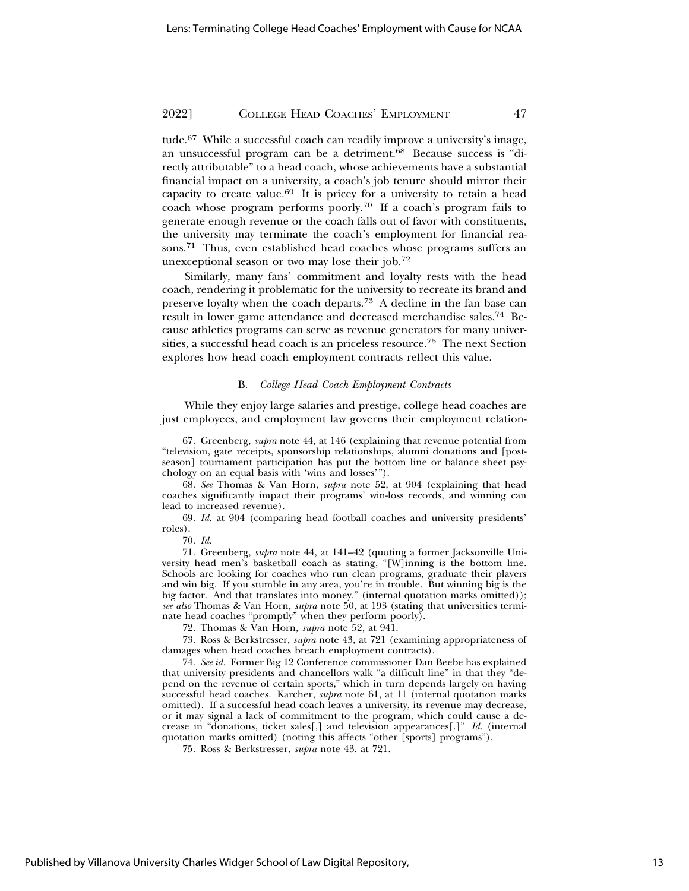tude.67 While a successful coach can readily improve a university's image, an unsuccessful program can be a detriment. $68$  Because success is "directly attributable" to a head coach, whose achievements have a substantial financial impact on a university, a coach's job tenure should mirror their capacity to create value.<sup>69</sup> It is pricey for a university to retain a head coach whose program performs poorly.70 If a coach's program fails to generate enough revenue or the coach falls out of favor with constituents, the university may terminate the coach's employment for financial reasons.71 Thus, even established head coaches whose programs suffers an unexceptional season or two may lose their job.72

Similarly, many fans' commitment and loyalty rests with the head coach, rendering it problematic for the university to recreate its brand and preserve loyalty when the coach departs.73 A decline in the fan base can result in lower game attendance and decreased merchandise sales.74 Because athletics programs can serve as revenue generators for many universities, a successful head coach is an priceless resource.75 The next Section explores how head coach employment contracts reflect this value.

#### B. *College Head Coach Employment Contracts*

While they enjoy large salaries and prestige, college head coaches are just employees, and employment law governs their employment relation-

69. *Id.* at 904 (comparing head football coaches and university presidents' roles).

70. *Id.*

71. Greenberg, *supra* note 44, at 141–42 (quoting a former Jacksonville University head men's basketball coach as stating, "[W]inning is the bottom line. Schools are looking for coaches who run clean programs, graduate their players and win big. If you stumble in any area, you're in trouble. But winning big is the big factor. And that translates into money." (internal quotation marks omitted)); *see also* Thomas & Van Horn, *supra* note 50, at 193 (stating that universities terminate head coaches "promptly" when they perform poorly).

72. Thomas & Van Horn, *supra* note 52, at 941.

73. Ross & Berkstresser, *supra* note 43, at 721 (examining appropriateness of damages when head coaches breach employment contracts).

74. *See id.* Former Big 12 Conference commissioner Dan Beebe has explained that university presidents and chancellors walk "a difficult line" in that they "depend on the revenue of certain sports," which in turn depends largely on having successful head coaches. Karcher, *supra* note 61, at 11 (internal quotation marks omitted). If a successful head coach leaves a university, its revenue may decrease, or it may signal a lack of commitment to the program, which could cause a decrease in "donations, ticket sales[,] and television appearances[.]" *Id.* (internal quotation marks omitted) (noting this affects "other [sports] programs").

75. Ross & Berkstresser, *supra* note 43, at 721.

<sup>67.</sup> Greenberg, *supra* note 44, at 146 (explaining that revenue potential from "television, gate receipts, sponsorship relationships, alumni donations and [postseason] tournament participation has put the bottom line or balance sheet psychology on an equal basis with 'wins and losses'").

<sup>68.</sup> *See* Thomas & Van Horn, *supra* note 52, at 904 (explaining that head coaches significantly impact their programs' win-loss records, and winning can lead to increased revenue).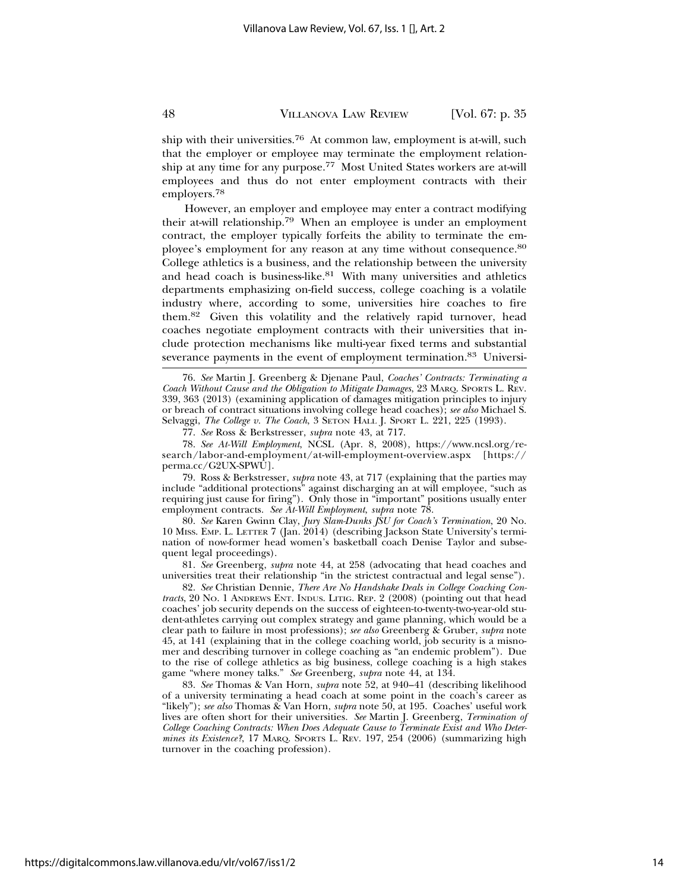ship with their universities.76 At common law, employment is at-will, such that the employer or employee may terminate the employment relationship at any time for any purpose.77 Most United States workers are at-will employees and thus do not enter employment contracts with their employers.<sup>78</sup>

However, an employer and employee may enter a contract modifying their at-will relationship.79 When an employee is under an employment contract, the employer typically forfeits the ability to terminate the employee's employment for any reason at any time without consequence.<sup>80</sup> College athletics is a business, and the relationship between the university and head coach is business-like. $81$  With many universities and athletics departments emphasizing on-field success, college coaching is a volatile industry where, according to some, universities hire coaches to fire them.82 Given this volatility and the relatively rapid turnover, head coaches negotiate employment contracts with their universities that include protection mechanisms like multi-year fixed terms and substantial severance payments in the event of employment termination.<sup>83</sup> Universi-

78. *See At-Will Employment*, NCSL (Apr. 8, 2008), https://www.ncsl.org/research/labor-and-employment/at-will-employment-overview.aspx [https:// perma.cc/G2UX-SPWU].

79. Ross & Berkstresser, *supra* note 43, at 717 (explaining that the parties may include "additional protections" against discharging an at will employee, "such as requiring just cause for firing"). Only those in "important" positions usually enter employment contracts. *See At-Will Employment*, *supra* note 78.

80. *See* Karen Gwinn Clay, *Jury Slam-Dunks JSU for Coach's Termination*, 20 No. 10 MISS. EMP. L. LETTER 7 (Jan. 2014) (describing Jackson State University's termination of now-former head women's basketball coach Denise Taylor and subsequent legal proceedings).

81. *See* Greenberg, *supra* note 44, at 258 (advocating that head coaches and universities treat their relationship "in the strictest contractual and legal sense").

82. *See* Christian Dennie, *There Are No Handshake Deals in College Coaching Contracts*, 20 NO. 1 ANDREWS ENT. INDUS. LITIG. REP. 2 (2008) (pointing out that head coaches' job security depends on the success of eighteen-to-twenty-two-year-old student-athletes carrying out complex strategy and game planning, which would be a clear path to failure in most professions); *see also* Greenberg & Gruber, *supra* note 45, at 141 (explaining that in the college coaching world, job security is a misnomer and describing turnover in college coaching as "an endemic problem"). Due to the rise of college athletics as big business, college coaching is a high stakes game "where money talks." *See* Greenberg, *supra* note 44, at 134.

83. *See* Thomas & Van Horn, *supra* note 52, at 940–41 (describing likelihood of a university terminating a head coach at some point in the coach's career as "likely"); *see also* Thomas & Van Horn, *supra* note 50, at 195. Coaches' useful work lives are often short for their universities. *See* Martin J. Greenberg, *Termination of College Coaching Contracts: When Does Adequate Cause to Terminate Exist and Who Determines its Existence?*, 17 MARQ. SPORTS L. REV. 197, 254 (2006) (summarizing high turnover in the coaching profession).

<sup>76.</sup> *See* Martin J. Greenberg & Djenane Paul, *Coaches' Contracts: Terminating a Coach Without Cause and the Obligation to Mitigate Damages*, 23 MARQ. SPORTS L. REV. 339, 363 (2013) (examining application of damages mitigation principles to injury or breach of contract situations involving college head coaches); *see also* Michael S. Selvaggi, *The College v. The Coach*, 3 SETON HALL J. SPORT L. 221, 225 (1993).

<sup>77.</sup> *See* Ross & Berkstresser, *supra* note 43, at 717.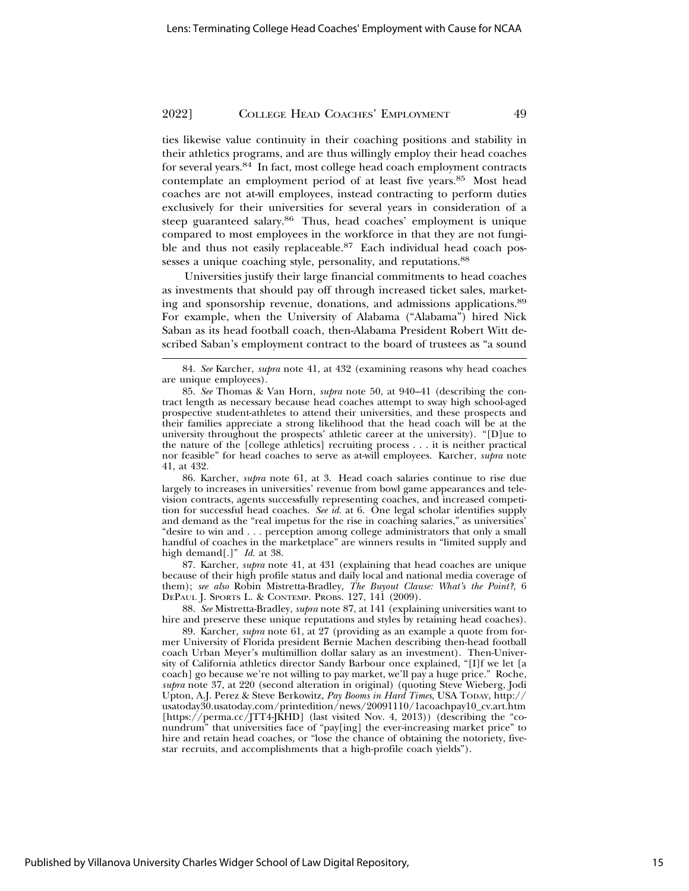ties likewise value continuity in their coaching positions and stability in their athletics programs, and are thus willingly employ their head coaches for several years.84 In fact, most college head coach employment contracts contemplate an employment period of at least five years.85 Most head coaches are not at-will employees, instead contracting to perform duties exclusively for their universities for several years in consideration of a steep guaranteed salary.86 Thus, head coaches' employment is unique compared to most employees in the workforce in that they are not fungible and thus not easily replaceable.<sup>87</sup> Each individual head coach possesses a unique coaching style, personality, and reputations.<sup>88</sup>

Universities justify their large financial commitments to head coaches as investments that should pay off through increased ticket sales, marketing and sponsorship revenue, donations, and admissions applications.89 For example, when the University of Alabama ("Alabama") hired Nick Saban as its head football coach, then-Alabama President Robert Witt described Saban's employment contract to the board of trustees as "a sound

86. Karcher, *supra* note 61, at 3. Head coach salaries continue to rise due largely to increases in universities' revenue from bowl game appearances and television contracts, agents successfully representing coaches, and increased competition for successful head coaches. *See id.* at 6. One legal scholar identifies supply and demand as the "real impetus for the rise in coaching salaries," as universities' "desire to win and . . . perception among college administrators that only a small handful of coaches in the marketplace" are winners results in "limited supply and high demand[.]" *Id.* at 38.

87. Karcher, *supra* note 41, at 431 (explaining that head coaches are unique because of their high profile status and daily local and national media coverage of them); *see also* Robin Mistretta-Bradley, *The Buyout Clause: What's the Point?*, 6 DEPAUL J. SPORTS L. & CONTEMP. PROBS. 127, 141 (2009).

88. *See* Mistretta-Bradley, *supra* note 87, at 141 (explaining universities want to hire and preserve these unique reputations and styles by retaining head coaches).

89. Karcher, *supra* note 61, at 27 (providing as an example a quote from former University of Florida president Bernie Machen describing then-head football coach Urban Meyer's multimillion dollar salary as an investment). Then-University of California athletics director Sandy Barbour once explained, "[I]f we let [a coach] go because we're not willing to pay market, we'll pay a huge price." Roche, *supra* note 37, at 220 (second alteration in original) (quoting Steve Wieberg, Jodi Upton, A.J. Perez & Steve Berkowitz, *Pay Booms in Hard Times*, USA TODAY, http:// usatoday30.usatoday.com/printedition/news/20091110/1acoachpay10\_cv.art.htm [https://perma.cc/JTT4-JKHD] (last visited Nov. 4, 2013)) (describing the "conundrum" that universities face of "pay[ing] the ever-increasing market price" to hire and retain head coaches, or "lose the chance of obtaining the notoriety, fivestar recruits, and accomplishments that a high-profile coach yields").

<sup>84.</sup> *See* Karcher, *supra* note 41, at 432 (examining reasons why head coaches are unique employees).

<sup>85.</sup> *See* Thomas & Van Horn, *supra* note 50, at 940–41 (describing the contract length as necessary because head coaches attempt to sway high school-aged prospective student-athletes to attend their universities, and these prospects and their families appreciate a strong likelihood that the head coach will be at the university throughout the prospects' athletic career at the university). "[D]ue to the nature of the [college athletics] recruiting process . . . it is neither practical nor feasible" for head coaches to serve as at-will employees. Karcher, *supra* note 41, at 432.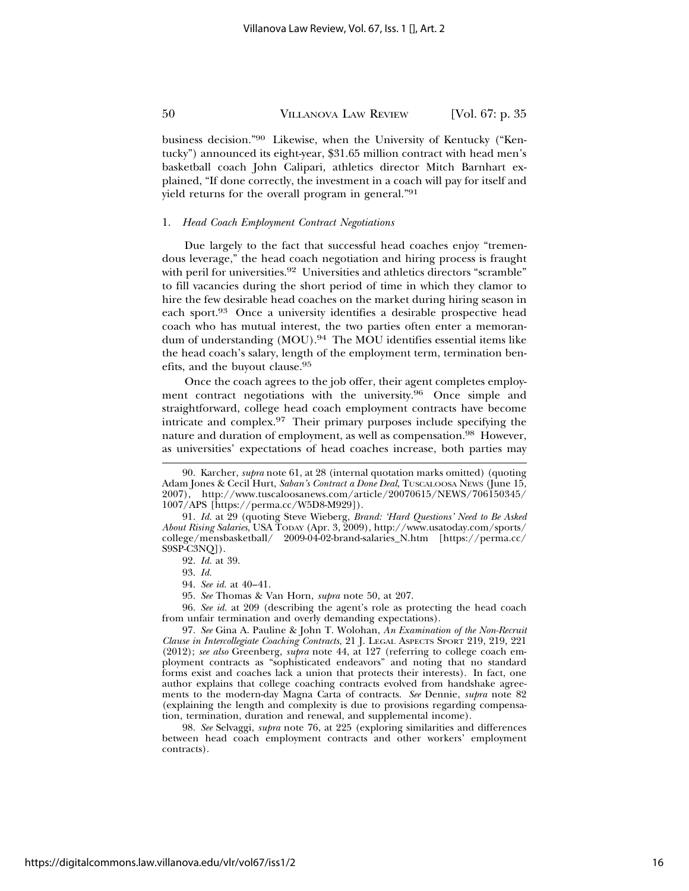business decision."90 Likewise, when the University of Kentucky ("Kentucky") announced its eight-year, \$31.65 million contract with head men's basketball coach John Calipari, athletics director Mitch Barnhart explained, "If done correctly, the investment in a coach will pay for itself and yield returns for the overall program in general."91

#### 1. *Head Coach Employment Contract Negotiations*

Due largely to the fact that successful head coaches enjoy "tremendous leverage," the head coach negotiation and hiring process is fraught with peril for universities.<sup>92</sup> Universities and athletics directors "scramble" to fill vacancies during the short period of time in which they clamor to hire the few desirable head coaches on the market during hiring season in each sport.93 Once a university identifies a desirable prospective head coach who has mutual interest, the two parties often enter a memorandum of understanding (MOU).<sup>94</sup> The MOU identifies essential items like the head coach's salary, length of the employment term, termination benefits, and the buyout clause.95

Once the coach agrees to the job offer, their agent completes employment contract negotiations with the university.96 Once simple and straightforward, college head coach employment contracts have become intricate and complex.97 Their primary purposes include specifying the nature and duration of employment, as well as compensation.<sup>98</sup> However, as universities' expectations of head coaches increase, both parties may

92. *Id.* at 39.

94. *See id.* at 40–41.

96. *See id.* at 209 (describing the agent's role as protecting the head coach from unfair termination and overly demanding expectations).

98. *See* Selvaggi, *supra* note 76, at 225 (exploring similarities and differences between head coach employment contracts and other workers' employment contracts).

<sup>90.</sup> Karcher, *supra* note 61, at 28 (internal quotation marks omitted) (quoting Adam Jones & Cecil Hurt, *Saban's Contract a Done Deal*, TUSCALOOSA NEWS (June 15, 2007), http://www.tuscaloosanews.com/article/20070615/NEWS/706150345/ 1007/APS [https://perma.cc/W5D8-M929]).

<sup>91.</sup> *Id.* at 29 (quoting Steve Wieberg, *Brand: 'Hard Questions' Need to Be Asked About Rising Salaries*, USA TODAY (Apr. 3, 2009), http://www.usatoday.com/sports/  $\text{college}/\text{mensbasketball}/\quad 2009\text{-}04\text{-}02\text{-}brand\text{-}salaries\_N.htm \quad [\text{https://perm.acc/}$ S9SP-C3NQ]).

<sup>93.</sup> *Id.*

<sup>95.</sup> *See* Thomas & Van Horn, *supra* note 50, at 207.

<sup>97.</sup> *See* Gina A. Pauline & John T. Wolohan, *An Examination of the Non-Recruit Clause in Intercollegiate Coaching Contracts*, 21 J. LEGAL ASPECTS SPORT 219, 219, 221 (2012); *see also* Greenberg, *supra* note 44, at 127 (referring to college coach employment contracts as "sophisticated endeavors" and noting that no standard forms exist and coaches lack a union that protects their interests). In fact, one author explains that college coaching contracts evolved from handshake agreements to the modern-day Magna Carta of contracts. *See* Dennie, *supra* note 82 (explaining the length and complexity is due to provisions regarding compensation, termination, duration and renewal, and supplemental income).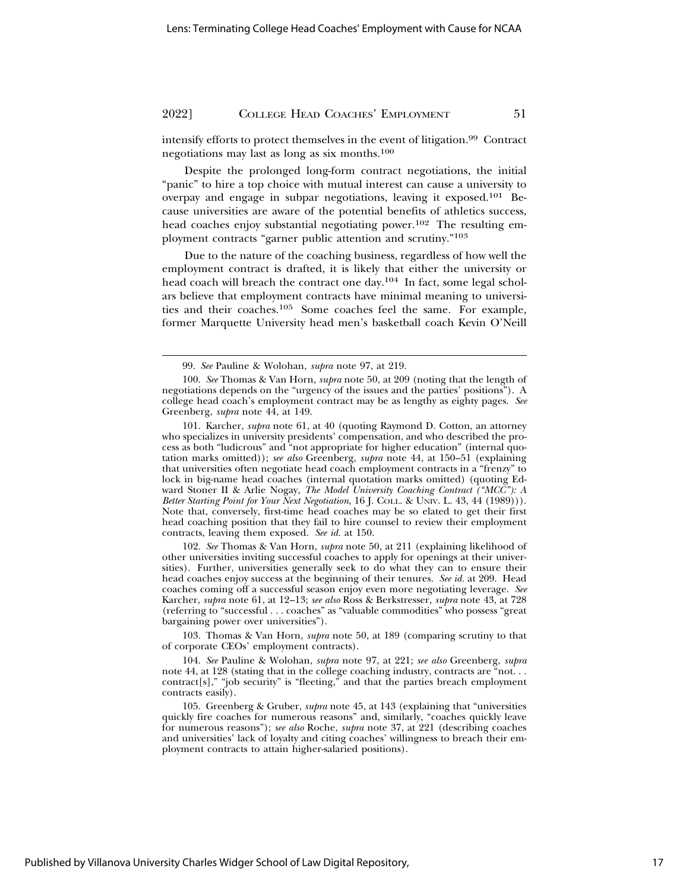intensify efforts to protect themselves in the event of litigation.99 Contract negotiations may last as long as six months.100

Despite the prolonged long-form contract negotiations, the initial "panic" to hire a top choice with mutual interest can cause a university to overpay and engage in subpar negotiations, leaving it exposed.101 Because universities are aware of the potential benefits of athletics success, head coaches enjoy substantial negotiating power.<sup>102</sup> The resulting employment contracts "garner public attention and scrutiny."103

Due to the nature of the coaching business, regardless of how well the employment contract is drafted, it is likely that either the university or head coach will breach the contract one day.<sup>104</sup> In fact, some legal scholars believe that employment contracts have minimal meaning to universities and their coaches.105 Some coaches feel the same. For example, former Marquette University head men's basketball coach Kevin O'Neill

102. *See* Thomas & Van Horn, *supra* note 50, at 211 (explaining likelihood of other universities inviting successful coaches to apply for openings at their universities). Further, universities generally seek to do what they can to ensure their head coaches enjoy success at the beginning of their tenures. *See id.* at 209. Head coaches coming off a successful season enjoy even more negotiating leverage. *See* Karcher, *supra* note 61, at 12–13; *see also* Ross & Berkstresser, *supra* note 43, at 728 (referring to "successful . . . coaches" as "valuable commodities" who possess "great bargaining power over universities").

103. Thomas & Van Horn, *supra* note 50, at 189 (comparing scrutiny to that of corporate CEOs' employment contracts).

104. *See* Pauline & Wolohan, *supra* note 97, at 221; *see also* Greenberg, *supra* note 44, at 128 (stating that in the college coaching industry, contracts are "not. . . contract[s]," "job security" is "fleeting," and that the parties breach employment contracts easily).

105. Greenberg & Gruber, *supra* note 45, at 143 (explaining that "universities quickly fire coaches for numerous reasons" and, similarly, "coaches quickly leave for numerous reasons"); *see also* Roche, *supra* note 37, at 221 (describing coaches and universities' lack of loyalty and citing coaches' willingness to breach their employment contracts to attain higher-salaried positions).

<sup>99.</sup> *See* Pauline & Wolohan, *supra* note 97, at 219.

<sup>100.</sup> *See* Thomas & Van Horn, *supra* note 50, at 209 (noting that the length of negotiations depends on the "urgency of the issues and the parties' positions"). A college head coach's employment contract may be as lengthy as eighty pages. *See* Greenberg, *supra* note 44, at 149.

<sup>101.</sup> Karcher, *supra* note 61, at 40 (quoting Raymond D. Cotton, an attorney who specializes in university presidents' compensation, and who described the process as both "ludicrous" and "not appropriate for higher education" (internal quotation marks omitted)); *see also* Greenberg, *supra* note 44, at 150–51 (explaining that universities often negotiate head coach employment contracts in a "frenzy" to lock in big-name head coaches (internal quotation marks omitted) (quoting Edward Stoner II & Arlie Nogay, *The Model University Coaching Contract ("MCC"): A Better Starting Point for Your Next Negotiation*, 16 J. COLL. & UNIV. L. 43, 44 (1989))). Note that, conversely, first-time head coaches may be so elated to get their first head coaching position that they fail to hire counsel to review their employment contracts, leaving them exposed. *See id.* at 150.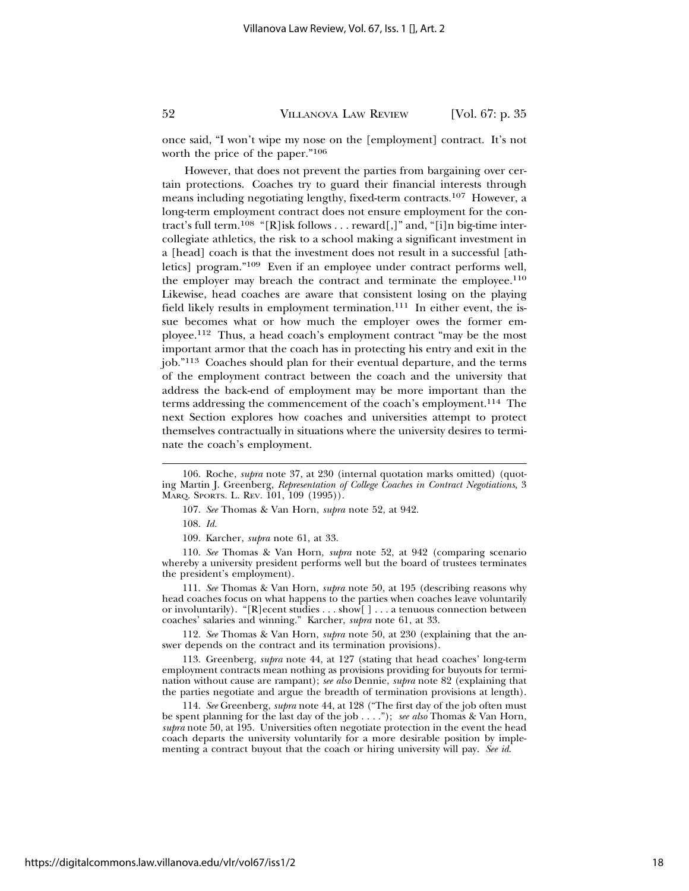once said, "I won't wipe my nose on the [employment] contract. It's not worth the price of the paper."106

However, that does not prevent the parties from bargaining over certain protections. Coaches try to guard their financial interests through means including negotiating lengthy, fixed-term contracts.107 However, a long-term employment contract does not ensure employment for the contract's full term.108 "[R]isk follows . . . reward[,]" and, "[i]n big-time intercollegiate athletics, the risk to a school making a significant investment in a [head] coach is that the investment does not result in a successful [athletics] program."109 Even if an employee under contract performs well, the employer may breach the contract and terminate the employee.<sup>110</sup> Likewise, head coaches are aware that consistent losing on the playing field likely results in employment termination. $111$  In either event, the issue becomes what or how much the employer owes the former employee.112 Thus, a head coach's employment contract "may be the most important armor that the coach has in protecting his entry and exit in the job."113 Coaches should plan for their eventual departure, and the terms of the employment contract between the coach and the university that address the back-end of employment may be more important than the terms addressing the commencement of the coach's employment.114 The next Section explores how coaches and universities attempt to protect themselves contractually in situations where the university desires to terminate the coach's employment.

108. *Id.*

110. *See* Thomas & Van Horn, *supra* note 52, at 942 (comparing scenario whereby a university president performs well but the board of trustees terminates the president's employment).

111. *See* Thomas & Van Horn, *supra* note 50, at 195 (describing reasons why head coaches focus on what happens to the parties when coaches leave voluntarily or involuntarily). "[R]ecent studies . . . show[ ] . . . a tenuous connection between coaches' salaries and winning." Karcher, *supra* note 61, at 33.

112. *See* Thomas & Van Horn, *supra* note 50, at 230 (explaining that the answer depends on the contract and its termination provisions).

113. Greenberg, *supra* note 44, at 127 (stating that head coaches' long-term employment contracts mean nothing as provisions providing for buyouts for termination without cause are rampant); *see also* Dennie, *supra* note 82 (explaining that the parties negotiate and argue the breadth of termination provisions at length).

114. *See* Greenberg, *supra* note 44, at 128 ("The first day of the job often must be spent planning for the last day of the job . . . ."); *see also* Thomas & Van Horn, *supra* note 50, at 195. Universities often negotiate protection in the event the head coach departs the university voluntarily for a more desirable position by implementing a contract buyout that the coach or hiring university will pay. *See id*.

<sup>106.</sup> Roche, *supra* note 37, at 230 (internal quotation marks omitted) (quoting Martin J. Greenberg, *Representation of College Coaches in Contract Negotiations*, 3 MARQ. SPORTS. L. REV. 101, 109 (1995)).

<sup>107.</sup> *See* Thomas & Van Horn, *supra* note 52, at 942.

<sup>109.</sup> Karcher, *supra* note 61, at 33.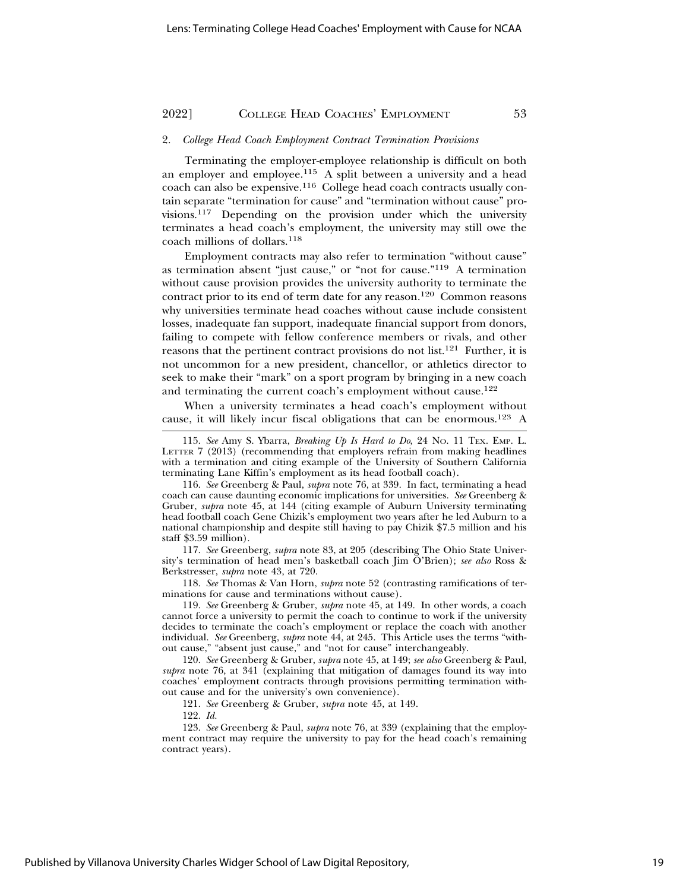#### 2. *College Head Coach Employment Contract Termination Provisions*

Terminating the employer-employee relationship is difficult on both an employer and employee.115 A split between a university and a head coach can also be expensive.116 College head coach contracts usually contain separate "termination for cause" and "termination without cause" provisions.117 Depending on the provision under which the university terminates a head coach's employment, the university may still owe the coach millions of dollars.118

Employment contracts may also refer to termination "without cause" as termination absent "just cause," or "not for cause."119 A termination without cause provision provides the university authority to terminate the contract prior to its end of term date for any reason.<sup>120</sup> Common reasons why universities terminate head coaches without cause include consistent losses, inadequate fan support, inadequate financial support from donors, failing to compete with fellow conference members or rivals, and other reasons that the pertinent contract provisions do not list.<sup>121</sup> Further, it is not uncommon for a new president, chancellor, or athletics director to seek to make their "mark" on a sport program by bringing in a new coach and terminating the current coach's employment without cause.<sup>122</sup>

When a university terminates a head coach's employment without cause, it will likely incur fiscal obligations that can be enormous.123 A

116. *See* Greenberg & Paul, *supra* note 76, at 339. In fact, terminating a head coach can cause daunting economic implications for universities. *See* Greenberg & Gruber, *supra* note 45, at 144 (citing example of Auburn University terminating head football coach Gene Chizik's employment two years after he led Auburn to a national championship and despite still having to pay Chizik \$7.5 million and his staff \$3.59 million).

117. *See* Greenberg, *supra* note 83, at 205 (describing The Ohio State University's termination of head men's basketball coach Jim O'Brien); *see also* Ross & Berkstresser, *supra* note 43, at 720.

118. *See* Thomas & Van Horn, *supra* note 52 (contrasting ramifications of terminations for cause and terminations without cause).

119. *See* Greenberg & Gruber, *supra* note 45, at 149. In other words, a coach cannot force a university to permit the coach to continue to work if the university decides to terminate the coach's employment or replace the coach with another individual. *See* Greenberg, *supra* note 44, at 245. This Article uses the terms "without cause," "absent just cause," and "not for cause" interchangeably.

120. *See* Greenberg & Gruber, *supra* note 45, at 149; *see also* Greenberg & Paul, *supra* note 76, at 341 (explaining that mitigation of damages found its way into coaches' employment contracts through provisions permitting termination without cause and for the university's own convenience).

121. *See* Greenberg & Gruber, *supra* note 45, at 149.

122. *Id.*

123. *See* Greenberg & Paul, *supra* note 76, at 339 (explaining that the employment contract may require the university to pay for the head coach's remaining contract years).

<sup>115.</sup> *See* Amy S. Ybarra, *Breaking Up Is Hard to Do*, 24 NO. 11 TEX. EMP. L. LETTER 7 (2013) (recommending that employers refrain from making headlines with a termination and citing example of the University of Southern California terminating Lane Kiffin's employment as its head football coach).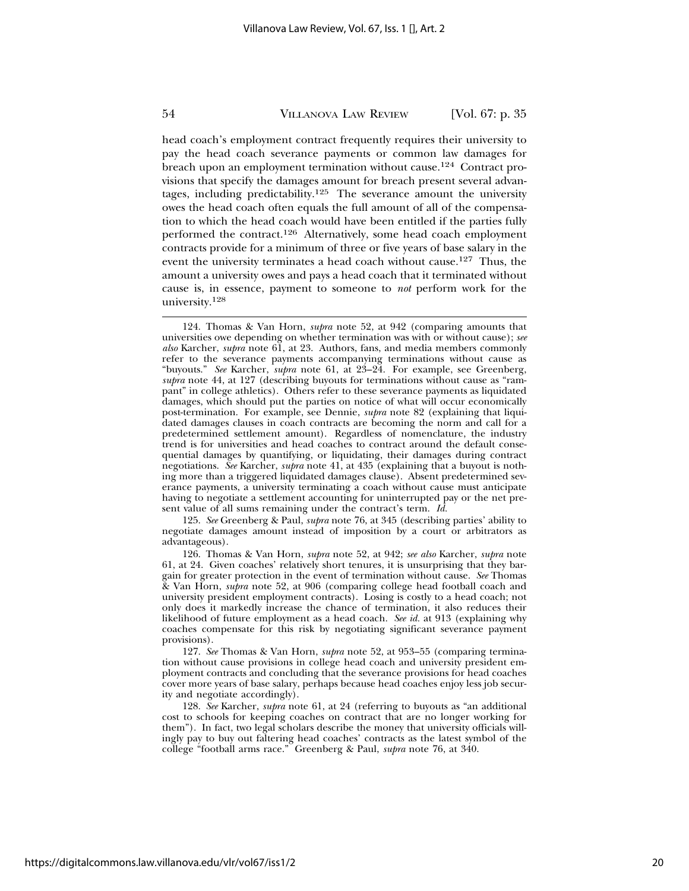head coach's employment contract frequently requires their university to pay the head coach severance payments or common law damages for breach upon an employment termination without cause.<sup>124</sup> Contract provisions that specify the damages amount for breach present several advantages, including predictability.<sup>125</sup> The severance amount the university owes the head coach often equals the full amount of all of the compensation to which the head coach would have been entitled if the parties fully performed the contract.126 Alternatively, some head coach employment contracts provide for a minimum of three or five years of base salary in the event the university terminates a head coach without cause.<sup>127</sup> Thus, the amount a university owes and pays a head coach that it terminated without cause is, in essence, payment to someone to *not* perform work for the university.<sup>128</sup>

125. *See* Greenberg & Paul, *supra* note 76, at 345 (describing parties' ability to negotiate damages amount instead of imposition by a court or arbitrators as advantageous).

126. Thomas & Van Horn, *supra* note 52, at 942; *see also* Karcher, *supra* note 61, at 24. Given coaches' relatively short tenures, it is unsurprising that they bargain for greater protection in the event of termination without cause. *See* Thomas & Van Horn, *supra* note 52, at 906 (comparing college head football coach and university president employment contracts). Losing is costly to a head coach; not only does it markedly increase the chance of termination, it also reduces their likelihood of future employment as a head coach. *See id.* at 913 (explaining why coaches compensate for this risk by negotiating significant severance payment provisions).

127. *See* Thomas & Van Horn, *supra* note 52, at 953–55 (comparing termination without cause provisions in college head coach and university president employment contracts and concluding that the severance provisions for head coaches cover more years of base salary, perhaps because head coaches enjoy less job security and negotiate accordingly).

128. *See* Karcher, *supra* note 61, at 24 (referring to buyouts as "an additional cost to schools for keeping coaches on contract that are no longer working for them"). In fact, two legal scholars describe the money that university officials willingly pay to buy out faltering head coaches' contracts as the latest symbol of the college "football arms race." Greenberg & Paul, *supra* note 76, at 340.

<sup>124.</sup> Thomas & Van Horn, *supra* note 52, at 942 (comparing amounts that universities owe depending on whether termination was with or without cause); *see also* Karcher, *supra* note 61, at 23. Authors, fans, and media members commonly refer to the severance payments accompanying terminations without cause as "buyouts." *See* Karcher, *supra* note 61, at 23–24. For example, see Greenberg, *supra* note 44, at 127 (describing buyouts for terminations without cause as "rampant" in college athletics). Others refer to these severance payments as liquidated damages, which should put the parties on notice of what will occur economically post-termination. For example, see Dennie, *supra* note 82 (explaining that liquidated damages clauses in coach contracts are becoming the norm and call for a predetermined settlement amount). Regardless of nomenclature, the industry trend is for universities and head coaches to contract around the default consequential damages by quantifying, or liquidating, their damages during contract negotiations. *See* Karcher, *supra* note 41, at 435 (explaining that a buyout is nothing more than a triggered liquidated damages clause). Absent predetermined severance payments, a university terminating a coach without cause must anticipate having to negotiate a settlement accounting for uninterrupted pay or the net present value of all sums remaining under the contract's term. *Id.*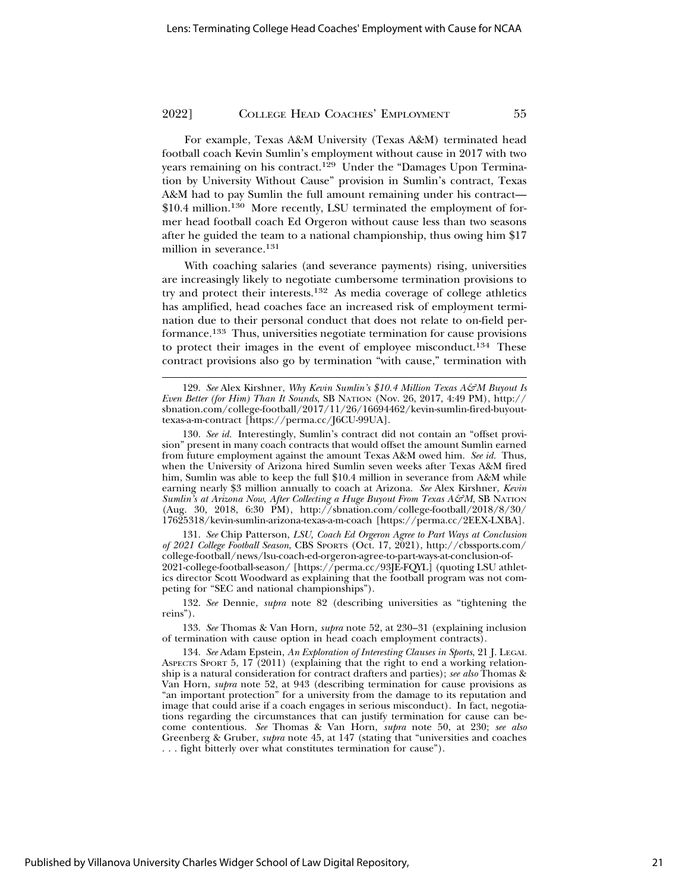For example, Texas A&M University (Texas A&M) terminated head football coach Kevin Sumlin's employment without cause in 2017 with two years remaining on his contract.<sup>129</sup> Under the "Damages Upon Termination by University Without Cause" provision in Sumlin's contract, Texas A&M had to pay Sumlin the full amount remaining under his contract— \$10.4 million.<sup>130</sup> More recently, LSU terminated the employment of former head football coach Ed Orgeron without cause less than two seasons after he guided the team to a national championship, thus owing him \$17 million in severance.131

With coaching salaries (and severance payments) rising, universities are increasingly likely to negotiate cumbersome termination provisions to try and protect their interests.132 As media coverage of college athletics has amplified, head coaches face an increased risk of employment termination due to their personal conduct that does not relate to on-field performance.133 Thus, universities negotiate termination for cause provisions to protect their images in the event of employee misconduct.134 These contract provisions also go by termination "with cause," termination with

131. *See* Chip Patterson, *LSU, Coach Ed Orgeron Agree to Part Ways at Conclusion of 2021 College Football Season*, CBS SPORTS (Oct. 17, 2021), http://cbssports.com/ college-football/news/lsu-coach-ed-orgeron-agree-to-part-ways-at-conclusion-of-2021-college-football-season/ [https://perma.cc/93JE-FQYL] (quoting LSU athletics director Scott Woodward as explaining that the football program was not competing for "SEC and national championships").

132. *See* Dennie, *supra* note 82 (describing universities as "tightening the reins").

133. *See* Thomas & Van Horn, *supra* note 52, at 230–31 (explaining inclusion of termination with cause option in head coach employment contracts).

<sup>129.</sup> *See* Alex Kirshner, *Why Kevin Sumlin's \$10.4 Million Texas A&M Buyout Is Even Better (for Him) Than It Sounds*, SB NATION (Nov. 26, 2017, 4:49 PM), http:// sbnation.com/college-football/2017/11/26/16694462/kevin-sumlin-fired-buyouttexas-a-m-contract [https://perma.cc/J6CU-99UA].

<sup>130.</sup> *See id.* Interestingly, Sumlin's contract did not contain an "offset provision" present in many coach contracts that would offset the amount Sumlin earned from future employment against the amount Texas A&M owed him. *See id.* Thus, when the University of Arizona hired Sumlin seven weeks after Texas A&M fired him, Sumlin was able to keep the full \$10.4 million in severance from A&M while earning nearly \$3 million annually to coach at Arizona. *See* Alex Kirshner, *Kevin Sumlin's at Arizona Now, After Collecting a Huge Buyout From Texas A&M*, SB NATION (Aug. 30, 2018, 6:30 PM), http://sbnation.com/college-football/2018/8/30/ 17625318/kevin-sumlin-arizona-texas-a-m-coach [https://perma.cc/2EEX-LXBA].

<sup>134.</sup> *See* Adam Epstein, *An Exploration of Interesting Clauses in Sports*, 21 J. LEGAL ASPECTS SPORT 5, 17 (2011) (explaining that the right to end a working relationship is a natural consideration for contract drafters and parties); *see also* Thomas & Van Horn, *supra* note 52, at 943 (describing termination for cause provisions as "an important protection" for a university from the damage to its reputation and image that could arise if a coach engages in serious misconduct). In fact, negotiations regarding the circumstances that can justify termination for cause can become contentious. *See* Thomas & Van Horn, *supra* note 50, at 230; *see also* Greenberg & Gruber, *supra* note 45, at 147 (stating that "universities and coaches . . . fight bitterly over what constitutes termination for cause").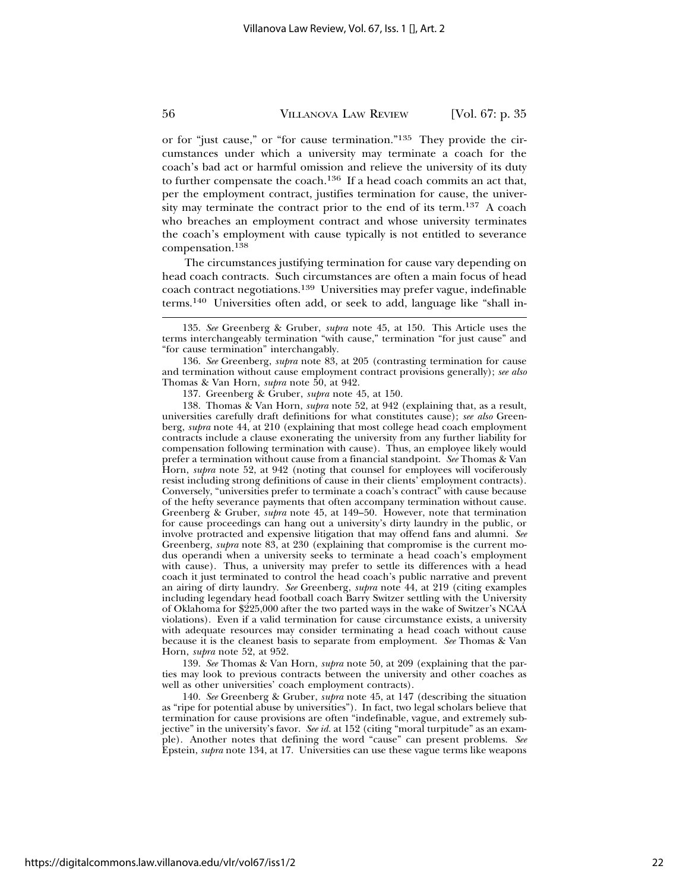or for "just cause," or "for cause termination."135 They provide the circumstances under which a university may terminate a coach for the coach's bad act or harmful omission and relieve the university of its duty to further compensate the coach.136 If a head coach commits an act that, per the employment contract, justifies termination for cause, the university may terminate the contract prior to the end of its term.137 A coach who breaches an employment contract and whose university terminates the coach's employment with cause typically is not entitled to severance compensation.<sup>138</sup>

The circumstances justifying termination for cause vary depending on head coach contracts. Such circumstances are often a main focus of head coach contract negotiations.139 Universities may prefer vague, indefinable terms.140 Universities often add, or seek to add, language like "shall in-

136. *See* Greenberg, *supra* note 83, at 205 (contrasting termination for cause and termination without cause employment contract provisions generally); *see also* Thomas & Van Horn, *supra* note 50, at 942.

137. Greenberg & Gruber, *supra* note 45, at 150.

138. Thomas & Van Horn, *supra* note 52, at 942 (explaining that, as a result, universities carefully draft definitions for what constitutes cause); *see also* Greenberg, *supra* note 44, at 210 (explaining that most college head coach employment contracts include a clause exonerating the university from any further liability for compensation following termination with cause). Thus, an employee likely would prefer a termination without cause from a financial standpoint. *See* Thomas & Van Horn, *supra* note 52, at 942 (noting that counsel for employees will vociferously resist including strong definitions of cause in their clients' employment contracts). Conversely, "universities prefer to terminate a coach's contract" with cause because of the hefty severance payments that often accompany termination without cause. Greenberg & Gruber, *supra* note 45, at 149–50. However, note that termination for cause proceedings can hang out a university's dirty laundry in the public, or involve protracted and expensive litigation that may offend fans and alumni. *See* Greenberg, *supra* note 83, at 230 (explaining that compromise is the current modus operandi when a university seeks to terminate a head coach's employment with cause). Thus, a university may prefer to settle its differences with a head coach it just terminated to control the head coach's public narrative and prevent an airing of dirty laundry. *See* Greenberg, *supra* note 44, at 219 (citing examples including legendary head football coach Barry Switzer settling with the University of Oklahoma for \$225,000 after the two parted ways in the wake of Switzer's NCAA violations). Even if a valid termination for cause circumstance exists, a university with adequate resources may consider terminating a head coach without cause because it is the cleanest basis to separate from employment. *See* Thomas & Van Horn, *supra* note 52, at 952.

139. *See* Thomas & Van Horn, *supra* note 50, at 209 (explaining that the parties may look to previous contracts between the university and other coaches as well as other universities' coach employment contracts).

140. *See* Greenberg & Gruber, *supra* note 45, at 147 (describing the situation as "ripe for potential abuse by universities"). In fact, two legal scholars believe that termination for cause provisions are often "indefinable, vague, and extremely subjective" in the university's favor. *See id.* at 152 (citing "moral turpitude" as an example). Another notes that defining the word "cause" can present problems. *See* Epstein, *supra* note 134, at 17. Universities can use these vague terms like weapons

<sup>135.</sup> *See* Greenberg & Gruber, *supra* note 45, at 150. This Article uses the terms interchangeably termination "with cause," termination "for just cause" and "for cause termination" interchangably.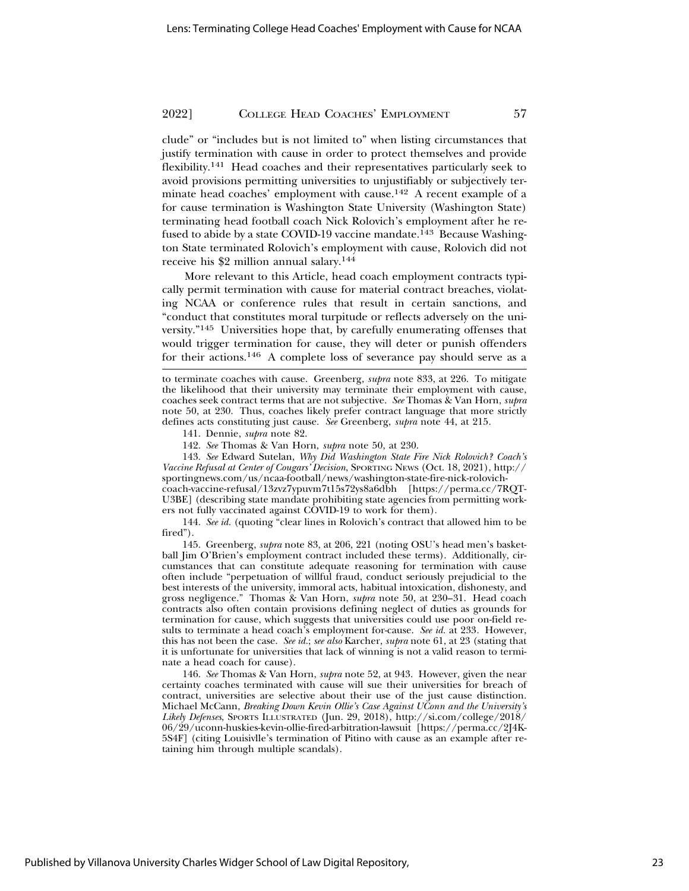clude" or "includes but is not limited to" when listing circumstances that justify termination with cause in order to protect themselves and provide flexibility.141 Head coaches and their representatives particularly seek to avoid provisions permitting universities to unjustifiably or subjectively terminate head coaches' employment with cause.142 A recent example of a for cause termination is Washington State University (Washington State) terminating head football coach Nick Rolovich's employment after he refused to abide by a state COVID-19 vaccine mandate.<sup>143</sup> Because Washington State terminated Rolovich's employment with cause, Rolovich did not receive his \$2 million annual salary.144

More relevant to this Article, head coach employment contracts typically permit termination with cause for material contract breaches, violating NCAA or conference rules that result in certain sanctions, and "conduct that constitutes moral turpitude or reflects adversely on the university."145 Universities hope that, by carefully enumerating offenses that would trigger termination for cause, they will deter or punish offenders for their actions.146 A complete loss of severance pay should serve as a

to terminate coaches with cause. Greenberg, *supra* note 833, at 226. To mitigate the likelihood that their university may terminate their employment with cause, coaches seek contract terms that are not subjective. *See* Thomas & Van Horn, *supra* note 50, at 230. Thus, coaches likely prefer contract language that more strictly defines acts constituting just cause. *See* Greenberg, *supra* note 44, at 215*.*

141. Dennie, *supra* note 82.

142. *See* Thomas & Van Horn, *supra* note 50, at 230.

143. *See* Edward Sutelan, *Why Did Washington State Fire Nick Rolovich? Coach's Vaccine Refusal at Center of Cougars' Decision*, SPORTING NEWS (Oct. 18, 2021), http:// sportingnews.com/us/ncaa-football/news/washington-state-fire-nick-rolovich-

coach-vaccine-refusal/13zvz7ypuvm7t15s72ys8a6dbh [https://perma.cc/7RQT-U3BE] (describing state mandate prohibiting state agencies from permitting workers not fully vaccinated against COVID-19 to work for them).

144. *See id.* (quoting "clear lines in Rolovich's contract that allowed him to be fired").

145. Greenberg, *supra* note 83, at 206, 221 (noting OSU's head men's basketball Jim O'Brien's employment contract included these terms). Additionally, circumstances that can constitute adequate reasoning for termination with cause often include "perpetuation of willful fraud, conduct seriously prejudicial to the best interests of the university, immoral acts, habitual intoxication, dishonesty, and gross negligence." Thomas & Van Horn, *supra* note 50, at 230–31. Head coach contracts also often contain provisions defining neglect of duties as grounds for termination for cause, which suggests that universities could use poor on-field results to terminate a head coach's employment for-cause. *See id.* at 233*.* However, this has not been the case. *See id.*; *see also* Karcher, *supra* note 61, at 23 (stating that it is unfortunate for universities that lack of winning is not a valid reason to terminate a head coach for cause).

146. *See* Thomas & Van Horn, *supra* note 52, at 943. However, given the near certainty coaches terminated with cause will sue their universities for breach of contract, universities are selective about their use of the just cause distinction. Michael McCann, *Breaking Down Kevin Ollie's Case Against UConn and the University's Likely Defenses*, SPORTS ILLUSTRATED (Jun. 29, 2018), http://si.com/college/2018/ 06/29/uconn-huskies-kevin-ollie-fired-arbitration-lawsuit [https://perma.cc/2J4K-5S4F] (citing Louisivlle's termination of Pitino with cause as an example after retaining him through multiple scandals).

Published by Villanova University Charles Widger School of Law Digital Repository,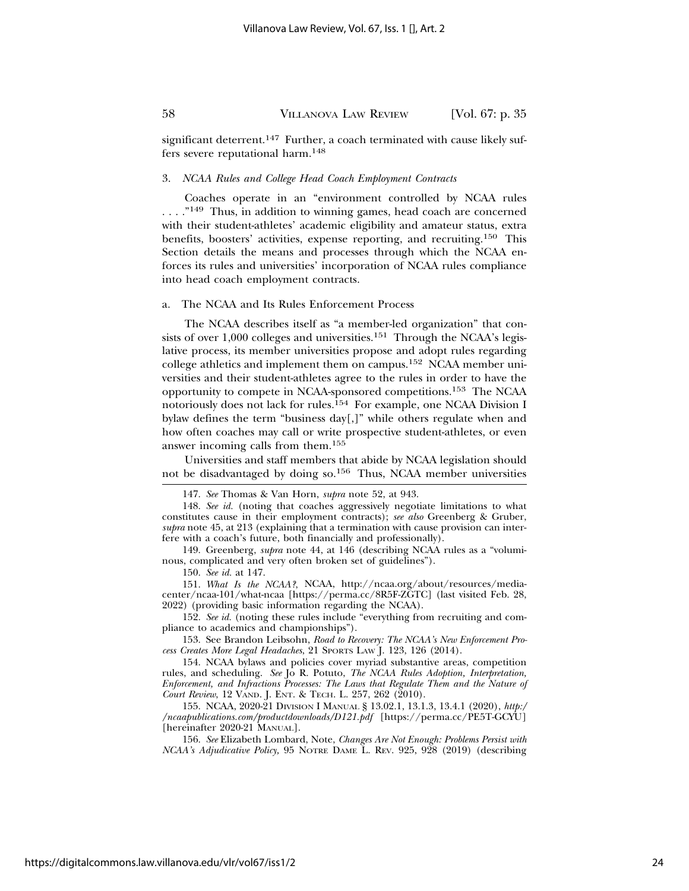significant deterrent.<sup>147</sup> Further, a coach terminated with cause likely suffers severe reputational harm.148

#### 3. *NCAA Rules and College Head Coach Employment Contracts*

Coaches operate in an "environment controlled by NCAA rules ...."<sup>149</sup> Thus, in addition to winning games, head coach are concerned with their student-athletes' academic eligibility and amateur status, extra benefits, boosters' activities, expense reporting, and recruiting.150 This Section details the means and processes through which the NCAA enforces its rules and universities' incorporation of NCAA rules compliance into head coach employment contracts.

#### a. The NCAA and Its Rules Enforcement Process

The NCAA describes itself as "a member-led organization" that consists of over  $1,000$  colleges and universities.<sup>151</sup> Through the NCAA's legislative process, its member universities propose and adopt rules regarding college athletics and implement them on campus.152 NCAA member universities and their student-athletes agree to the rules in order to have the opportunity to compete in NCAA-sponsored competitions.153 The NCAA notoriously does not lack for rules.154 For example, one NCAA Division I bylaw defines the term "business day[,]" while others regulate when and how often coaches may call or write prospective student-athletes, or even answer incoming calls from them.155

Universities and staff members that abide by NCAA legislation should not be disadvantaged by doing so.156 Thus, NCAA member universities

150. *See id.* at 147.

151. *What Is the NCAA?*, NCAA, http://ncaa.org/about/resources/mediacenter/ncaa-101/what-ncaa [https://perma.cc/8R5F-ZGTC] (last visited Feb. 28, 2022) (providing basic information regarding the NCAA).

152. *See id.* (noting these rules include "everything from recruiting and compliance to academics and championships").

153. See Brandon Leibsohn, *Road to Recovery: The NCAA's New Enforcement Process Creates More Legal Headaches*, 21 SPORTS LAW J. 123, 126 (2014).

154. NCAA bylaws and policies cover myriad substantive areas, competition rules, and scheduling. *See* Jo R. Potuto, *The NCAA Rules Adoption, Interpretation, Enforcement, and Infractions Processes: The Laws that Regulate Them and the Nature of Court Review*, 12 VAND. J. ENT. & TECH. L. 257, 262 (2010).

155. NCAA, 2020-21 DIVISION I MANUAL § 13.02.1, 13.1.3, 13.4.1 (2020), *http:/ /ncaapublications.com/productdownloads/D121.pdf* [https://perma.cc/PE5T-GCYU] [hereinafter 2020-21 MANUAL].

156. *See* Elizabeth Lombard, Note, *Changes Are Not Enough: Problems Persist with NCAA's Adjudicative Policy,* 95 NOTRE DAME L. REV. 925, 928 (2019) (describing

<sup>147.</sup> *See* Thomas & Van Horn, *supra* note 52, at 943.

<sup>148.</sup> *See id.* (noting that coaches aggressively negotiate limitations to what constitutes cause in their employment contracts); *see also* Greenberg & Gruber, *supra* note 45, at 213 (explaining that a termination with cause provision can interfere with a coach's future, both financially and professionally).

<sup>149.</sup> Greenberg, *supra* note 44, at 146 (describing NCAA rules as a "voluminous, complicated and very often broken set of guidelines").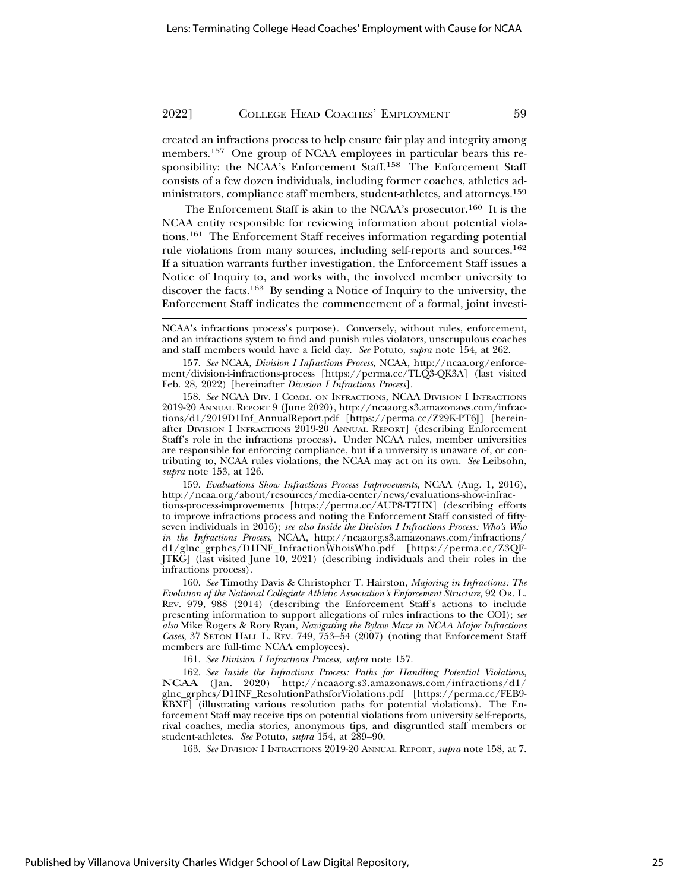created an infractions process to help ensure fair play and integrity among members.157 One group of NCAA employees in particular bears this responsibility: the NCAA's Enforcement Staff.<sup>158</sup> The Enforcement Staff consists of a few dozen individuals, including former coaches, athletics administrators, compliance staff members, student-athletes, and attorneys.159

The Enforcement Staff is akin to the NCAA's prosecutor.160 It is the NCAA entity responsible for reviewing information about potential violations.161 The Enforcement Staff receives information regarding potential rule violations from many sources, including self-reports and sources.162 If a situation warrants further investigation, the Enforcement Staff issues a Notice of Inquiry to, and works with, the involved member university to discover the facts.163 By sending a Notice of Inquiry to the university, the Enforcement Staff indicates the commencement of a formal, joint investi-

157. *See* NCAA, *Division I Infractions Process*, NCAA, http://ncaa.org/enforcement/division-i-infractions-process [https://perma.cc/TLQ3-QK3A] (last visited Feb. 28, 2022) [hereinafter *Division I Infractions Process*].

158. *See* NCAA DIV. I COMM. ON INFRACTIONS, NCAA DIVISION I INFRACTIONS 2019-20 ANNUAL REPORT 9 (June 2020), http://ncaaorg.s3.amazonaws.com/infractions/d1/2019D1Inf\_AnnualReport.pdf [https://perma.cc/Z29K-PT6J] [hereinafter DIVISION I INFRACTIONS 2019-20 ANNUAL REPORT] (describing Enforcement Staff's role in the infractions process). Under NCAA rules, member universities are responsible for enforcing compliance, but if a university is unaware of, or contributing to, NCAA rules violations, the NCAA may act on its own. *See* Leibsohn, *supra* note 153, at 126.

159. *Evaluations Show Infractions Process Improvements*, NCAA (Aug. 1, 2016), http://ncaa.org/about/resources/media-center/news/evaluations-show-infractions-process-improvements [https://perma.cc/AUP8-T7HX] (describing efforts to improve infractions process and noting the Enforcement Staff consisted of fiftyseven individuals in 2016); *see also Inside the Division I Infractions Process: Who's Who in the Infractions Process*, NCAA, http://ncaaorg.s3.amazonaws.com/infractions/ d1/glnc\_grphcs/D1INF\_InfractionWhoisWho.pdf [https://perma.cc/Z3QF-JTKG] (last visited June 10, 2021) (describing individuals and their roles in the infractions process).

160. *See* Timothy Davis & Christopher T. Hairston, *Majoring in Infractions: The Evolution of the National Collegiate Athletic Association's Enforcement Structure*, 92 OR. L. REV. 979, 988 (2014) (describing the Enforcement Staff's actions to include presenting information to support allegations of rules infractions to the COI); *see also* Mike Rogers & Rory Ryan, *Navigating the Bylaw Maze in NCAA Major Infractions Cases*, 37 SETON HALL L. REV. 749, 753–54 (2007) (noting that Enforcement Staff members are full-time NCAA employees).

161. *See Division I Infractions Process*, *supra* note 157.

162. *See Inside the Infractions Process: Paths for Handling Potential Violations*, NCAA (Jan. 2020) http://ncaaorg.s3.amazonaws.com/infractions/d1/ glnc\_grphcs/D1INF\_ResolutionPathsforViolations.pdf [https://perma.cc/FEB9- KBXF] (illustrating various resolution paths for potential violations). The Enforcement Staff may receive tips on potential violations from university self-reports, rival coaches, media stories, anonymous tips, and disgruntled staff members or student-athletes. *See* Potuto, *supra* 154, at 289–90.

163. *See* DIVISION I INFRACTIONS 2019-20 ANNUAL REPORT, *supra* note 158, at 7.

NCAA's infractions process's purpose). Conversely, without rules, enforcement, and an infractions system to find and punish rules violators, unscrupulous coaches and staff members would have a field day. *See* Potuto, *supra* note 154, at 262.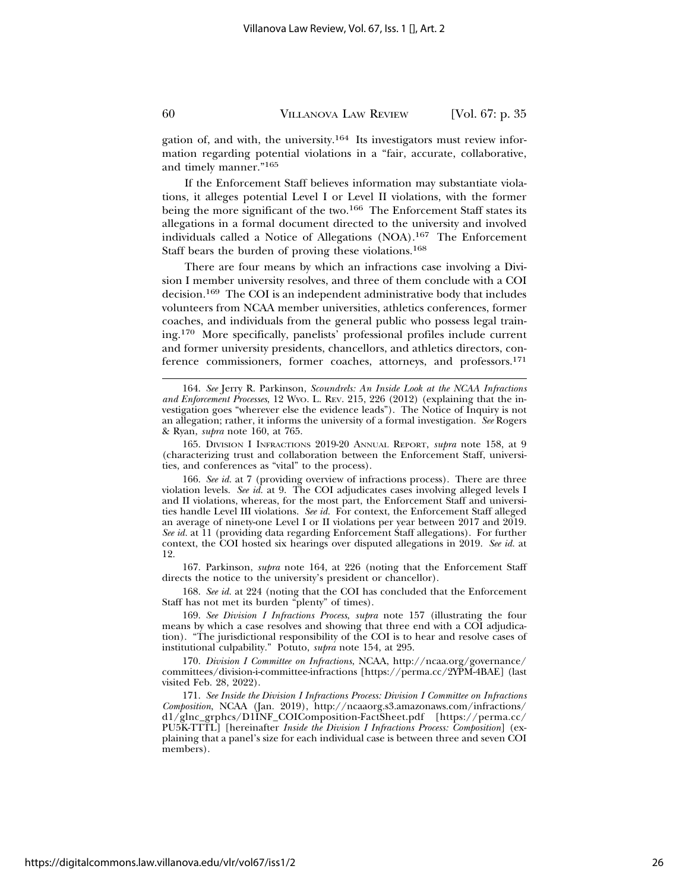gation of, and with, the university.164 Its investigators must review information regarding potential violations in a "fair, accurate, collaborative, and timely manner."165

If the Enforcement Staff believes information may substantiate violations, it alleges potential Level I or Level II violations, with the former being the more significant of the two.<sup>166</sup> The Enforcement Staff states its allegations in a formal document directed to the university and involved individuals called a Notice of Allegations (NOA).167 The Enforcement Staff bears the burden of proving these violations.168

There are four means by which an infractions case involving a Division I member university resolves, and three of them conclude with a COI decision.169 The COI is an independent administrative body that includes volunteers from NCAA member universities, athletics conferences, former coaches, and individuals from the general public who possess legal training.170 More specifically, panelists' professional profiles include current and former university presidents, chancellors, and athletics directors, conference commissioners, former coaches, attorneys, and professors.171

165. DIVISION I INFRACTIONS 2019-20 ANNUAL REPORT, *supra* note 158, at 9 (characterizing trust and collaboration between the Enforcement Staff, universities, and conferences as "vital" to the process).

166. *See id.* at 7 (providing overview of infractions process). There are three violation levels. *See id.* at 9. The COI adjudicates cases involving alleged levels I and II violations, whereas, for the most part, the Enforcement Staff and universities handle Level III violations. See id. For context, the Enforcement Staff alleged an average of ninety-one Level I or II violations per year between 2017 and 2019. *See id.* at 11 (providing data regarding Enforcement Staff allegations). For further context, the COI hosted six hearings over disputed allegations in 2019. *See id.* at 12.

167. Parkinson, *supra* note 164, at 226 (noting that the Enforcement Staff directs the notice to the university's president or chancellor).

168. *See id.* at 224 (noting that the COI has concluded that the Enforcement Staff has not met its burden "plenty" of times).

169. *See Division I Infractions Process*, *supra* note 157 (illustrating the four means by which a case resolves and showing that three end with a COI adjudication). "The jurisdictional responsibility of the COI is to hear and resolve cases of institutional culpability." Potuto, *supra* note 154, at 295.

170. *Division I Committee on Infractions*, NCAA, http://ncaa.org/governance/ committees/division-i-committee-infractions [https://perma.cc/2YPM-4BAE] (last visited Feb. 28, 2022).

171. *See Inside the Division I Infractions Process: Division I Committee on Infractions Composition*, NCAA (Jan. 2019), http://ncaaorg.s3.amazonaws.com/infractions/ d1/glnc\_grphcs/D1INF\_COIComposition-FactSheet.pdf [https://perma.cc/ PU5K-TTTL] [hereinafter *Inside the Division I Infractions Process: Composition*] (explaining that a panel's size for each individual case is between three and seven COI members).

<sup>164.</sup> *See* Jerry R. Parkinson, *Scoundrels: An Inside Look at the NCAA Infractions and Enforcement Processes*, 12 WYO. L. REV. 215, 226 (2012) (explaining that the investigation goes "wherever else the evidence leads"). The Notice of Inquiry is not an allegation; rather, it informs the university of a formal investigation. *See* Rogers & Ryan, *supra* note 160, at 765.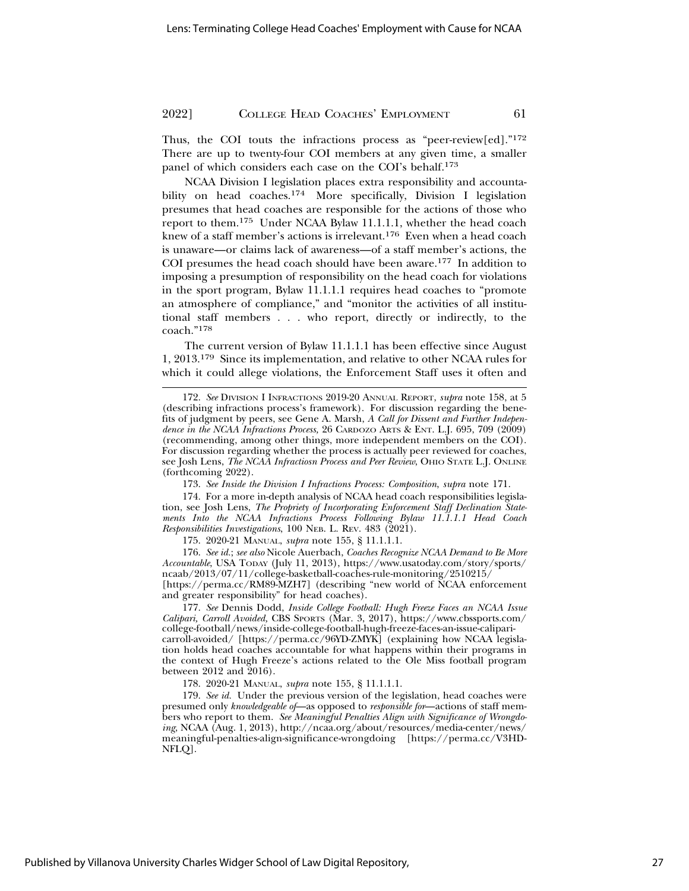Thus, the COI touts the infractions process as "peer-review[ed]."<sup>172</sup> There are up to twenty-four COI members at any given time, a smaller panel of which considers each case on the COI's behalf.173

NCAA Division I legislation places extra responsibility and accountability on head coaches.<sup>174</sup> More specifically, Division I legislation presumes that head coaches are responsible for the actions of those who report to them.175 Under NCAA Bylaw 11.1.1.1, whether the head coach knew of a staff member's actions is irrelevant.176 Even when a head coach is unaware—or claims lack of awareness—of a staff member's actions, the COI presumes the head coach should have been aware.177 In addition to imposing a presumption of responsibility on the head coach for violations in the sport program, Bylaw 11.1.1.1 requires head coaches to "promote an atmosphere of compliance," and "monitor the activities of all institutional staff members . . . who report, directly or indirectly, to the coach."<sup>178</sup>

The current version of Bylaw 11.1.1.1 has been effective since August 1, 2013.179 Since its implementation, and relative to other NCAA rules for which it could allege violations, the Enforcement Staff uses it often and

174. For a more in-depth analysis of NCAA head coach responsibilities legislation, see Josh Lens, *The Propriety of Incorporating Enforcement Staff Declination Statements Into the NCAA Infractions Process Following Bylaw 11.1.1.1 Head Coach Responsibilities Investigations*, 100 NEB. L. REV. 483 (2021).

175. 2020-21 MANUAL, *supra* note 155, § 11.1.1.1.

176. *See id.*; *see also* Nicole Auerbach, *Coaches Recognize NCAA Demand to Be More Accountable*, USA TODAY (July 11, 2013), https://www.usatoday.com/story/sports/ ncaab/2013/07/11/college-basketball-coaches-rule-monitoring/2510215/ [https://perma.cc/RM89-MZH7] (describing "new world of NCAA enforcement and greater responsibility" for head coaches).

177. *See* Dennis Dodd, *Inside College Football: Hugh Freeze Faces an NCAA Issue Calipari, Carroll Avoided,* CBS SPORTS (Mar. 3, 2017), https://www.cbssports.com/ college-football/news/inside-college-football-hugh-freeze-faces-an-issue-caliparicarroll-avoided/ [https://perma.cc/96YD-ZMYK] (explaining how NCAA legislation holds head coaches accountable for what happens within their programs in the context of Hugh Freeze's actions related to the Ole Miss football program between 2012 and 2016).

178. 2020-21 MANUAL, *supra* note 155, § 11.1.1.1.

179. *See id.* Under the previous version of the legislation, head coaches were presumed only *knowledgeable of*—as opposed to *responsible for*—actions of staff members who report to them. *See Meaningful Penalties Align with Significance of Wrongdoing*, NCAA (Aug. 1, 2013), http://ncaa.org/about/resources/media-center/news/ meaningful-penalties-align-significance-wrongdoing [https://perma.cc/V3HD-NFLQ].

<sup>172.</sup> *See* DIVISION I INFRACTIONS 2019-20 ANNUAL REPORT, *supra* note 158, at 5 (describing infractions process's framework). For discussion regarding the benefits of judgment by peers, see Gene A. Marsh, *A Call for Dissent and Further Independence in the NCAA Infractions Process,* 26 CARDOZO ARTS & ENT. L.J. 695, 709 (2009) (recommending, among other things, more independent members on the COI). For discussion regarding whether the process is actually peer reviewed for coaches, see Josh Lens, *The NCAA Infractiosn Process and Peer Review*, OHIO STATE L.J. ONLINE (forthcoming 2022).

<sup>173.</sup> *See Inside the Division I Infractions Process: Composition*, *supra* note 171.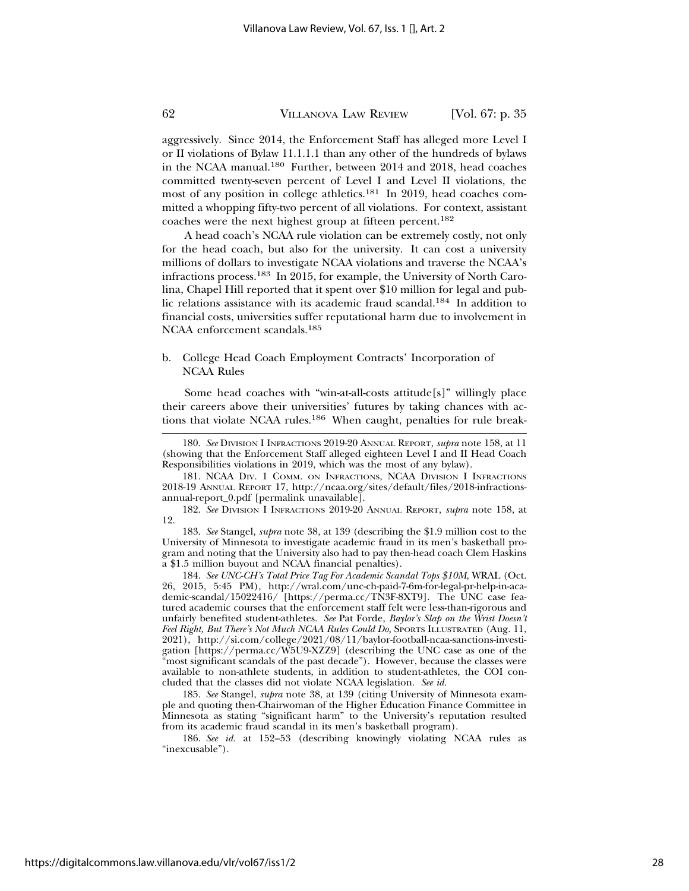aggressively. Since 2014, the Enforcement Staff has alleged more Level I or II violations of Bylaw 11.1.1.1 than any other of the hundreds of bylaws in the NCAA manual.180 Further, between 2014 and 2018, head coaches committed twenty-seven percent of Level I and Level II violations, the most of any position in college athletics.181 In 2019, head coaches committed a whopping fifty-two percent of all violations. For context, assistant coaches were the next highest group at fifteen percent.182

A head coach's NCAA rule violation can be extremely costly, not only for the head coach, but also for the university. It can cost a university millions of dollars to investigate NCAA violations and traverse the NCAA's infractions process.183 In 2015, for example, the University of North Carolina, Chapel Hill reported that it spent over \$10 million for legal and public relations assistance with its academic fraud scandal.184 In addition to financial costs, universities suffer reputational harm due to involvement in NCAA enforcement scandals.185

#### b. College Head Coach Employment Contracts' Incorporation of NCAA Rules

Some head coaches with "win-at-all-costs attitude[s]" willingly place their careers above their universities' futures by taking chances with actions that violate NCAA rules.<sup>186</sup> When caught, penalties for rule break-

182. *See* DIVISION I INFRACTIONS 2019-20 ANNUAL REPORT, *supra* note 158, at 12.

183. *See* Stangel, *supra* note 38, at 139 (describing the \$1.9 million cost to the University of Minnesota to investigate academic fraud in its men's basketball program and noting that the University also had to pay then-head coach Clem Haskins a \$1.5 million buyout and NCAA financial penalties).

184. *See UNC-CH's Total Price Tag For Academic Scandal Tops \$10M*, WRAL (Oct. 26, 2015, 5:45 PM), http://wral.com/unc-ch-paid-7-6m-for-legal-pr-help-in-academic-scandal/15022416/ [https://perma.cc/TN3F-8XT9]. The UNC case featured academic courses that the enforcement staff felt were less-than-rigorous and unfairly benefited student-athletes. *See* Pat Forde, *Baylor's Slap on the Wrist Doesn't Feel Right, But There's Not Much NCAA Rules Could Do, SPORTS ILLUSTRATED (Aug. 11,* 2021), http://si.com/college/2021/08/11/baylor-football-ncaa-sanctions-investigation [https://perma.cc/W5U9-XZZ9] (describing the UNC case as one of the "most significant scandals of the past decade"). However, because the classes were available to non-athlete students, in addition to student-athletes, the COI concluded that the classes did not violate NCAA legislation. *See id.*

185. *See* Stangel, *supra* note 38, at 139 (citing University of Minnesota example and quoting then-Chairwoman of the Higher Education Finance Committee in Minnesota as stating "significant harm" to the University's reputation resulted from its academic fraud scandal in its men's basketball program).

186. *See id.* at 152–53 (describing knowingly violating NCAA rules as "inexcusable").

<sup>180.</sup> *See* DIVISION I INFRACTIONS 2019-20 ANNUAL REPORT, *supra* note 158, at 11 (showing that the Enforcement Staff alleged eighteen Level I and II Head Coach Responsibilities violations in 2019, which was the most of any bylaw).

<sup>181.</sup> NCAA DIV. 1 COMM. ON INFRACTIONS, NCAA DIVISION I INFRACTIONS 2018-19 ANNUAL REPORT 17, http://ncaa.org/sites/default/files/2018-infractionsannual-report\_0.pdf [permalink unavailable].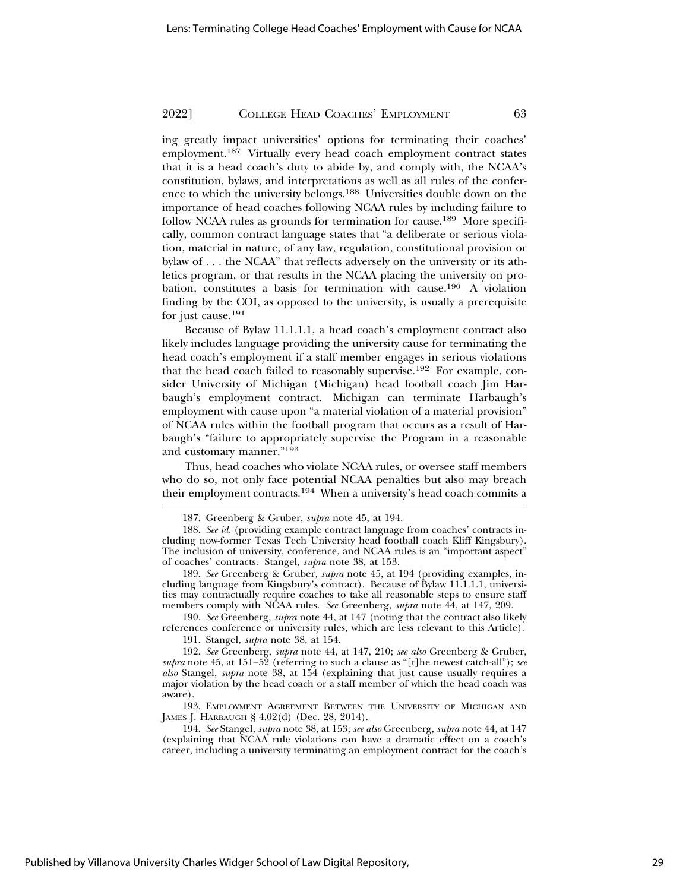ing greatly impact universities' options for terminating their coaches' employment.187 Virtually every head coach employment contract states that it is a head coach's duty to abide by, and comply with, the NCAA's constitution, bylaws, and interpretations as well as all rules of the conference to which the university belongs.188 Universities double down on the importance of head coaches following NCAA rules by including failure to follow NCAA rules as grounds for termination for cause.189 More specifically, common contract language states that "a deliberate or serious violation, material in nature, of any law, regulation, constitutional provision or bylaw of . . . the NCAA" that reflects adversely on the university or its athletics program, or that results in the NCAA placing the university on probation, constitutes a basis for termination with cause.190 A violation finding by the COI, as opposed to the university, is usually a prerequisite for just cause.191

Because of Bylaw 11.1.1.1, a head coach's employment contract also likely includes language providing the university cause for terminating the head coach's employment if a staff member engages in serious violations that the head coach failed to reasonably supervise.<sup>192</sup> For example, consider University of Michigan (Michigan) head football coach Jim Harbaugh's employment contract. Michigan can terminate Harbaugh's employment with cause upon "a material violation of a material provision" of NCAA rules within the football program that occurs as a result of Harbaugh's "failure to appropriately supervise the Program in a reasonable and customary manner."193

Thus, head coaches who violate NCAA rules, or oversee staff members who do so, not only face potential NCAA penalties but also may breach their employment contracts.<sup>194</sup> When a university's head coach commits a

190. *See* Greenberg, *supra* note 44, at 147 (noting that the contract also likely references conference or university rules, which are less relevant to this Article).

191. Stangel, *supra* note 38, at 154.

192. *See* Greenberg, *supra* note 44, at 147, 210; *see also* Greenberg & Gruber, *supra* note 45, at 151–52 (referring to such a clause as "[t]he newest catch-all"); *see also* Stangel, *supra* note 38, at 154 (explaining that just cause usually requires a major violation by the head coach or a staff member of which the head coach was aware).

193. EMPLOYMENT AGREEMENT BETWEEN THE UNIVERSITY OF MICHIGAN AND JAMES J. HARBAUGH § 4.02(d) (Dec. 28, 2014).

194. *See* Stangel, *supra* note 38, at 153; *see also* Greenberg, *supra* note 44, at 147 (explaining that NCAA rule violations can have a dramatic effect on a coach's career, including a university terminating an employment contract for the coach's

<sup>187.</sup> Greenberg & Gruber, *supra* note 45, at 194.

<sup>188.</sup> *See id.* (providing example contract language from coaches' contracts including now-former Texas Tech University head football coach Kliff Kingsbury). The inclusion of university, conference, and NCAA rules is an "important aspect" of coaches' contracts. Stangel, *supra* note 38, at 153.

<sup>189.</sup> *See* Greenberg & Gruber, *supra* note 45, at 194 (providing examples, including language from Kingsbury's contract). Because of Bylaw 11.1.1.1, universities may contractually require coaches to take all reasonable steps to ensure staff members comply with NCAA rules. *See* Greenberg, *supra* note 44, at 147, 209.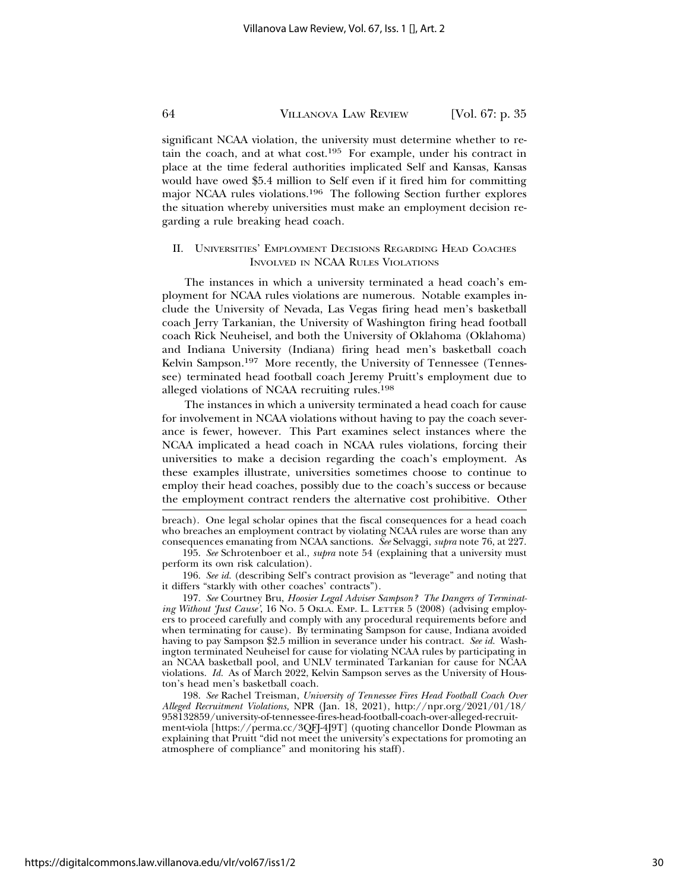significant NCAA violation, the university must determine whether to retain the coach, and at what cost.195 For example, under his contract in place at the time federal authorities implicated Self and Kansas, Kansas would have owed \$5.4 million to Self even if it fired him for committing major NCAA rules violations.196 The following Section further explores the situation whereby universities must make an employment decision regarding a rule breaking head coach.

#### II. UNIVERSITIES' EMPLOYMENT DECISIONS REGARDING HEAD COACHES INVOLVED IN NCAA RULES VIOLATIONS

The instances in which a university terminated a head coach's employment for NCAA rules violations are numerous. Notable examples include the University of Nevada, Las Vegas firing head men's basketball coach Jerry Tarkanian, the University of Washington firing head football coach Rick Neuheisel, and both the University of Oklahoma (Oklahoma) and Indiana University (Indiana) firing head men's basketball coach Kelvin Sampson.<sup>197</sup> More recently, the University of Tennessee (Tennessee) terminated head football coach Jeremy Pruitt's employment due to alleged violations of NCAA recruiting rules.198

The instances in which a university terminated a head coach for cause for involvement in NCAA violations without having to pay the coach severance is fewer, however. This Part examines select instances where the NCAA implicated a head coach in NCAA rules violations, forcing their universities to make a decision regarding the coach's employment. As these examples illustrate, universities sometimes choose to continue to employ their head coaches, possibly due to the coach's success or because the employment contract renders the alternative cost prohibitive. Other

breach). One legal scholar opines that the fiscal consequences for a head coach who breaches an employment contract by violating NCAA rules are worse than any consequences emanating from NCAA sanctions. *See* Selvaggi, *supra* note 76, at 227.

196. *See id.* (describing Self's contract provision as "leverage" and noting that it differs "starkly with other coaches' contracts").

197. *See* Courtney Bru, *Hoosier Legal Adviser Sampson? The Dangers of Terminating Without 'Just Cause'*, 16 NO. 5 OKLA. EMP. L. LETTER 5 (2008) (advising employers to proceed carefully and comply with any procedural requirements before and when terminating for cause). By terminating Sampson for cause, Indiana avoided having to pay Sampson \$2.5 million in severance under his contract. *See id.* Washington terminated Neuheisel for cause for violating NCAA rules by participating in an NCAA basketball pool, and UNLV terminated Tarkanian for cause for NCAA violations. *Id.* As of March 2022, Kelvin Sampson serves as the University of Houston's head men's basketball coach.

198. *See* Rachel Treisman, *University of Tennessee Fires Head Football Coach Over Alleged Recruitment Violations,* NPR (Jan. 18, 2021), http://npr.org/2021/01/18/ 958132859/university-of-tennessee-fires-head-football-coach-over-alleged-recruitment-viola [https://perma.cc/3QFJ-4J9T] (quoting chancellor Donde Plowman as explaining that Pruitt "did not meet the university's expectations for promoting an atmosphere of compliance" and monitoring his staff).

<sup>195.</sup> *See* Schrotenboer et al., *supra* note 54 (explaining that a university must perform its own risk calculation).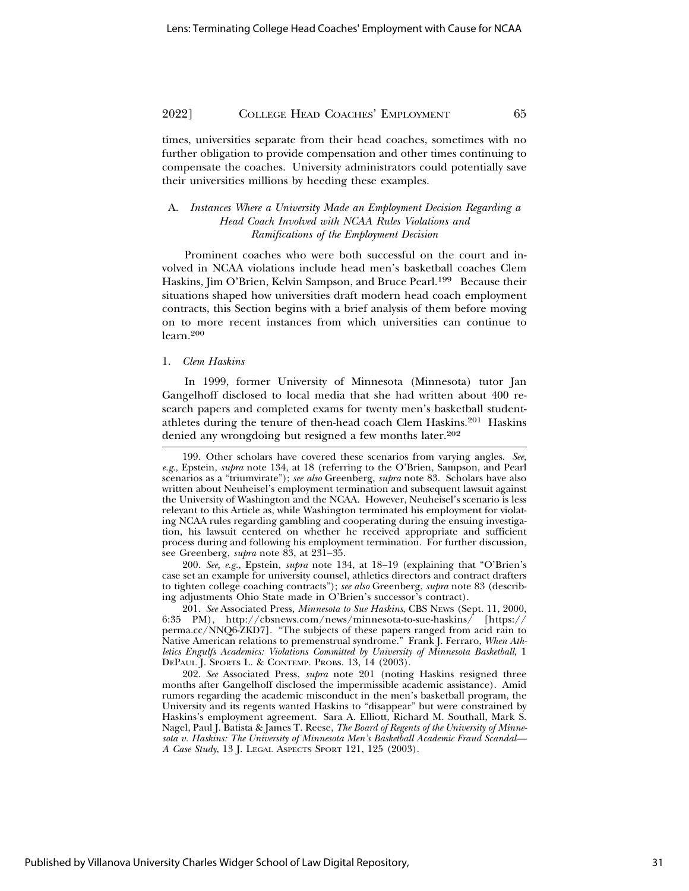times, universities separate from their head coaches, sometimes with no further obligation to provide compensation and other times continuing to compensate the coaches. University administrators could potentially save their universities millions by heeding these examples.

#### A. *Instances Where a University Made an Employment Decision Regarding a Head Coach Involved with NCAA Rules Violations and Ramifications of the Employment Decision*

Prominent coaches who were both successful on the court and involved in NCAA violations include head men's basketball coaches Clem Haskins, Jim O'Brien, Kelvin Sampson, and Bruce Pearl.<sup>199</sup> Because their situations shaped how universities draft modern head coach employment contracts, this Section begins with a brief analysis of them before moving on to more recent instances from which universities can continue to learn.<sup>200</sup>

#### 1. *Clem Haskins*

In 1999, former University of Minnesota (Minnesota) tutor Jan Gangelhoff disclosed to local media that she had written about 400 research papers and completed exams for twenty men's basketball studentathletes during the tenure of then-head coach Clem Haskins.<sup>201</sup> Haskins denied any wrongdoing but resigned a few months later.<sup>202</sup>

200. *See, e.g.*, Epstein, *supra* note 134, at 18–19 (explaining that "O'Brien's case set an example for university counsel, athletics directors and contract drafters to tighten college coaching contracts"); *see also* Greenberg, *supra* note 83 (describing adjustments Ohio State made in O'Brien's successor's contract).

201. *See* Associated Press, *Minnesota to Sue Haskins*, CBS NEWS (Sept. 11, 2000, 6:35 PM), http://cbsnews.com/news/minnesota-to-sue-haskins/ [https:// perma.cc/NNQ6-ZKD7]. "The subjects of these papers ranged from acid rain to Native American relations to premenstrual syndrome." Frank J. Ferraro, *When Athletics Engulfs Academics: Violations Committed by University of Minnesota Basketball*, 1 DEPAUL J. SPORTS L. & CONTEMP. PROBS. 13, 14 (2003).

202. *See* Associated Press, *supra* note 201 (noting Haskins resigned three months after Gangelhoff disclosed the impermissible academic assistance). Amid rumors regarding the academic misconduct in the men's basketball program, the University and its regents wanted Haskins to "disappear" but were constrained by Haskins's employment agreement. Sara A. Elliott, Richard M. Southall, Mark S. Nagel, Paul J. Batista & James T. Reese, *The Board of Regents of the University of Minnesota v. Haskins: The University of Minnesota Men's Basketball Academic Fraud Scandal— A Case Study*, 13 J. LEGAL ASPECTS SPORT 121, 125 (2003).

<sup>199.</sup> Other scholars have covered these scenarios from varying angles. *See, e.g*., Epstein, *supra* note 134, at 18 (referring to the O'Brien, Sampson, and Pearl scenarios as a "triumvirate"); *see also* Greenberg, *supra* note 83. Scholars have also written about Neuheisel's employment termination and subsequent lawsuit against the University of Washington and the NCAA. However, Neuheisel's scenario is less relevant to this Article as, while Washington terminated his employment for violating NCAA rules regarding gambling and cooperating during the ensuing investigation, his lawsuit centered on whether he received appropriate and sufficient process during and following his employment termination. For further discussion, see Greenberg, *supra* note 83, at 231–35.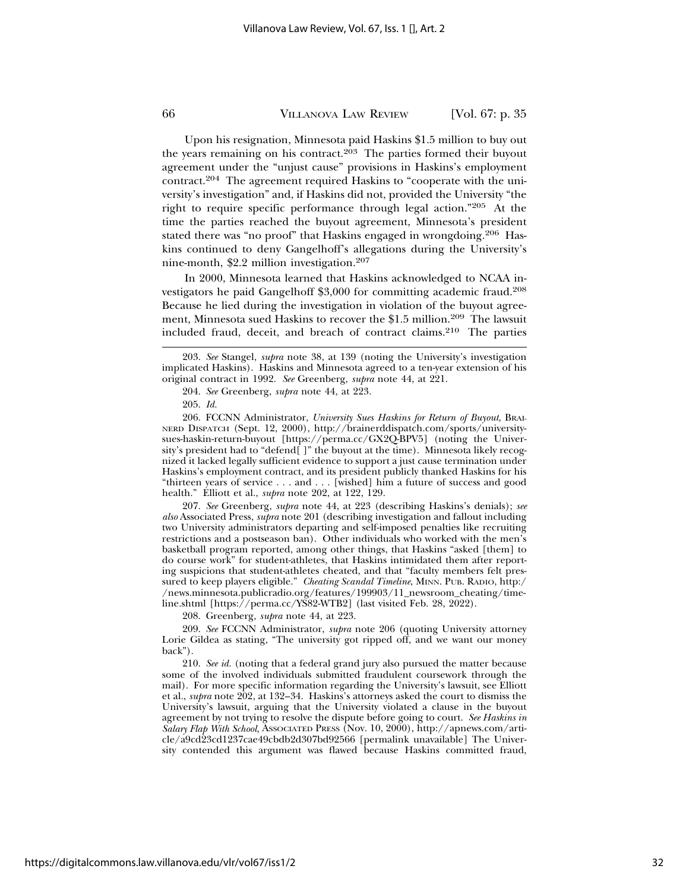Upon his resignation, Minnesota paid Haskins \$1.5 million to buy out the years remaining on his contract.<sup>203</sup> The parties formed their buyout agreement under the "unjust cause" provisions in Haskins's employment contract.204 The agreement required Haskins to "cooperate with the university's investigation" and, if Haskins did not, provided the University "the right to require specific performance through legal action."205 At the time the parties reached the buyout agreement, Minnesota's president stated there was "no proof" that Haskins engaged in wrongdoing.206 Haskins continued to deny Gangelhoff's allegations during the University's nine-month, \$2.2 million investigation.207

In 2000, Minnesota learned that Haskins acknowledged to NCAA investigators he paid Gangelhoff \$3,000 for committing academic fraud.208 Because he lied during the investigation in violation of the buyout agreement, Minnesota sued Haskins to recover the \$1.5 million.209 The lawsuit included fraud, deceit, and breach of contract claims.210 The parties

207. *See* Greenberg, *supra* note 44, at 223 (describing Haskins's denials); *see also* Associated Press, *supra* note 201 (describing investigation and fallout including two University administrators departing and self-imposed penalties like recruiting restrictions and a postseason ban). Other individuals who worked with the men's basketball program reported, among other things, that Haskins "asked [them] to do course work" for student-athletes, that Haskins intimidated them after reporting suspicions that student-athletes cheated, and that "faculty members felt pressured to keep players eligible." *Cheating Scandal Timeline*, MINN. PUB. RADIO, http:/ /news.minnesota.publicradio.org/features/199903/11\_newsroom\_cheating/timeline.shtml [https://perma.cc/YS82-WTB2] (last visited Feb. 28, 2022).

208. Greenberg, *supra* note 44, at 223.

209. *See* FCCNN Administrator, *supra* note 206 (quoting University attorney Lorie Gildea as stating, "The university got ripped off, and we want our money back").

210. *See id.* (noting that a federal grand jury also pursued the matter because some of the involved individuals submitted fraudulent coursework through the mail). For more specific information regarding the University's lawsuit, see Elliott et al., *supra* note 202, at 132–34. Haskins's attorneys asked the court to dismiss the University's lawsuit, arguing that the University violated a clause in the buyout agreement by not trying to resolve the dispute before going to court. *See Haskins in Salary Flap With School*, ASSOCIATED PRESS (Nov. 10, 2000), http://apnews.com/article/a9cd23cd1237cae49cbdb2d307bd92566 [permalink unavailable] The University contended this argument was flawed because Haskins committed fraud,

<sup>203.</sup> *See* Stangel, *supra* note 38, at 139 (noting the University's investigation implicated Haskins). Haskins and Minnesota agreed to a ten-year extension of his original contract in 1992. *See* Greenberg, *supra* note 44, at 221.

<sup>204.</sup> *See* Greenberg, *supra* note 44, at 223.

<sup>205.</sup> *Id.*

<sup>206.</sup> FCCNN Administrator, *University Sues Haskins for Return of Buyout*, BRAI-NERD DISPATCH (Sept. 12, 2000), http://brainerddispatch.com/sports/universitysues-haskin-return-buyout [https://perma.cc/GX2Q-BPV5] (noting the University's president had to "defend[ ]" the buyout at the time). Minnesota likely recognized it lacked legally sufficient evidence to support a just cause termination under Haskins's employment contract, and its president publicly thanked Haskins for his "thirteen years of service . . . and . . . [wished] him a future of success and good health." Elliott et al., *supra* note 202, at 122, 129.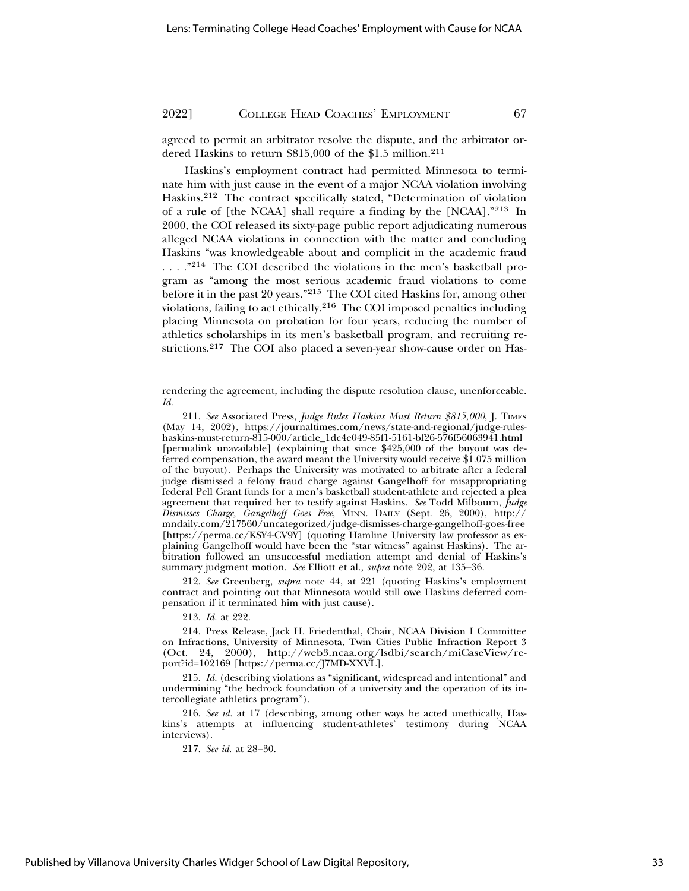agreed to permit an arbitrator resolve the dispute, and the arbitrator ordered Haskins to return \$815,000 of the \$1.5 million.211

Haskins's employment contract had permitted Minnesota to terminate him with just cause in the event of a major NCAA violation involving Haskins.212 The contract specifically stated, "Determination of violation of a rule of [the NCAA] shall require a finding by the [NCAA]."213 In 2000, the COI released its sixty-page public report adjudicating numerous alleged NCAA violations in connection with the matter and concluding Haskins "was knowledgeable about and complicit in the academic fraud ...."<sup>214</sup> The COI described the violations in the men's basketball program as "among the most serious academic fraud violations to come before it in the past 20 years."215 The COI cited Haskins for, among other violations, failing to act ethically.216 The COI imposed penalties including placing Minnesota on probation for four years, reducing the number of athletics scholarships in its men's basketball program, and recruiting restrictions.217 The COI also placed a seven-year show-cause order on Has-

212. *See* Greenberg, *supra* note 44, at 221 (quoting Haskins's employment contract and pointing out that Minnesota would still owe Haskins deferred compensation if it terminated him with just cause).

213. *Id.* at 222.

215. *Id.* (describing violations as "significant, widespread and intentional" and undermining "the bedrock foundation of a university and the operation of its intercollegiate athletics program").

rendering the agreement, including the dispute resolution clause, unenforceable. *Id.*

<sup>211.</sup> *See* Associated Press, *Judge Rules Haskins Must Return \$815,000*, J. TIMES (May 14, 2002), https://journaltimes.com/news/state-and-regional/judge-ruleshaskins-must-return-815-000/article\_1dc4e049-85f1-5161-bf26-576f56063941.html [permalink unavailable] (explaining that since \$425,000 of the buyout was deferred compensation, the award meant the University would receive \$1.075 million of the buyout). Perhaps the University was motivated to arbitrate after a federal judge dismissed a felony fraud charge against Gangelhoff for misappropriating federal Pell Grant funds for a men's basketball student-athlete and rejected a plea agreement that required her to testify against Haskins. *See* Todd Milbourn, *Judge Dismisses Charge, Gangelhoff Goes Free*, MINN. DAILY (Sept. 26, 2000), http:// mndaily.com/217560/uncategorized/judge-dismisses-charge-gangelhoff-goes-free [https://perma.cc/KSY4-CV9Y] (quoting Hamline University law professor as explaining Gangelhoff would have been the "star witness" against Haskins). The arbitration followed an unsuccessful mediation attempt and denial of Haskins's summary judgment motion. *See* Elliott et al., *supra* note 202, at 135–36.

<sup>214.</sup> Press Release, Jack H. Friedenthal, Chair, NCAA Division I Committee on Infractions, University of Minnesota, Twin Cities Public Infraction Report 3 (Oct. 24, 2000), http://web3.ncaa.org/lsdbi/search/miCaseView/report?id=102169 [https://perma.cc/J7MD-XXVL].

<sup>216.</sup> *See id.* at 17 (describing, among other ways he acted unethically, Haskins's attempts at influencing student-athletes' testimony during NCAA interviews).

<sup>217.</sup> *See id.* at 28–30.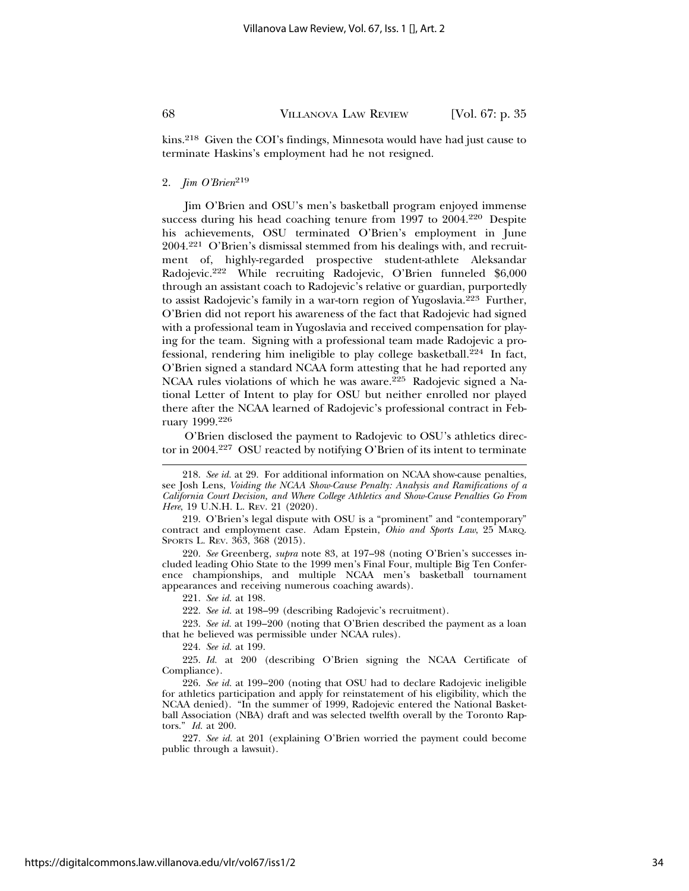kins.218 Given the COI's findings, Minnesota would have had just cause to terminate Haskins's employment had he not resigned.

#### 2. *Jim O'Brien*<sup>219</sup>

Jim O'Brien and OSU's men's basketball program enjoyed immense success during his head coaching tenure from 1997 to 2004.<sup>220</sup> Despite his achievements, OSU terminated O'Brien's employment in June 2004.221 O'Brien's dismissal stemmed from his dealings with, and recruitment of, highly-regarded prospective student-athlete Aleksandar Radojevic.222 While recruiting Radojevic, O'Brien funneled \$6,000 through an assistant coach to Radojevic's relative or guardian, purportedly to assist Radojevic's family in a war-torn region of Yugoslavia.223 Further, O'Brien did not report his awareness of the fact that Radojevic had signed with a professional team in Yugoslavia and received compensation for playing for the team. Signing with a professional team made Radojevic a professional, rendering him ineligible to play college basketball.224 In fact, O'Brien signed a standard NCAA form attesting that he had reported any NCAA rules violations of which he was aware.225 Radojevic signed a National Letter of Intent to play for OSU but neither enrolled nor played there after the NCAA learned of Radojevic's professional contract in February 1999.226

O'Brien disclosed the payment to Radojevic to OSU's athletics director in 2004.<sup>227</sup> OSU reacted by notifying O'Brien of its intent to terminate

220. *See* Greenberg, *supra* note 83, at 197–98 (noting O'Brien's successes included leading Ohio State to the 1999 men's Final Four, multiple Big Ten Conference championships, and multiple NCAA men's basketball tournament appearances and receiving numerous coaching awards).

221. *See id.* at 198.

222. *See id.* at 198–99 (describing Radojevic's recruitment).

223. *See id.* at 199–200 (noting that O'Brien described the payment as a loan that he believed was permissible under NCAA rules).

224. *See id.* at 199.

225. *Id.* at 200 (describing O'Brien signing the NCAA Certificate of Compliance).

227. *See id.* at 201 (explaining O'Brien worried the payment could become public through a lawsuit).

<sup>218.</sup> *See id.* at 29. For additional information on NCAA show-cause penalties, see Josh Lens, *Voiding the NCAA Show-Cause Penalty: Analysis and Ramifications of a California Court Decision, and Where College Athletics and Show-Cause Penalties Go From Here*, 19 U.N.H. L. REV. 21 (2020).

<sup>219.</sup> O'Brien's legal dispute with OSU is a "prominent" and "contemporary" contract and employment case. Adam Epstein, *Ohio and Sports Law*, 25 MARQ. SPORTS L. REV. 363, 368 (2015).

<sup>226.</sup> *See id.* at 199–200 (noting that OSU had to declare Radojevic ineligible for athletics participation and apply for reinstatement of his eligibility, which the NCAA denied). "In the summer of 1999, Radojevic entered the National Basketball Association (NBA) draft and was selected twelfth overall by the Toronto Raptors." *Id.* at 200.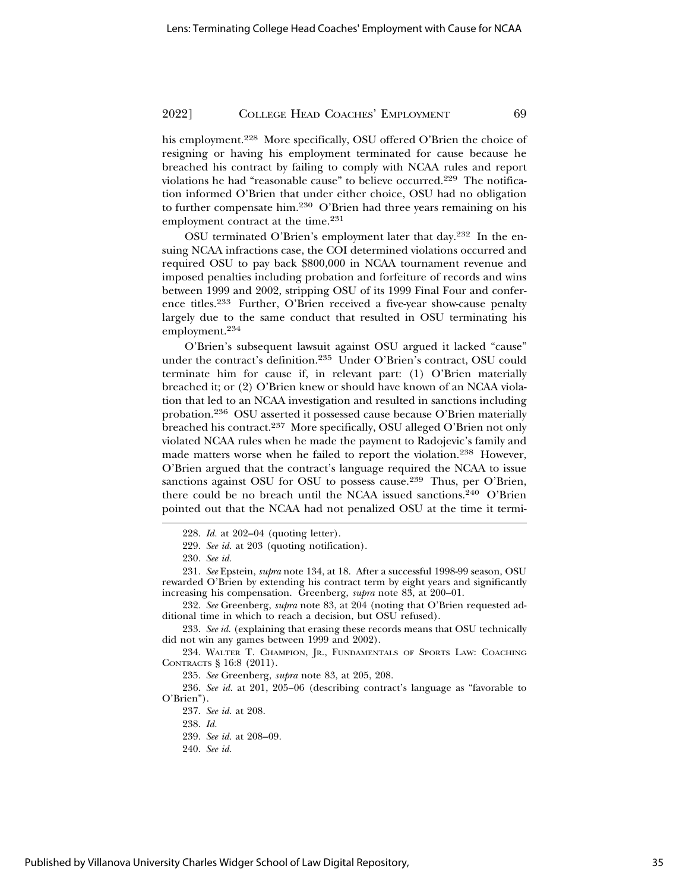his employment.<sup>228</sup> More specifically, OSU offered O'Brien the choice of resigning or having his employment terminated for cause because he breached his contract by failing to comply with NCAA rules and report violations he had "reasonable cause" to believe occurred.229 The notification informed O'Brien that under either choice, OSU had no obligation to further compensate him.<sup>230</sup> O'Brien had three years remaining on his employment contract at the time.<sup>231</sup>

OSU terminated O'Brien's employment later that day.232 In the ensuing NCAA infractions case, the COI determined violations occurred and required OSU to pay back \$800,000 in NCAA tournament revenue and imposed penalties including probation and forfeiture of records and wins between 1999 and 2002, stripping OSU of its 1999 Final Four and conference titles.233 Further, O'Brien received a five-year show-cause penalty largely due to the same conduct that resulted in OSU terminating his employment.<sup>234</sup>

O'Brien's subsequent lawsuit against OSU argued it lacked "cause" under the contract's definition.235 Under O'Brien's contract, OSU could terminate him for cause if, in relevant part: (1) O'Brien materially breached it; or (2) O'Brien knew or should have known of an NCAA violation that led to an NCAA investigation and resulted in sanctions including probation.236 OSU asserted it possessed cause because O'Brien materially breached his contract.<sup>237</sup> More specifically, OSU alleged O'Brien not only violated NCAA rules when he made the payment to Radojevic's family and made matters worse when he failed to report the violation.238 However, O'Brien argued that the contract's language required the NCAA to issue sanctions against OSU for OSU to possess cause.<sup>239</sup> Thus, per O'Brien, there could be no breach until the NCAA issued sanctions.<sup>240</sup> O'Brien pointed out that the NCAA had not penalized OSU at the time it termi-

235. *See* Greenberg, *supra* note 83, at 205, 208.

<sup>228.</sup> *Id.* at 202–04 (quoting letter).

<sup>229.</sup> *See id.* at 203 (quoting notification).

<sup>230.</sup> *See id.*

<sup>231.</sup> *See* Epstein, *supra* note 134, at 18. After a successful 1998-99 season, OSU rewarded O'Brien by extending his contract term by eight years and significantly increasing his compensation. Greenberg, *supra* note 83, at 200–01.

<sup>232.</sup> *See* Greenberg, *supra* note 83, at 204 (noting that O'Brien requested additional time in which to reach a decision, but OSU refused).

<sup>233.</sup> *See id.* (explaining that erasing these records means that OSU technically did not win any games between 1999 and 2002).

<sup>234.</sup> WALTER T. CHAMPION, JR., FUNDAMENTALS OF SPORTS LAW: COACHING CONTRACTS § 16:8 (2011).

<sup>236.</sup> *See id.* at 201, 205–06 (describing contract's language as "favorable to O'Brien").

<sup>237.</sup> *See id.* at 208.

<sup>238.</sup> *Id.*

<sup>239.</sup> *See id.* at 208–09.

<sup>240.</sup> *See id.*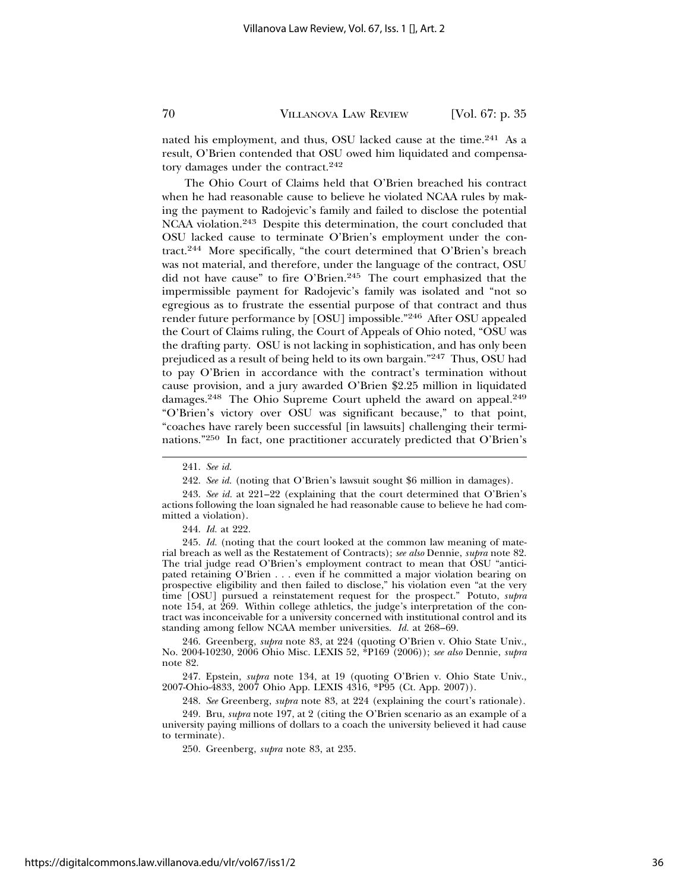nated his employment, and thus, OSU lacked cause at the time.<sup>241</sup> As a result, O'Brien contended that OSU owed him liquidated and compensatory damages under the contract.<sup>242</sup>

The Ohio Court of Claims held that O'Brien breached his contract when he had reasonable cause to believe he violated NCAA rules by making the payment to Radojevic's family and failed to disclose the potential NCAA violation.243 Despite this determination, the court concluded that OSU lacked cause to terminate O'Brien's employment under the contract.244 More specifically, "the court determined that O'Brien's breach was not material, and therefore, under the language of the contract, OSU did not have cause" to fire O'Brien.<sup>245</sup> The court emphasized that the impermissible payment for Radojevic's family was isolated and "not so egregious as to frustrate the essential purpose of that contract and thus render future performance by [OSU] impossible."246 After OSU appealed the Court of Claims ruling, the Court of Appeals of Ohio noted, "OSU was the drafting party. OSU is not lacking in sophistication, and has only been prejudiced as a result of being held to its own bargain."247 Thus, OSU had to pay O'Brien in accordance with the contract's termination without cause provision, and a jury awarded O'Brien \$2.25 million in liquidated damages.<sup>248</sup> The Ohio Supreme Court upheld the award on appeal.<sup>249</sup> "O'Brien's victory over OSU was significant because," to that point, "coaches have rarely been successful [in lawsuits] challenging their terminations."250 In fact, one practitioner accurately predicted that O'Brien's

244. *Id.* at 222.

245. *Id.* (noting that the court looked at the common law meaning of material breach as well as the Restatement of Contracts); *see also* Dennie, *supra* note 82. The trial judge read O'Brien's employment contract to mean that OSU "anticipated retaining O'Brien . . . even if he committed a major violation bearing on prospective eligibility and then failed to disclose," his violation even "at the very time [OSU] pursued a reinstatement request for the prospect." Potuto, *supra* note 154, at 269. Within college athletics, the judge's interpretation of the contract was inconceivable for a university concerned with institutional control and its standing among fellow NCAA member universities. *Id.* at 268–69.

246. Greenberg, *supra* note 83, at 224 (quoting O'Brien v. Ohio State Univ., No. 2004-10230, 2006 Ohio Misc. LEXIS 52, \*P169 (2006)); *see also* Dennie, *supra* note 82.

247. Epstein, *supra* note 134, at 19 (quoting O'Brien v. Ohio State Univ., 2007-Ohio-4833, 2007 Ohio App. LEXIS 4316, \*P95 (Ct. App. 2007)).

248. *See* Greenberg, *supra* note 83, at 224 (explaining the court's rationale).

249. Bru, *supra* note 197, at 2 (citing the O'Brien scenario as an example of a university paying millions of dollars to a coach the university believed it had cause to terminate).

250. Greenberg, *supra* note 83, at 235.

<sup>241.</sup> *See id.*

<sup>242.</sup> *See id.* (noting that O'Brien's lawsuit sought \$6 million in damages).

<sup>243.</sup> *See id.* at 221–22 (explaining that the court determined that O'Brien's actions following the loan signaled he had reasonable cause to believe he had committed a violation).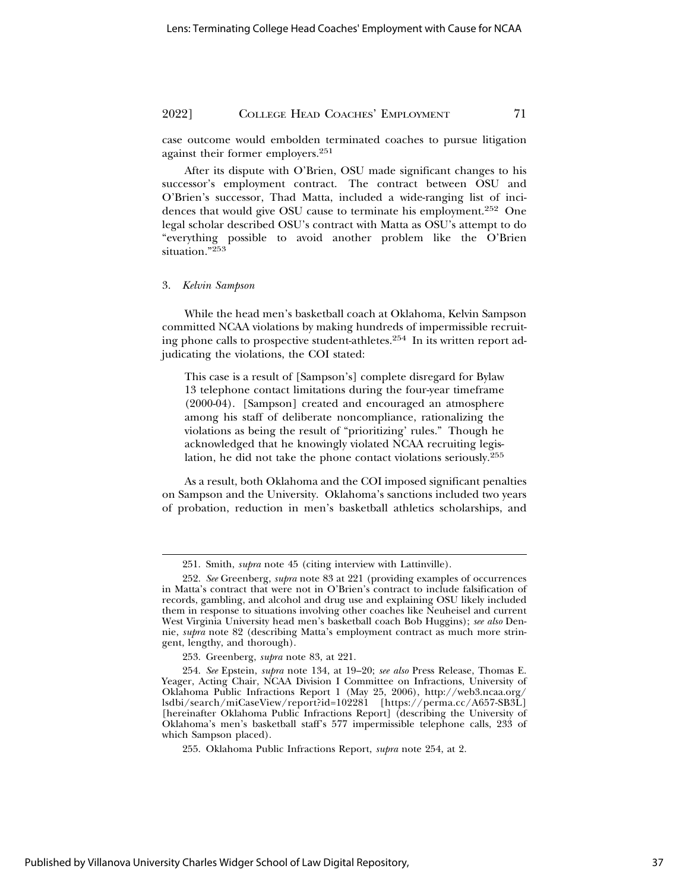case outcome would embolden terminated coaches to pursue litigation against their former employers.251

After its dispute with O'Brien, OSU made significant changes to his successor's employment contract. The contract between OSU and O'Brien's successor, Thad Matta, included a wide-ranging list of incidences that would give OSU cause to terminate his employment.<sup>252</sup> One legal scholar described OSU's contract with Matta as OSU's attempt to do "everything possible to avoid another problem like the O'Brien situation."<sup>253</sup>

#### 3. *Kelvin Sampson*

While the head men's basketball coach at Oklahoma, Kelvin Sampson committed NCAA violations by making hundreds of impermissible recruiting phone calls to prospective student-athletes.254 In its written report adjudicating the violations, the COI stated:

This case is a result of [Sampson's] complete disregard for Bylaw 13 telephone contact limitations during the four-year timeframe (2000-04). [Sampson] created and encouraged an atmosphere among his staff of deliberate noncompliance, rationalizing the violations as being the result of "prioritizing' rules." Though he acknowledged that he knowingly violated NCAA recruiting legislation, he did not take the phone contact violations seriously.255

As a result, both Oklahoma and the COI imposed significant penalties on Sampson and the University. Oklahoma's sanctions included two years of probation, reduction in men's basketball athletics scholarships, and

<sup>251.</sup> Smith, *supra* note 45 (citing interview with Lattinville).

<sup>252.</sup> *See* Greenberg, *supra* note 83 at 221 (providing examples of occurrences in Matta's contract that were not in O'Brien's contract to include falsification of records, gambling, and alcohol and drug use and explaining OSU likely included them in response to situations involving other coaches like Neuheisel and current West Virginia University head men's basketball coach Bob Huggins); *see also* Dennie, *supra* note 82 (describing Matta's employment contract as much more stringent, lengthy, and thorough).

<sup>253.</sup> Greenberg, *supra* note 83, at 221.

<sup>254.</sup> *See* Epstein, *supra* note 134, at 19–20; *see also* Press Release, Thomas E. Yeager, Acting Chair, NCAA Division I Committee on Infractions, University of Oklahoma Public Infractions Report 1 (May 25, 2006), http://web3.ncaa.org/ lsdbi/search/miCaseView/report?id=102281 [https://perma.cc/A657-SB3L] [hereinafter Oklahoma Public Infractions Report] (describing the University of Oklahoma's men's basketball staff's 577 impermissible telephone calls, 233 of which Sampson placed).

<sup>255.</sup> Oklahoma Public Infractions Report, *supra* note 254, at 2.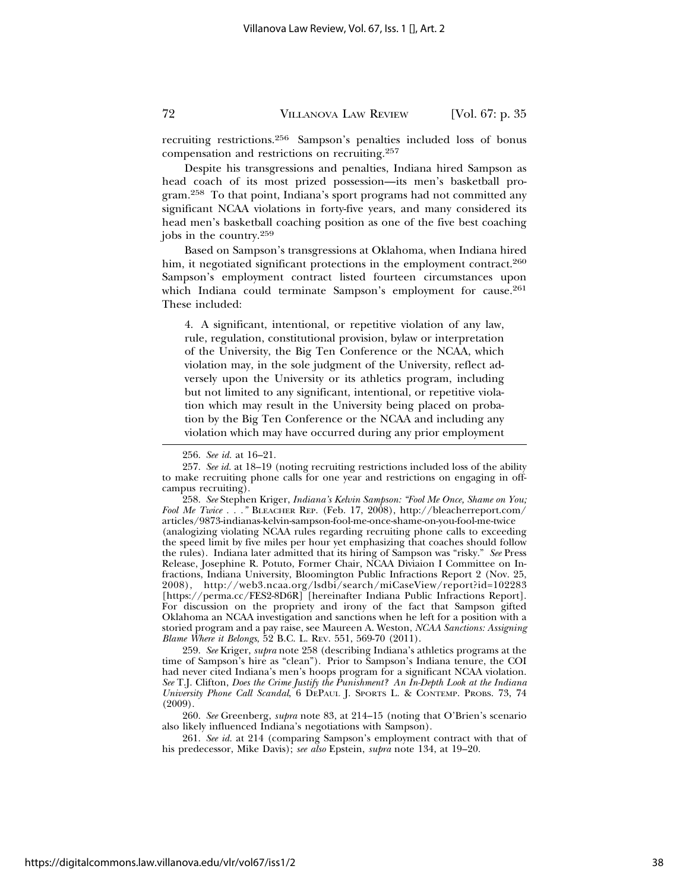recruiting restrictions.256 Sampson's penalties included loss of bonus compensation and restrictions on recruiting.257

Despite his transgressions and penalties, Indiana hired Sampson as head coach of its most prized possession—its men's basketball program.258 To that point, Indiana's sport programs had not committed any significant NCAA violations in forty-five years, and many considered its head men's basketball coaching position as one of the five best coaching jobs in the country.259

Based on Sampson's transgressions at Oklahoma, when Indiana hired him, it negotiated significant protections in the employment contract.<sup>260</sup> Sampson's employment contract listed fourteen circumstances upon which Indiana could terminate Sampson's employment for cause.<sup>261</sup> These included:

4. A significant, intentional, or repetitive violation of any law, rule, regulation, constitutional provision, bylaw or interpretation of the University, the Big Ten Conference or the NCAA, which violation may, in the sole judgment of the University, reflect adversely upon the University or its athletics program, including but not limited to any significant, intentional, or repetitive violation which may result in the University being placed on probation by the Big Ten Conference or the NCAA and including any violation which may have occurred during any prior employment

258. *See* Stephen Kriger, *Indiana's Kelvin Sampson: "Fool Me Once, Shame on You; Fool Me Twice . . ."* BLEACHER REP. (Feb. 17, 2008), http://bleacherreport.com/ articles/9873-indianas-kelvin-sampson-fool-me-once-shame-on-you-fool-me-twice (analogizing violating NCAA rules regarding recruiting phone calls to exceeding the speed limit by five miles per hour yet emphasizing that coaches should follow the rules). Indiana later admitted that its hiring of Sampson was "risky." *See* Press Release, Josephine R. Potuto, Former Chair, NCAA Diviaion I Committee on Infractions, Indiana University, Bloomington Public Infractions Report 2 (Nov. 25, 2008), http://web3.ncaa.org/lsdbi/search/miCaseView/report?id=102283 [https://perma.cc/FES2-8D6R] [hereinafter Indiana Public Infractions Report]. For discussion on the propriety and irony of the fact that Sampson gifted Oklahoma an NCAA investigation and sanctions when he left for a position with a storied program and a pay raise, see Maureen A. Weston, *NCAA Sanctions: Assigning Blame Where it Belongs*, 52 B.C. L. REV. 551, 569-70 (2011).

259. *See* Kriger, *supra* note 258 (describing Indiana's athletics programs at the time of Sampson's hire as "clean"). Prior to Sampson's Indiana tenure, the COI had never cited Indiana's men's hoops program for a significant NCAA violation. *See* T.J. Clifton, *Does the Crime Justify the Punishment? An In-Depth Look at the Indiana University Phone Call Scandal*, 6 DEPAUL J. SPORTS L. & CONTEMP. PROBS. 73, 74 (2009).

260. *See* Greenberg, *supra* note 83, at 214–15 (noting that O'Brien's scenario also likely influenced Indiana's negotiations with Sampson).

261. *See id.* at 214 (comparing Sampson's employment contract with that of his predecessor, Mike Davis); *see also* Epstein, *supra* note 134, at 19–20.

<sup>256.</sup> *See id.* at 16–21.

<sup>257.</sup> *See id.* at 18–19 (noting recruiting restrictions included loss of the ability to make recruiting phone calls for one year and restrictions on engaging in offcampus recruiting).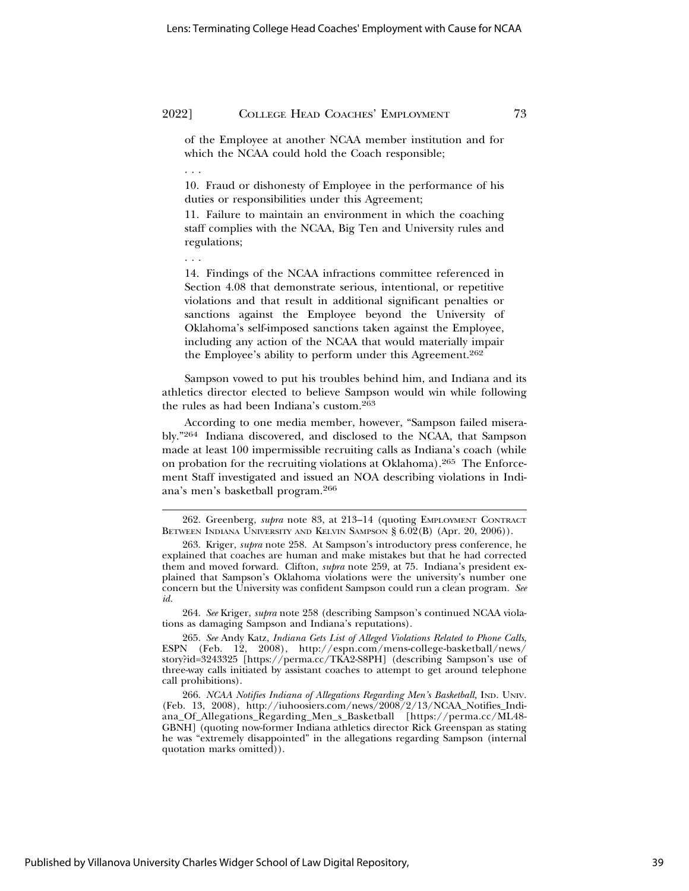of the Employee at another NCAA member institution and for which the NCAA could hold the Coach responsible;

10. Fraud or dishonesty of Employee in the performance of his duties or responsibilities under this Agreement;

11. Failure to maintain an environment in which the coaching staff complies with the NCAA, Big Ten and University rules and regulations;

. . .

. . .

14. Findings of the NCAA infractions committee referenced in Section 4.08 that demonstrate serious, intentional, or repetitive violations and that result in additional significant penalties or sanctions against the Employee beyond the University of Oklahoma's self-imposed sanctions taken against the Employee, including any action of the NCAA that would materially impair the Employee's ability to perform under this Agreement.262

Sampson vowed to put his troubles behind him, and Indiana and its athletics director elected to believe Sampson would win while following the rules as had been Indiana's custom.263

According to one media member, however, "Sampson failed miserably."264 Indiana discovered, and disclosed to the NCAA, that Sampson made at least 100 impermissible recruiting calls as Indiana's coach (while on probation for the recruiting violations at Oklahoma).265 The Enforcement Staff investigated and issued an NOA describing violations in Indiana's men's basketball program.266

264. *See* Kriger, *supra* note 258 (describing Sampson's continued NCAA violations as damaging Sampson and Indiana's reputations).

265. *See* Andy Katz, *Indiana Gets List of Alleged Violations Related to Phone Calls*, ESPN (Feb. 12, 2008), http://espn.com/mens-college-basketball/news/ story?id=3243325 [https://perma.cc/TKA2-S8PH] (describing Sampson's use of three-way calls initiated by assistant coaches to attempt to get around telephone call prohibitions).

266. *NCAA Notifies Indiana of Allegations Regarding Men's Basketball, IND. UNIV.* (Feb. 13, 2008), http://iuhoosiers.com/news/2008/2/13/NCAA\_Notifies\_Indiana\_Of\_Allegations\_Regarding\_Men\_s\_Basketball [https://perma.cc/ML48- GBNH] (quoting now-former Indiana athletics director Rick Greenspan as stating he was "extremely disappointed" in the allegations regarding Sampson (internal quotation marks omitted)).

<sup>262.</sup> Greenberg, *supra* note 83, at 213–14 (quoting EMPLOYMENT CONTRACT BETWEEN INDIANA UNIVERSITY AND KELVIN SAMPSON § 6.02(B) (Apr. 20, 2006)).

<sup>263.</sup> Kriger, *supra* note 258. At Sampson's introductory press conference, he explained that coaches are human and make mistakes but that he had corrected them and moved forward. Clifton, *supra* note 259, at 75. Indiana's president explained that Sampson's Oklahoma violations were the university's number one concern but the University was confident Sampson could run a clean program. *See id.*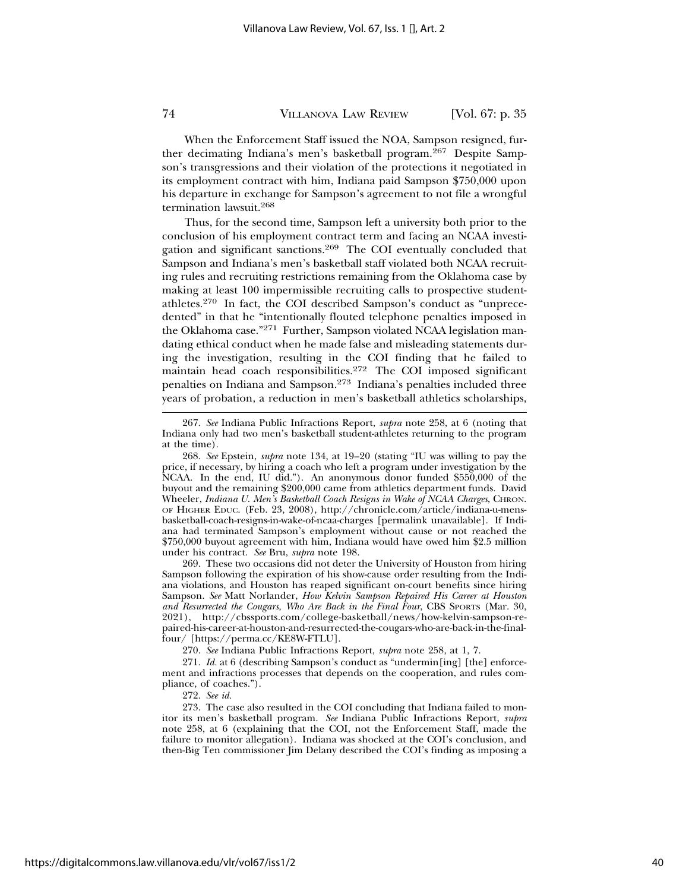When the Enforcement Staff issued the NOA, Sampson resigned, further decimating Indiana's men's basketball program.<sup>267</sup> Despite Sampson's transgressions and their violation of the protections it negotiated in its employment contract with him, Indiana paid Sampson \$750,000 upon his departure in exchange for Sampson's agreement to not file a wrongful termination lawsuit.268

Thus, for the second time, Sampson left a university both prior to the conclusion of his employment contract term and facing an NCAA investigation and significant sanctions.269 The COI eventually concluded that Sampson and Indiana's men's basketball staff violated both NCAA recruiting rules and recruiting restrictions remaining from the Oklahoma case by making at least 100 impermissible recruiting calls to prospective studentathletes.270 In fact, the COI described Sampson's conduct as "unprecedented" in that he "intentionally flouted telephone penalties imposed in the Oklahoma case."271 Further, Sampson violated NCAA legislation mandating ethical conduct when he made false and misleading statements during the investigation, resulting in the COI finding that he failed to maintain head coach responsibilities.<sup>272</sup> The COI imposed significant penalties on Indiana and Sampson.273 Indiana's penalties included three years of probation, a reduction in men's basketball athletics scholarships,

269. These two occasions did not deter the University of Houston from hiring Sampson following the expiration of his show-cause order resulting from the Indiana violations, and Houston has reaped significant on-court benefits since hiring Sampson. *See* Matt Norlander, *How Kelvin Sampson Repaired His Career at Houston and Resurrected the Cougars, Who Are Back in the Final Four*, CBS SPORTS (Mar. 30, 2021), http://cbssports.com/college-basketball/news/how-kelvin-sampson-repaired-his-career-at-houston-and-resurrected-the-cougars-who-are-back-in-the-finalfour/ [https://perma.cc/KE8W-FTLU].

270. *See* Indiana Public Infractions Report, *supra* note 258, at 1, 7.

271. *Id.* at 6 (describing Sampson's conduct as "undermin[ing] [the] enforcement and infractions processes that depends on the cooperation, and rules compliance, of coaches.").

272. *See id.*

273. The case also resulted in the COI concluding that Indiana failed to monitor its men's basketball program. *See* Indiana Public Infractions Report, *supra* note 258, at 6 (explaining that the COI, not the Enforcement Staff, made the failure to monitor allegation). Indiana was shocked at the COI's conclusion, and then-Big Ten commissioner Jim Delany described the COI's finding as imposing a

<sup>267.</sup> *See* Indiana Public Infractions Report, *supra* note 258, at 6 (noting that Indiana only had two men's basketball student-athletes returning to the program at the time).

<sup>268.</sup> *See* Epstein, *supra* note 134, at 19–20 (stating "IU was willing to pay the price, if necessary, by hiring a coach who left a program under investigation by the NCAA. In the end, IU did."). An anonymous donor funded \$550,000 of the buyout and the remaining \$200,000 came from athletics department funds. David Wheeler, *Indiana U. Men's Basketball Coach Resigns in Wake of NCAA Charges*, CHRON. OF HIGHER EDUC. (Feb. 23, 2008), http://chronicle.com/article/indiana-u-mensbasketball-coach-resigns-in-wake-of-ncaa-charges [permalink unavailable]. If Indiana had terminated Sampson's employment without cause or not reached the \$750,000 buyout agreement with him, Indiana would have owed him \$2.5 million under his contract. *See* Bru, *supra* note 198.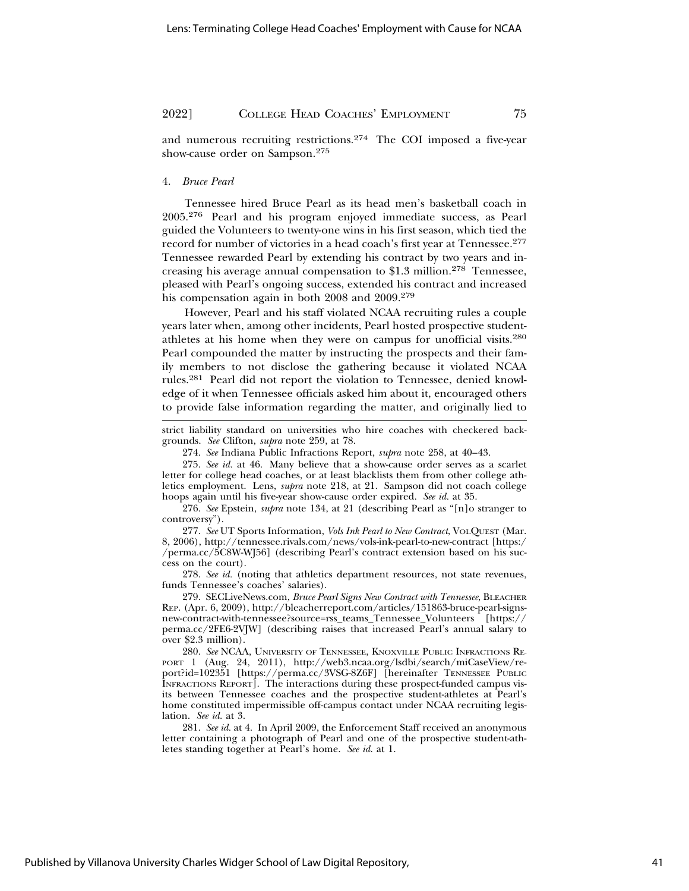and numerous recruiting restrictions.274 The COI imposed a five-year show-cause order on Sampson.275

#### 4. *Bruce Pearl*

Tennessee hired Bruce Pearl as its head men's basketball coach in 2005.276 Pearl and his program enjoyed immediate success, as Pearl guided the Volunteers to twenty-one wins in his first season, which tied the record for number of victories in a head coach's first year at Tennessee.277 Tennessee rewarded Pearl by extending his contract by two years and increasing his average annual compensation to \$1.3 million.<sup>278</sup> Tennessee, pleased with Pearl's ongoing success, extended his contract and increased his compensation again in both 2008 and 2009.279

However, Pearl and his staff violated NCAA recruiting rules a couple years later when, among other incidents, Pearl hosted prospective studentathletes at his home when they were on campus for unofficial visits.280 Pearl compounded the matter by instructing the prospects and their family members to not disclose the gathering because it violated NCAA rules.281 Pearl did not report the violation to Tennessee, denied knowledge of it when Tennessee officials asked him about it, encouraged others to provide false information regarding the matter, and originally lied to

strict liability standard on universities who hire coaches with checkered backgrounds. *See* Clifton, *supra* note 259, at 78.

274. *See* Indiana Public Infractions Report, *supra* note 258, at 40–43.

275. *See id.* at 46. Many believe that a show-cause order serves as a scarlet letter for college head coaches, or at least blacklists them from other college athletics employment. Lens, *supra* note 218, at 21. Sampson did not coach college hoops again until his five-year show-cause order expired. *See id.* at 35.

276. *See* Epstein, *supra* note 134, at 21 (describing Pearl as "[n]o stranger to controversy").

277. See UT Sports Information, *Vols Ink Pearl to New Contract*, VOLQUEST (Mar. 8, 2006), http://tennessee.rivals.com/news/vols-ink-pearl-to-new-contract [https:/ /perma.cc/5C8W-WJ56] (describing Pearl's contract extension based on his success on the court).

278. *See id.* (noting that athletics department resources, not state revenues, funds Tennessee's coaches' salaries).

279. SECLiveNews.com, *Bruce Pearl Signs New Contract with Tennessee*, BLEACHER REP. (Apr. 6, 2009), http://bleacherreport.com/articles/151863-bruce-pearl-signsnew-contract-with-tennessee?source=rss\_teams\_Tennessee\_Volunteers [https:// perma.cc/2FE6-2VJW] (describing raises that increased Pearl's annual salary to over \$2.3 million).

280. *See* NCAA, UNIVERSITY OF TENNESSEE, KNOXVILLE PUBLIC INFRACTIONS RE-PORT 1 (Aug. 24, 2011), http://web3.ncaa.org/lsdbi/search/miCaseView/report?id=102351 [https://perma.cc/3VSG-8Z6F] [hereinafter TENNESSEE PUBLIC INFRACTIONS REPORT]. The interactions during these prospect-funded campus visits between Tennessee coaches and the prospective student-athletes at Pearl's home constituted impermissible off-campus contact under NCAA recruiting legislation. *See id.* at 3.

281. *See id.* at 4. In April 2009, the Enforcement Staff received an anonymous letter containing a photograph of Pearl and one of the prospective student-athletes standing together at Pearl's home. *See id.* at 1.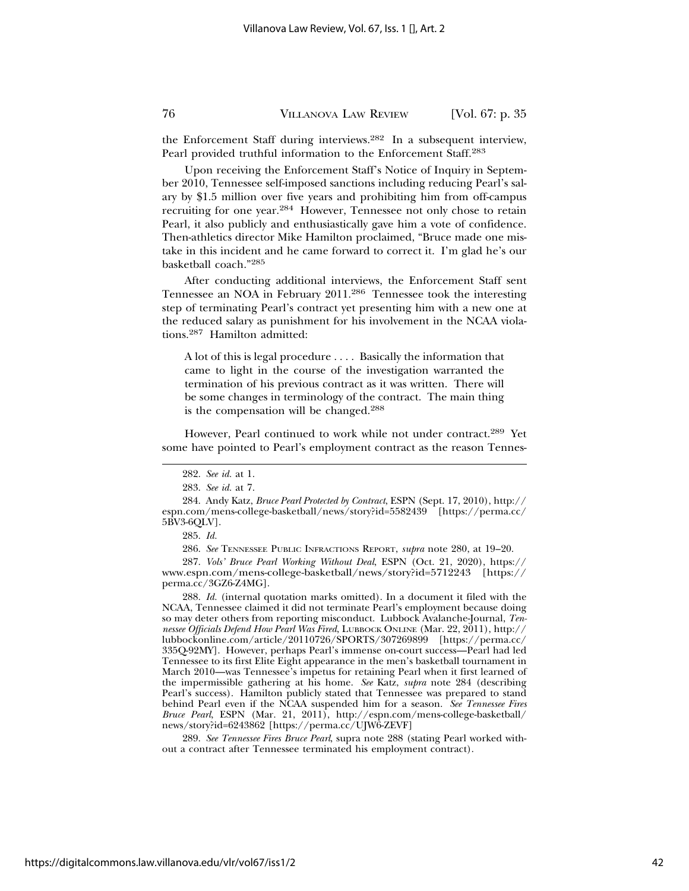the Enforcement Staff during interviews.282 In a subsequent interview, Pearl provided truthful information to the Enforcement Staff.283

Upon receiving the Enforcement Staff's Notice of Inquiry in September 2010, Tennessee self-imposed sanctions including reducing Pearl's salary by \$1.5 million over five years and prohibiting him from off-campus recruiting for one year.284 However, Tennessee not only chose to retain Pearl, it also publicly and enthusiastically gave him a vote of confidence. Then-athletics director Mike Hamilton proclaimed, "Bruce made one mistake in this incident and he came forward to correct it. I'm glad he's our basketball coach."285

After conducting additional interviews, the Enforcement Staff sent Tennessee an NOA in February 2011.286 Tennessee took the interesting step of terminating Pearl's contract yet presenting him with a new one at the reduced salary as punishment for his involvement in the NCAA violations.287 Hamilton admitted:

A lot of this is legal procedure . . . . Basically the information that came to light in the course of the investigation warranted the termination of his previous contract as it was written. There will be some changes in terminology of the contract. The main thing is the compensation will be changed.288

However, Pearl continued to work while not under contract.289 Yet some have pointed to Pearl's employment contract as the reason Tennes-

287. *Vols' Bruce Pearl Working Without Deal*, ESPN (Oct. 21, 2020), https:// www.espn.com/mens-college-basketball/news/story?id=5712243 [https:// perma.cc/3GZ6-Z4MG].

288. *Id.* (internal quotation marks omitted). In a document it filed with the NCAA, Tennessee claimed it did not terminate Pearl's employment because doing so may deter others from reporting misconduct. Lubbock Avalanche-Journal, *Tennessee Officials Defend How Pearl Was Fired*, LUBBOCK ONLINE (Mar. 22, 2011), http:// lubbockonline.com/article/20110726/SPORTS/307269899 [https://perma.cc/ 335Q-92MY]. However, perhaps Pearl's immense on-court success—Pearl had led Tennessee to its first Elite Eight appearance in the men's basketball tournament in March 2010—was Tennessee's impetus for retaining Pearl when it first learned of the impermissible gathering at his home. *See* Katz, *supra* note 284 (describing Pearl's success). Hamilton publicly stated that Tennessee was prepared to stand behind Pearl even if the NCAA suspended him for a season. *See Tennessee Fires Bruce Pearl*, ESPN (Mar. 21, 2011), http://espn.com/mens-college-basketball/ news/story?id=6243862 [https://perma.cc/UJW6-ZEVF]

289. *See Tennessee Fires Bruce Pearl*, supra note 288 (stating Pearl worked without a contract after Tennessee terminated his employment contract).

<sup>282.</sup> *See id.* at 1.

<sup>283.</sup> *See id.* at 7.

<sup>284.</sup> Andy Katz, *Bruce Pearl Protected by Contract*, ESPN (Sept. 17, 2010), http:// espn.com/mens-college-basketball/news/story?id=5582439 [https://perma.cc/ 5BV3-6QLV].

<sup>285.</sup> *Id.*

<sup>286.</sup> *See* TENNESSEE PUBLIC INFRACTIONS REPORT, *supra* note 280, at 19–20.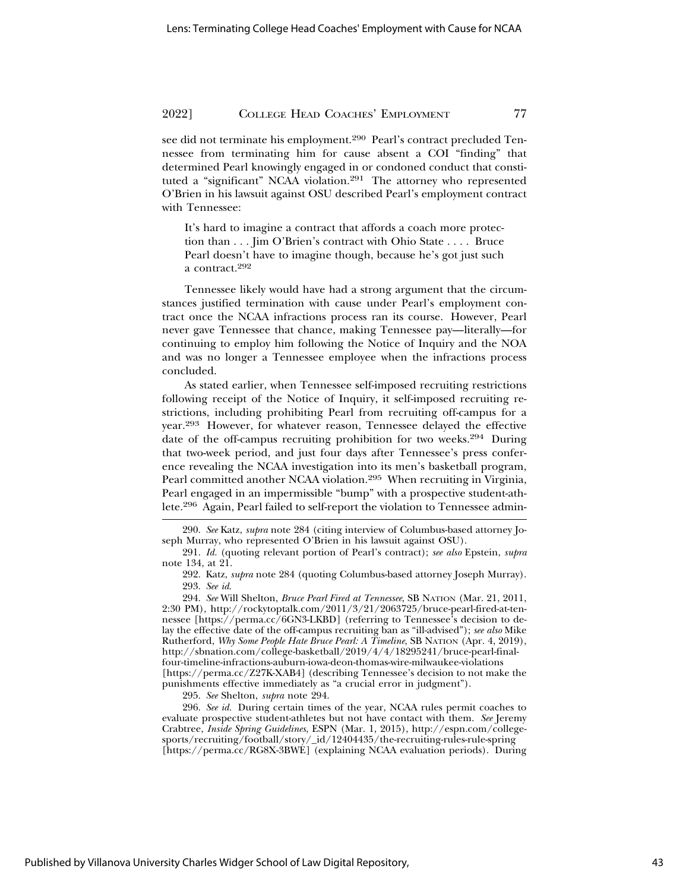see did not terminate his employment.<sup>290</sup> Pearl's contract precluded Tennessee from terminating him for cause absent a COI "finding" that determined Pearl knowingly engaged in or condoned conduct that constituted a "significant" NCAA violation.<sup>291</sup> The attorney who represented O'Brien in his lawsuit against OSU described Pearl's employment contract with Tennessee:

It's hard to imagine a contract that affords a coach more protection than . . . Jim O'Brien's contract with Ohio State . . . . Bruce Pearl doesn't have to imagine though, because he's got just such a contract.292

Tennessee likely would have had a strong argument that the circumstances justified termination with cause under Pearl's employment contract once the NCAA infractions process ran its course. However, Pearl never gave Tennessee that chance, making Tennessee pay—literally—for continuing to employ him following the Notice of Inquiry and the NOA and was no longer a Tennessee employee when the infractions process concluded.

As stated earlier, when Tennessee self-imposed recruiting restrictions following receipt of the Notice of Inquiry, it self-imposed recruiting restrictions, including prohibiting Pearl from recruiting off-campus for a year.293 However, for whatever reason, Tennessee delayed the effective date of the off-campus recruiting prohibition for two weeks.294 During that two-week period, and just four days after Tennessee's press conference revealing the NCAA investigation into its men's basketball program, Pearl committed another NCAA violation.295 When recruiting in Virginia, Pearl engaged in an impermissible "bump" with a prospective student-athlete.296 Again, Pearl failed to self-report the violation to Tennessee admin-

295. *See* Shelton, *supra* note 294.

296. *See id.* During certain times of the year, NCAA rules permit coaches to evaluate prospective student-athletes but not have contact with them. *See* Jeremy Crabtree, *Inside Spring Guidelines*, ESPN (Mar. 1, 2015), http://espn.com/collegesports/recruiting/football/story/\_id/12404435/the-recruiting-rules-rule-spring [https://perma.cc/RG8X-3BWE] (explaining NCAA evaluation periods). During

Published by Villanova University Charles Widger School of Law Digital Repository,

<sup>290.</sup> *See* Katz, *supra* note 284 (citing interview of Columbus-based attorney Joseph Murray, who represented O'Brien in his lawsuit against OSU).

<sup>291.</sup> *Id.* (quoting relevant portion of Pearl's contract); *see also* Epstein, *supra* note 134, at 21.

<sup>292.</sup> Katz, *supra* note 284 (quoting Columbus-based attorney Joseph Murray). 293. *See id*.

<sup>294.</sup> *See* Will Shelton, *Bruce Pearl Fired at Tennessee*, SB NATION (Mar. 21, 2011, 2:30 PM), http://rockytoptalk.com/2011/3/21/2063725/bruce-pearl-fired-at-tennessee [https://perma.cc/6GN3-LKBD] (referring to Tennessee's decision to delay the effective date of the off-campus recruiting ban as "ill-advised"); *see also* Mike Rutherford, *Why Some People Hate Bruce Pearl: A Timeline*, SB NATION (Apr. 4, 2019), http://sbnation.com/college-basketball/2019/4/4/18295241/bruce-pearl-finalfour-timeline-infractions-auburn-iowa-deon-thomas-wire-milwaukee-violations [https://perma.cc/Z27K-XAB4] (describing Tennessee's decision to not make the punishments effective immediately as "a crucial error in judgment").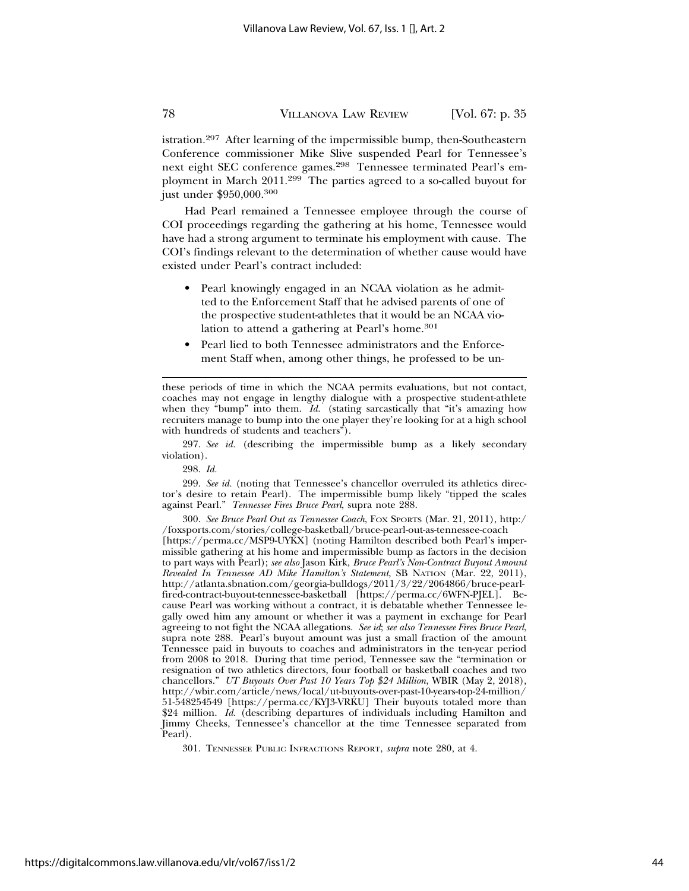istration.297 After learning of the impermissible bump, then-Southeastern Conference commissioner Mike Slive suspended Pearl for Tennessee's next eight SEC conference games.<sup>298</sup> Tennessee terminated Pearl's employment in March 2011.299 The parties agreed to a so-called buyout for just under \$950,000.300

Had Pearl remained a Tennessee employee through the course of COI proceedings regarding the gathering at his home, Tennessee would have had a strong argument to terminate his employment with cause. The COI's findings relevant to the determination of whether cause would have existed under Pearl's contract included:

- Pearl knowingly engaged in an NCAA violation as he admitted to the Enforcement Staff that he advised parents of one of the prospective student-athletes that it would be an NCAA violation to attend a gathering at Pearl's home.<sup>301</sup>
- Pearl lied to both Tennessee administrators and the Enforcement Staff when, among other things, he professed to be un-

297. *See id.* (describing the impermissible bump as a likely secondary violation).

298. *Id.*

299. *See id.* (noting that Tennessee's chancellor overruled its athletics director's desire to retain Pearl). The impermissible bump likely "tipped the scales against Pearl." *Tennessee Fires Bruce Pearl*, supra note 288.

300. *See Bruce Pearl Out as Tennessee Coach*, FOX SPORTS (Mar. 21, 2011), http:/ /foxsports.com/stories/college-basketball/bruce-pearl-out-as-tennessee-coach

[https://perma.cc/MSP9-UYKX] (noting Hamilton described both Pearl's impermissible gathering at his home and impermissible bump as factors in the decision to part ways with Pearl); *see also* Jason Kirk, *Bruce Pearl's Non-Contract Buyout Amount Revealed In Tennessee AD Mike Hamilton's Statement*, SB NATION (Mar. 22, 2011), http://atlanta.sbnation.com/georgia-bulldogs/2011/3/22/2064866/bruce-pearlfired-contract-buyout-tennessee-basketball [https://perma.cc/6WFN-PJEL]. Because Pearl was working without a contract, it is debatable whether Tennessee legally owed him any amount or whether it was a payment in exchange for Pearl agreeing to not fight the NCAA allegations. *See id*; *see also Tennessee Fires Bruce Pearl*, supra note 288. Pearl's buyout amount was just a small fraction of the amount Tennessee paid in buyouts to coaches and administrators in the ten-year period from 2008 to 2018. During that time period, Tennessee saw the "termination or resignation of two athletics directors, four football or basketball coaches and two chancellors." *UT Buyouts Over Past 10 Years Top \$24 Million*, WBIR (May 2, 2018), http://wbir.com/article/news/local/ut-buyouts-over-past-10-years-top-24-million/ 51-548254549 [https://perma.cc/KYJ3-VRKU] Their buyouts totaled more than \$24 million. *Id.* (describing departures of individuals including Hamilton and Jimmy Cheeks, Tennessee's chancellor at the time Tennessee separated from Pearl).

301. TENNESSEE PUBLIC INFRACTIONS REPORT, *supra* note 280, at 4.

these periods of time in which the NCAA permits evaluations, but not contact, coaches may not engage in lengthy dialogue with a prospective student-athlete when they "bump" into them. *Id.* (stating sarcastically that "it's amazing how recruiters manage to bump into the one player they're looking for at a high school with hundreds of students and teachers<sup>"</sup>).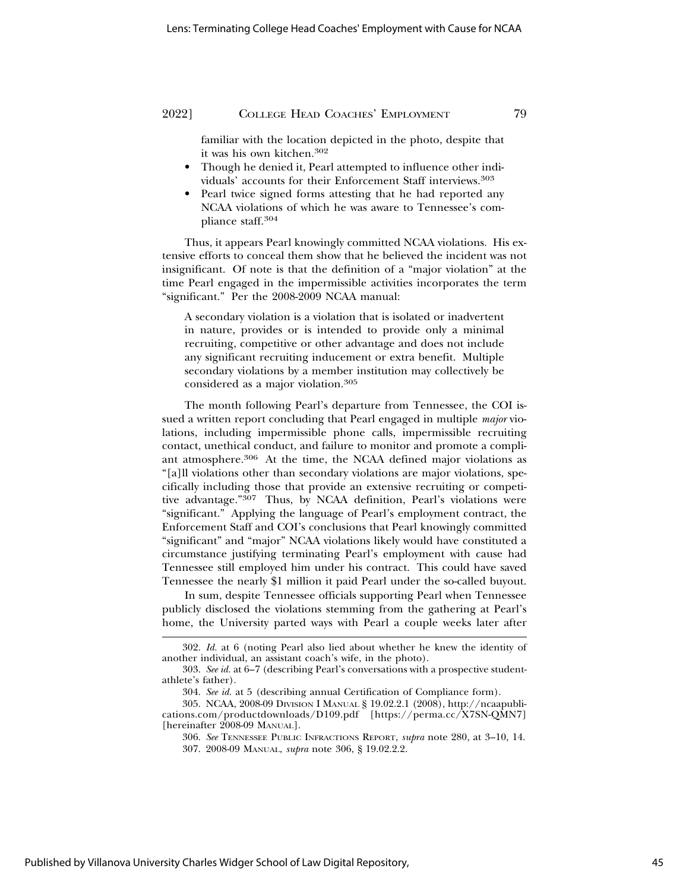familiar with the location depicted in the photo, despite that it was his own kitchen.302

- Though he denied it, Pearl attempted to influence other individuals' accounts for their Enforcement Staff interviews.303
- Pearl twice signed forms attesting that he had reported any NCAA violations of which he was aware to Tennessee's compliance staff.304

Thus, it appears Pearl knowingly committed NCAA violations. His extensive efforts to conceal them show that he believed the incident was not insignificant. Of note is that the definition of a "major violation" at the time Pearl engaged in the impermissible activities incorporates the term "significant." Per the 2008-2009 NCAA manual:

A secondary violation is a violation that is isolated or inadvertent in nature, provides or is intended to provide only a minimal recruiting, competitive or other advantage and does not include any significant recruiting inducement or extra benefit. Multiple secondary violations by a member institution may collectively be considered as a major violation.305

The month following Pearl's departure from Tennessee, the COI issued a written report concluding that Pearl engaged in multiple *major* violations, including impermissible phone calls, impermissible recruiting contact, unethical conduct, and failure to monitor and promote a compliant atmosphere.306 At the time, the NCAA defined major violations as "[a]ll violations other than secondary violations are major violations, specifically including those that provide an extensive recruiting or competitive advantage."307 Thus, by NCAA definition, Pearl's violations were "significant." Applying the language of Pearl's employment contract, the Enforcement Staff and COI's conclusions that Pearl knowingly committed "significant" and "major" NCAA violations likely would have constituted a circumstance justifying terminating Pearl's employment with cause had Tennessee still employed him under his contract. This could have saved Tennessee the nearly \$1 million it paid Pearl under the so-called buyout.

In sum, despite Tennessee officials supporting Pearl when Tennessee publicly disclosed the violations stemming from the gathering at Pearl's home, the University parted ways with Pearl a couple weeks later after

<sup>302.</sup> *Id.* at 6 (noting Pearl also lied about whether he knew the identity of another individual, an assistant coach's wife, in the photo).

<sup>303.</sup> *See id.* at 6–7 (describing Pearl's conversations with a prospective studentathlete's father).

<sup>304.</sup> *See id.* at 5 (describing annual Certification of Compliance form).

<sup>305.</sup> NCAA, 2008-09 DIVISION I MANUAL § 19.02.2.1 (2008), http://ncaapublications.com/productdownloads/D109.pdf [https://perma.cc/X7SN-QMN7] [hereinafter 2008-09 MANUAL].

<sup>306.</sup> *See* TENNESSEE PUBLIC INFRACTIONS REPORT, *supra* note 280, at 3–10, 14. 307. 2008-09 MANUAL, *supra* note 306, § 19.02.2.2.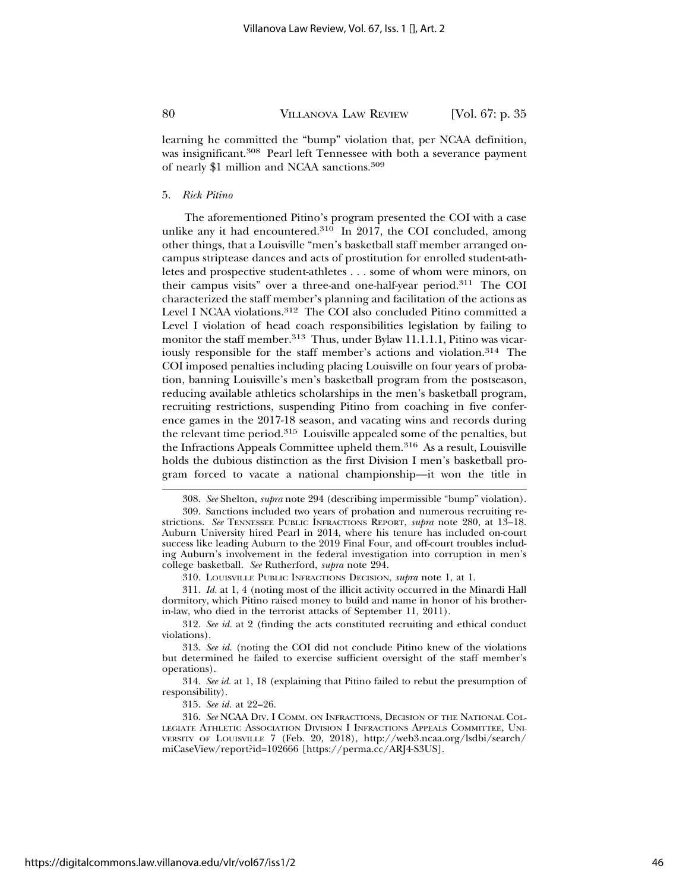learning he committed the "bump" violation that, per NCAA definition, was insignificant.<sup>308</sup> Pearl left Tennessee with both a severance payment of nearly \$1 million and NCAA sanctions.309

#### 5. *Rick Pitino*

The aforementioned Pitino's program presented the COI with a case unlike any it had encountered.<sup>310</sup> In 2017, the COI concluded, among other things, that a Louisville "men's basketball staff member arranged oncampus striptease dances and acts of prostitution for enrolled student-athletes and prospective student-athletes . . . some of whom were minors, on their campus visits" over a three-and one-half-year period.311 The COI characterized the staff member's planning and facilitation of the actions as Level I NCAA violations.312 The COI also concluded Pitino committed a Level I violation of head coach responsibilities legislation by failing to monitor the staff member.<sup>313</sup> Thus, under Bylaw 11.1.1.1, Pitino was vicariously responsible for the staff member's actions and violation.<sup>314</sup> The COI imposed penalties including placing Louisville on four years of probation, banning Louisville's men's basketball program from the postseason, reducing available athletics scholarships in the men's basketball program, recruiting restrictions, suspending Pitino from coaching in five conference games in the 2017-18 season, and vacating wins and records during the relevant time period.315 Louisville appealed some of the penalties, but the Infractions Appeals Committee upheld them.<sup>316</sup> As a result, Louisville holds the dubious distinction as the first Division I men's basketball program forced to vacate a national championship—it won the title in

310. LOUISVILLE PUBLIC INFRACTIONS DECISION, *supra* note 1, at 1.

311. *Id.* at 1, 4 (noting most of the illicit activity occurred in the Minardi Hall dormitory, which Pitino raised money to build and name in honor of his brotherin-law, who died in the terrorist attacks of September 11, 2011).

312. *See id.* at 2 (finding the acts constituted recruiting and ethical conduct violations).

313. *See id.* (noting the COI did not conclude Pitino knew of the violations but determined he failed to exercise sufficient oversight of the staff member's operations).

314. *See id.* at 1, 18 (explaining that Pitino failed to rebut the presumption of responsibility).

315. *See id.* at 22–26.

316. *See* NCAA DIV. I COMM. ON INFRACTIONS, DECISION OF THE NATIONAL COL-LEGIATE ATHLETIC ASSOCIATION DIVISION I INFRACTIONS APPEALS COMMITTEE, UNI-VERSITY OF LOUISVILLE 7 (Feb. 20, 2018), http://web3.ncaa.org/lsdbi/search/ miCaseView/report?id=102666 [https://perma.cc/ARJ4-S3US].

<sup>308.</sup> *See* Shelton, *supra* note 294 (describing impermissible "bump" violation).

<sup>309.</sup> Sanctions included two years of probation and numerous recruiting restrictions. *See* TENNESSEE PUBLIC INFRACTIONS REPORT, *supra* note 280, at 13–18. Auburn University hired Pearl in 2014, where his tenure has included on-court success like leading Auburn to the 2019 Final Four, and off-court troubles including Auburn's involvement in the federal investigation into corruption in men's college basketball. *See* Rutherford, *supra* note 294.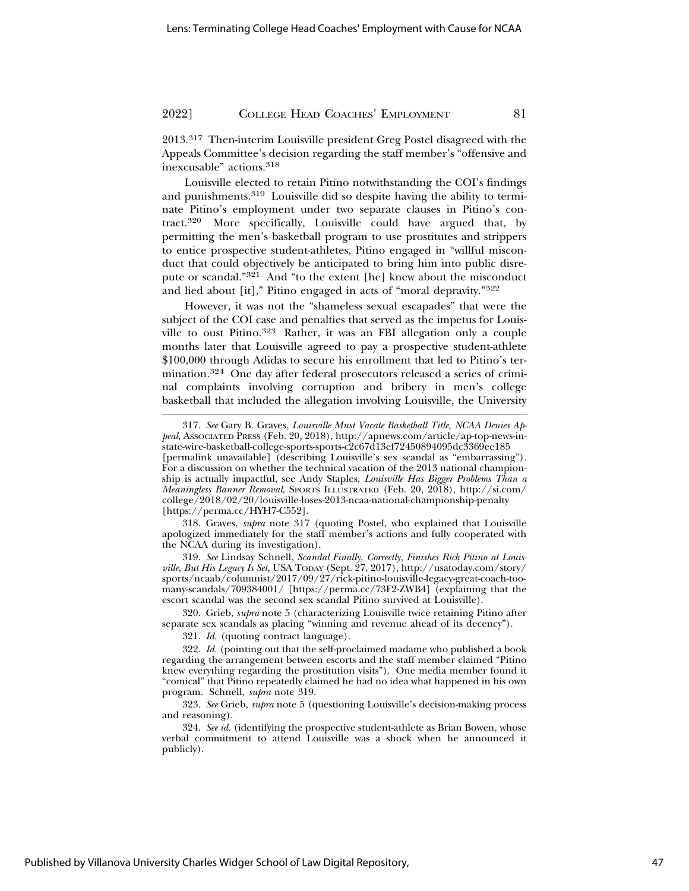2013.317 Then-interim Louisville president Greg Postel disagreed with the Appeals Committee's decision regarding the staff member's "offensive and inexcusable" actions.318

Louisville elected to retain Pitino notwithstanding the COI's findings and punishments.319 Louisville did so despite having the ability to terminate Pitino's employment under two separate clauses in Pitino's contract.320 More specifically, Louisville could have argued that, by permitting the men's basketball program to use prostitutes and strippers to entice prospective student-athletes, Pitino engaged in "willful misconduct that could objectively be anticipated to bring him into public disrepute or scandal."321 And "to the extent [he] knew about the misconduct and lied about [it]," Pitino engaged in acts of "moral depravity."322

However, it was not the "shameless sexual escapades" that were the subject of the COI case and penalties that served as the impetus for Louisville to oust Pitino.<sup>323</sup> Rather, it was an FBI allegation only a couple months later that Louisville agreed to pay a prospective student-athlete \$100,000 through Adidas to secure his enrollment that led to Pitino's termination.324 One day after federal prosecutors released a series of criminal complaints involving corruption and bribery in men's college basketball that included the allegation involving Louisville, the University

318. Graves, *supra* note 317 (quoting Postel, who explained that Louisville apologized immediately for the staff member's actions and fully cooperated with the NCAA during its investigation).

319. *See* Lindsay Schnell, *Scandal Finally, Correctly, Finishes Rick Pitino at Louisville, But His Legacy Is Set,* USA TODAY (Sept. 27, 2017), http://usatoday.com/story/ sports/ncaab/columnist/2017/09/27/rick-pitino-louisville-legacy-great-coach-toomany-scandals/709384001/ [https://perma.cc/73F2-ZWB4] (explaining that the escort scandal was the second sex scandal Pitino survived at Louisville).

320. Grieb, *supra* note 5 (characterizing Louisville twice retaining Pitino after separate sex scandals as placing "winning and revenue ahead of its decency").

321. *Id.* (quoting contract language).

323. *See* Grieb, *supra* note 5 (questioning Louisville's decision-making process and reasoning).

324. *See id.* (identifying the prospective student-athlete as Brian Bowen, whose verbal commitment to attend Louisville was a shock when he announced it publicly).

<sup>317.</sup> *See* Gary B. Graves, *Louisville Must Vacate Basketball Title, NCAA Denies Appeal*, ASSOCIATED PRESS (Feb. 20, 2018), http://apnews.com/article/ap-top-news-instate-wire-basketball-college-sports-sports-c2c67d13ef72450894095dc3369ee185 [permalink unavailable] (describing Louisville's sex scandal as "embarrassing"). For a discussion on whether the technical vacation of the 2013 national championship is actually impactful, see Andy Staples, *Louisville Has Bigger Problems Than a Meaningless Banner Removal*, SPORTS ILLUSTRATED (Feb. 20, 2018), http://si.com/ college/2018/02/20/louisville-loses-2013-ncaa-national-championship-penalty [https://perma.cc/HYH7-C552].

<sup>322.</sup> *Id.* (pointing out that the self-proclaimed madame who published a book regarding the arrangement between escorts and the staff member claimed "Pitino knew everything regarding the prostitution visits"). One media member found it "comical" that Pitino repeatedly claimed he had no idea what happened in his own program. Schnell, *supra* note 319.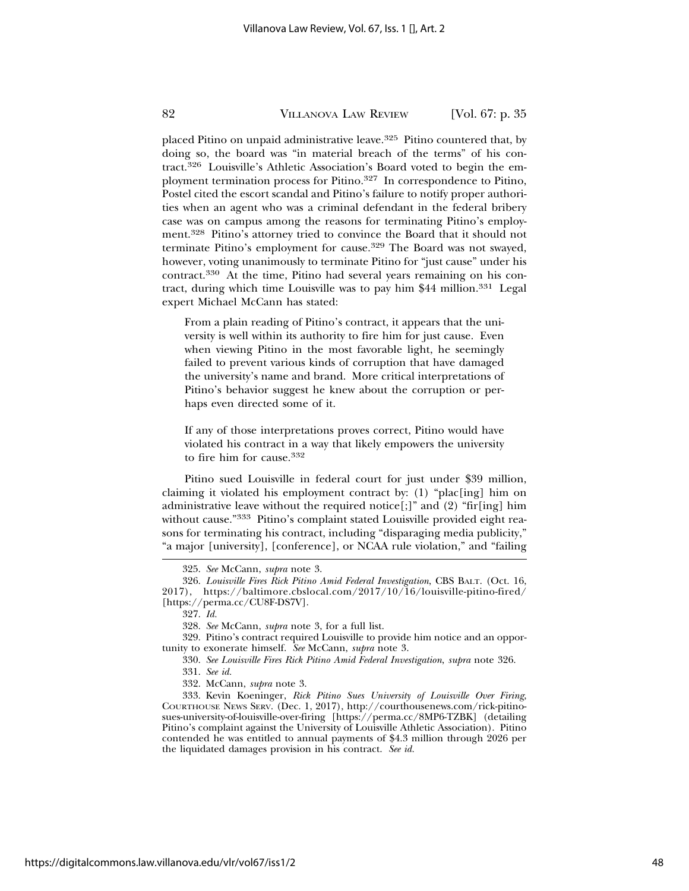placed Pitino on unpaid administrative leave.<sup>325</sup> Pitino countered that, by doing so, the board was "in material breach of the terms" of his contract.326 Louisville's Athletic Association's Board voted to begin the employment termination process for Pitino.<sup>327</sup> In correspondence to Pitino, Postel cited the escort scandal and Pitino's failure to notify proper authorities when an agent who was a criminal defendant in the federal bribery case was on campus among the reasons for terminating Pitino's employment.328 Pitino's attorney tried to convince the Board that it should not terminate Pitino's employment for cause.329 The Board was not swayed, however, voting unanimously to terminate Pitino for "just cause" under his contract.330 At the time, Pitino had several years remaining on his contract, during which time Louisville was to pay him  $$44$  million.<sup>331</sup> Legal expert Michael McCann has stated:

From a plain reading of Pitino's contract, it appears that the university is well within its authority to fire him for just cause. Even when viewing Pitino in the most favorable light, he seemingly failed to prevent various kinds of corruption that have damaged the university's name and brand. More critical interpretations of Pitino's behavior suggest he knew about the corruption or perhaps even directed some of it.

If any of those interpretations proves correct, Pitino would have violated his contract in a way that likely empowers the university to fire him for cause.332

Pitino sued Louisville in federal court for just under \$39 million, claiming it violated his employment contract by: (1) "plac[ing] him on administrative leave without the required notice[;]" and  $(2)$  "fir[ing] him without cause."333 Pitino's complaint stated Louisville provided eight reasons for terminating his contract, including "disparaging media publicity," "a major [university], [conference], or NCAA rule violation," and "failing

<sup>325.</sup> *See* McCann, *supra* note 3.

<sup>326.</sup> *Louisville Fires Rick Pitino Amid Federal Investigation*, CBS BALT. (Oct. 16, 2017), https://baltimore.cbslocal.com/2017/10/16/louisville-pitino-fired/ [https://perma.cc/CU8F-DS7V].

<sup>327.</sup> *Id.*

<sup>328.</sup> *See* McCann, *supra* note 3, for a full list.

<sup>329.</sup> Pitino's contract required Louisville to provide him notice and an opportunity to exonerate himself. *See* McCann, *supra* note 3.

<sup>330.</sup> *See Louisville Fires Rick Pitino Amid Federal Investigation*, *supra* note 326.

<sup>331.</sup> *See id.*

<sup>332.</sup> McCann, *supra* note 3.

<sup>333.</sup> Kevin Koeninger, *Rick Pitino Sues University of Louisville Over Firing*, COURTHOUSE NEWS SERV. (Dec. 1, 2017), http://courthousenews.com/rick-pitinosues-university-of-louisville-over-firing [https://perma.cc/8MP6-TZBK] (detailing Pitino's complaint against the University of Louisville Athletic Association). Pitino contended he was entitled to annual payments of \$4.3 million through 2026 per the liquidated damages provision in his contract. *See id.*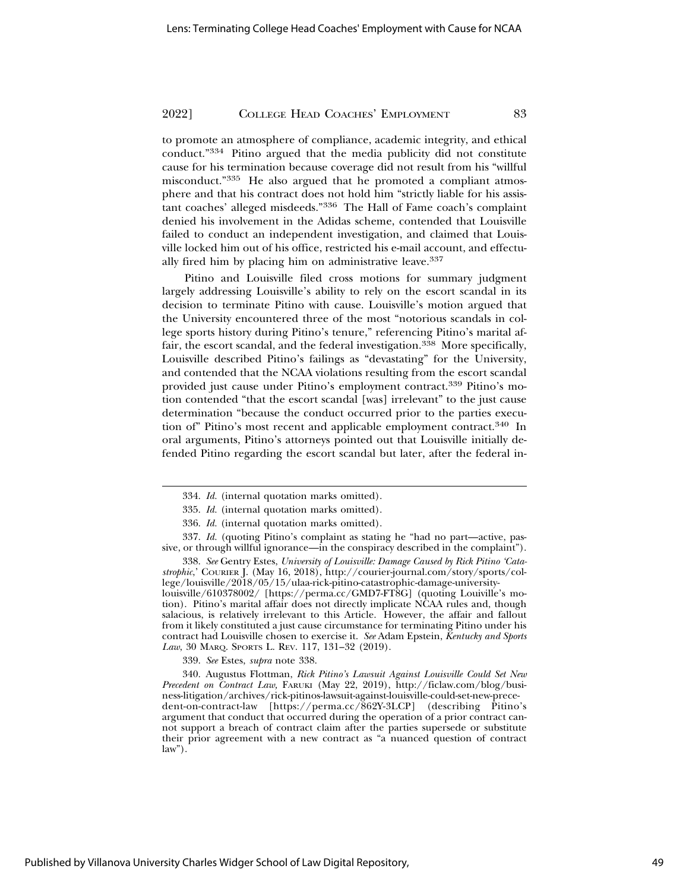to promote an atmosphere of compliance, academic integrity, and ethical conduct."334 Pitino argued that the media publicity did not constitute cause for his termination because coverage did not result from his "willful misconduct."335 He also argued that he promoted a compliant atmosphere and that his contract does not hold him "strictly liable for his assistant coaches' alleged misdeeds."336 The Hall of Fame coach's complaint denied his involvement in the Adidas scheme, contended that Louisville failed to conduct an independent investigation, and claimed that Louisville locked him out of his office, restricted his e-mail account, and effectually fired him by placing him on administrative leave.337

Pitino and Louisville filed cross motions for summary judgment largely addressing Louisville's ability to rely on the escort scandal in its decision to terminate Pitino with cause. Louisville's motion argued that the University encountered three of the most "notorious scandals in college sports history during Pitino's tenure," referencing Pitino's marital affair, the escort scandal, and the federal investigation.<sup>338</sup> More specifically, Louisville described Pitino's failings as "devastating" for the University, and contended that the NCAA violations resulting from the escort scandal provided just cause under Pitino's employment contract.339 Pitino's motion contended "that the escort scandal [was] irrelevant" to the just cause determination "because the conduct occurred prior to the parties execution of" Pitino's most recent and applicable employment contract.340 In oral arguments, Pitino's attorneys pointed out that Louisville initially defended Pitino regarding the escort scandal but later, after the federal in-

337. *Id.* (quoting Pitino's complaint as stating he "had no part—active, passive, or through willful ignorance—in the conspiracy described in the complaint").

338. *See* Gentry Estes, *University of Louisville: Damage Caused by Rick Pitino 'Catastrophic*,' COURIER J. (May 16, 2018), http://courier-journal.com/story/sports/college/louisville/2018/05/15/ulaa-rick-pitino-catastrophic-damage-university-

louisville/610378002/ [https://perma.cc/GMD7-FT8G] (quoting Louiville's motion). Pitino's marital affair does not directly implicate NCAA rules and, though salacious, is relatively irrelevant to this Article. However, the affair and fallout from it likely constituted a just cause circumstance for terminating Pitino under his contract had Louisville chosen to exercise it. *See* Adam Epstein, *Kentucky and Sports Law*, 30 MARQ. SPORTS L. REV. 117, 131–32 (2019).

339. *See* Estes, *supra* note 338.

340. Augustus Flottman, *Rick Pitino's Lawsuit Against Louisville Could Set New Precedent on Contract Law,* FARUKI (May 22, 2019), http://ficlaw.com/blog/business-litigation/archives/rick-pitinos-lawsuit-against-louisville-could-set-new-precedent-on-contract-law [https://perma.cc/862Y-3LCP] (describing Pitino's argument that conduct that occurred during the operation of a prior contract cannot support a breach of contract claim after the parties supersede or substitute their prior agreement with a new contract as "a nuanced question of contract  $law$ ").

<sup>334.</sup> *Id.* (internal quotation marks omitted).

<sup>335.</sup> *Id.* (internal quotation marks omitted).

<sup>336.</sup> *Id.* (internal quotation marks omitted).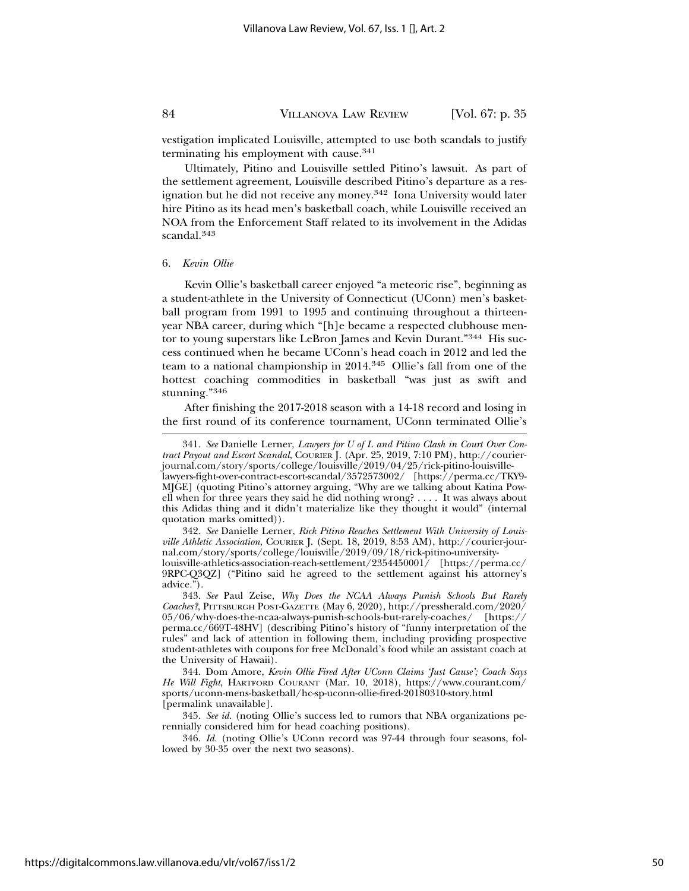vestigation implicated Louisville, attempted to use both scandals to justify terminating his employment with cause.<sup>341</sup>

Ultimately, Pitino and Louisville settled Pitino's lawsuit. As part of the settlement agreement, Louisville described Pitino's departure as a resignation but he did not receive any money.342 Iona University would later hire Pitino as its head men's basketball coach, while Louisville received an NOA from the Enforcement Staff related to its involvement in the Adidas scandal.<sup>343</sup>

#### 6. *Kevin Ollie*

Kevin Ollie's basketball career enjoyed "a meteoric rise", beginning as a student-athlete in the University of Connecticut (UConn) men's basketball program from 1991 to 1995 and continuing throughout a thirteenyear NBA career, during which "[h]e became a respected clubhouse mentor to young superstars like LeBron James and Kevin Durant."344 His success continued when he became UConn's head coach in 2012 and led the team to a national championship in 2014.345 Ollie's fall from one of the hottest coaching commodities in basketball "was just as swift and stunning."<sup>346</sup>

After finishing the 2017-2018 season with a 14-18 record and losing in the first round of its conference tournament, UConn terminated Ollie's

<sup>341.</sup> *See* Danielle Lerner, *Lawyers for U of L and Pitino Clash in Court Over Contract Payout and Escort Scandal*, COURIER J. (Apr. 25, 2019, 7:10 PM), http://courierjournal.com/story/sports/college/louisville/2019/04/25/rick-pitino-louisvillelawyers-fight-over-contract-escort-scandal/3572573002/ [https://perma.cc/TKY9- MJGE] (quoting Pitino's attorney arguing, "Why are we talking about Katina Powell when for three years they said he did nothing wrong? . . . . It was always about this Adidas thing and it didn't materialize like they thought it would" (internal quotation marks omitted)).

<sup>342.</sup> *See* Danielle Lerner, *Rick Pitino Reaches Settlement With University of Louisville Athletic Association*, COURIER J. (Sept. 18, 2019, 8:53 AM), http://courier-journal.com/story/sports/college/louisville/2019/09/18/rick-pitino-universitylouisville-athletics-association-reach-settlement/2354450001/ [https://perma.cc/ 9RPC-Q3QZ] ("Pitino said he agreed to the settlement against his attorney's advice.").

<sup>343.</sup> *See* Paul Zeise, *Why Does the NCAA Always Punish Schools But Rarely Coaches?*, PITTSBURGH POST-GAZETTE (May 6, 2020), http://pressherald.com/2020/ 05/06/why-does-the-ncaa-always-punish-schools-but-rarely-coaches/ [https:// perma.cc/669T-48HV] (describing Pitino's history of "funny interpretation of the rules" and lack of attention in following them, including providing prospective student-athletes with coupons for free McDonald's food while an assistant coach at the University of Hawaii).

<sup>344.</sup> Dom Amore, *Kevin Ollie Fired After UConn Claims 'Just Cause'; Coach Says He Will Fight*, HARTFORD COURANT (Mar. 10, 2018), https://www.courant.com/ sports/uconn-mens-basketball/hc-sp-uconn-ollie-fired-20180310-story.html [permalink unavailable].

<sup>345.</sup> *See id.* (noting Ollie's success led to rumors that NBA organizations perennially considered him for head coaching positions).

<sup>346.</sup> *Id.* (noting Ollie's UConn record was 97-44 through four seasons, followed by 30-35 over the next two seasons).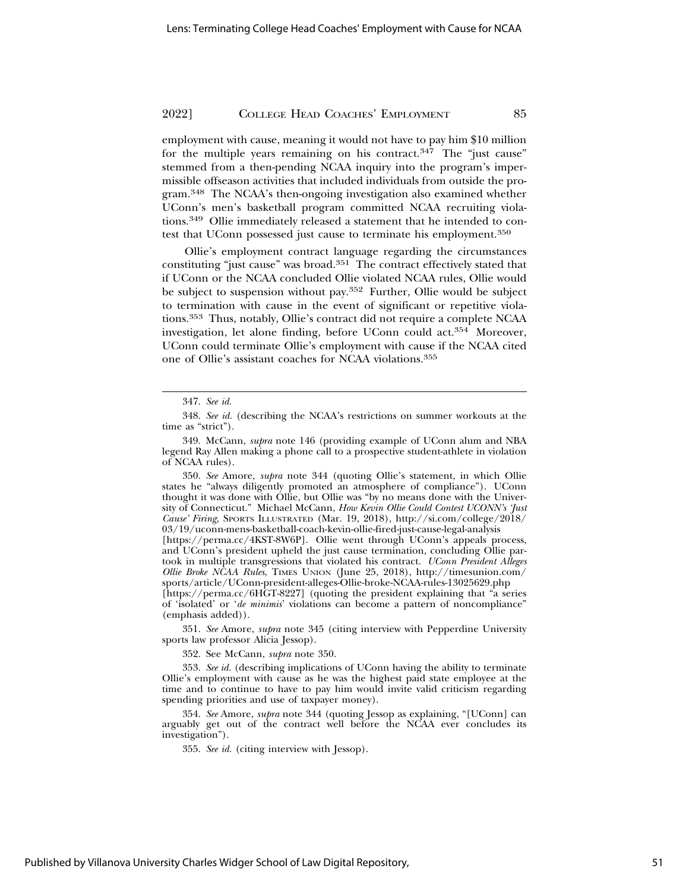employment with cause, meaning it would not have to pay him \$10 million for the multiple years remaining on his contract. $347$  The "just cause" stemmed from a then-pending NCAA inquiry into the program's impermissible offseason activities that included individuals from outside the program.348 The NCAA's then-ongoing investigation also examined whether UConn's men's basketball program committed NCAA recruiting violations.349 Ollie immediately released a statement that he intended to contest that UConn possessed just cause to terminate his employment.350

Ollie's employment contract language regarding the circumstances constituting "just cause" was broad.351 The contract effectively stated that if UConn or the NCAA concluded Ollie violated NCAA rules, Ollie would be subject to suspension without pay.352 Further, Ollie would be subject to termination with cause in the event of significant or repetitive violations.353 Thus, notably, Ollie's contract did not require a complete NCAA investigation, let alone finding, before UConn could act.354 Moreover, UConn could terminate Ollie's employment with cause if the NCAA cited one of Ollie's assistant coaches for NCAA violations.355

350. *See* Amore, *supra* note 344 (quoting Ollie's statement, in which Ollie states he "always diligently promoted an atmosphere of compliance"). UConn thought it was done with Ollie, but Ollie was "by no means done with the University of Connecticut." Michael McCann, *How Kevin Ollie Could Contest UCONN's 'Just Cause' Firing*, SPORTS ILLUSTRATED (Mar. 19, 2018), http://si.com/college/2018/ 03/19/uconn-mens-basketball-coach-kevin-ollie-fired-just-cause-legal-analysis

[https://perma.cc/4KST-8W6P]. Ollie went through UConn's appeals process, and UConn's president upheld the just cause termination, concluding Ollie partook in multiple transgressions that violated his contract. *UConn President Alleges Ollie Broke NCAA Rules*, TIMES UNION (June 25, 2018), http://timesunion.com/ sports/article/UConn-president-alleges-Ollie-broke-NCAA-rules-13025629.php

[https://perma.cc/6HGT-8227] (quoting the president explaining that "a series of 'isolated' or '*de minimis*' violations can become a pattern of noncompliance" (emphasis added)).

351. *See* Amore, *supra* note 345 (citing interview with Pepperdine University sports law professor Alicia Jessop).

352. See McCann, *supra* note 350.

353. *See id.* (describing implications of UConn having the ability to terminate Ollie's employment with cause as he was the highest paid state employee at the time and to continue to have to pay him would invite valid criticism regarding spending priorities and use of taxpayer money).

354. *See* Amore, *supra* note 344 (quoting Jessop as explaining, "[UConn] can arguably get out of the contract well before the NCAA ever concludes its investigation").

355. *See id.* (citing interview with Jessop).

<sup>347.</sup> *See id.*

<sup>348.</sup> *See id.* (describing the NCAA's restrictions on summer workouts at the time as "strict").

<sup>349.</sup> McCann, *supra* note 146 (providing example of UConn alum and NBA legend Ray Allen making a phone call to a prospective student-athlete in violation of NCAA rules).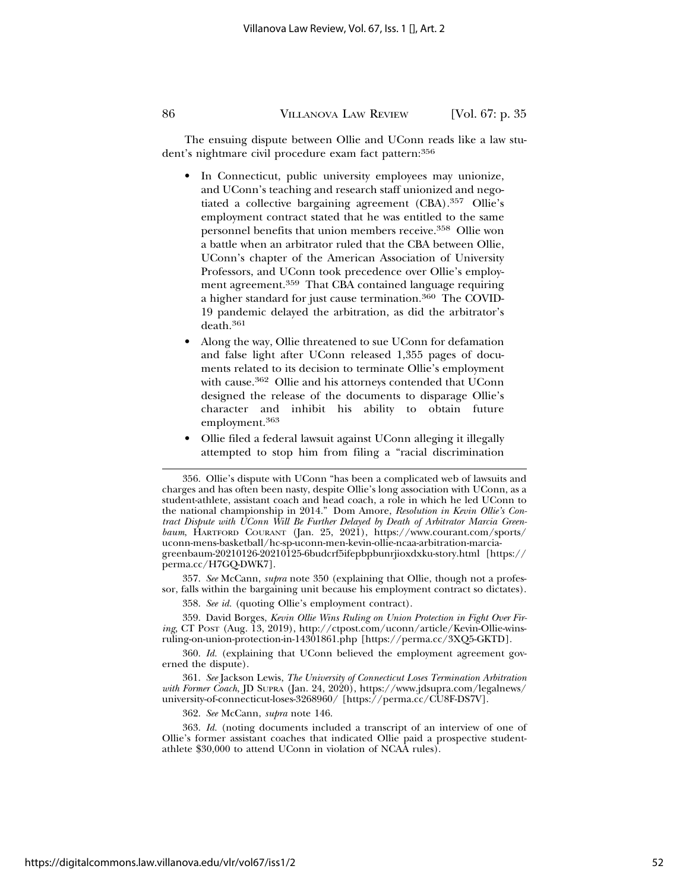The ensuing dispute between Ollie and UConn reads like a law student's nightmare civil procedure exam fact pattern: 356

- In Connecticut, public university employees may unionize, and UConn's teaching and research staff unionized and negotiated a collective bargaining agreement (CBA).357 Ollie's employment contract stated that he was entitled to the same personnel benefits that union members receive.358 Ollie won a battle when an arbitrator ruled that the CBA between Ollie, UConn's chapter of the American Association of University Professors, and UConn took precedence over Ollie's employment agreement.359 That CBA contained language requiring a higher standard for just cause termination.360 The COVID-19 pandemic delayed the arbitration, as did the arbitrator's death.<sup>361</sup>
- Along the way, Ollie threatened to sue UConn for defamation and false light after UConn released 1,355 pages of documents related to its decision to terminate Ollie's employment with cause.362 Ollie and his attorneys contended that UConn designed the release of the documents to disparage Ollie's character and inhibit his ability to obtain future employment.<sup>363</sup>
- Ollie filed a federal lawsuit against UConn alleging it illegally attempted to stop him from filing a "racial discrimination

357. *See* McCann, *supra* note 350 (explaining that Ollie, though not a professor, falls within the bargaining unit because his employment contract so dictates).

358. *See id.* (quoting Ollie's employment contract).

359. David Borges, *Kevin Ollie Wins Ruling on Union Protection in Fight Over Firing*, CT POST (Aug. 13, 2019), http://ctpost.com/uconn/article/Kevin-Ollie-winsruling-on-union-protection-in-14301861.php [https://perma.cc/3XQ5-GKTD].

360. *Id.* (explaining that UConn believed the employment agreement governed the dispute).

361. *See* Jackson Lewis, *The University of Connecticut Loses Termination Arbitration with Former Coach*, JD SUPRA (Jan. 24, 2020), https://www.jdsupra.com/legalnews/ university-of-connecticut-loses-3268960/ [https://perma.cc/CU8F-DS7V].

362. *See* McCann, *supra* note 146.

363. *Id.* (noting documents included a transcript of an interview of one of Ollie's former assistant coaches that indicated Ollie paid a prospective studentathlete \$30,000 to attend UConn in violation of NCAA rules).

<sup>356.</sup> Ollie's dispute with UConn "has been a complicated web of lawsuits and charges and has often been nasty, despite Ollie's long association with UConn, as a student-athlete, assistant coach and head coach, a role in which he led UConn to the national championship in 2014." Dom Amore, *Resolution in Kevin Ollie's Contract Dispute with UConn Will Be Further Delayed by Death of Arbitrator Marcia Greenbaum*, HARTFORD COURANT (Jan. 25, 2021), https://www.courant.com/sports/ uconn-mens-basketball/hc-sp-uconn-men-kevin-ollie-ncaa-arbitration-marciagreenbaum-20210126-20210125-6budcrf5ifepbpbunrjioxdxku-story.html [https:// perma.cc/H7GQ-DWK7].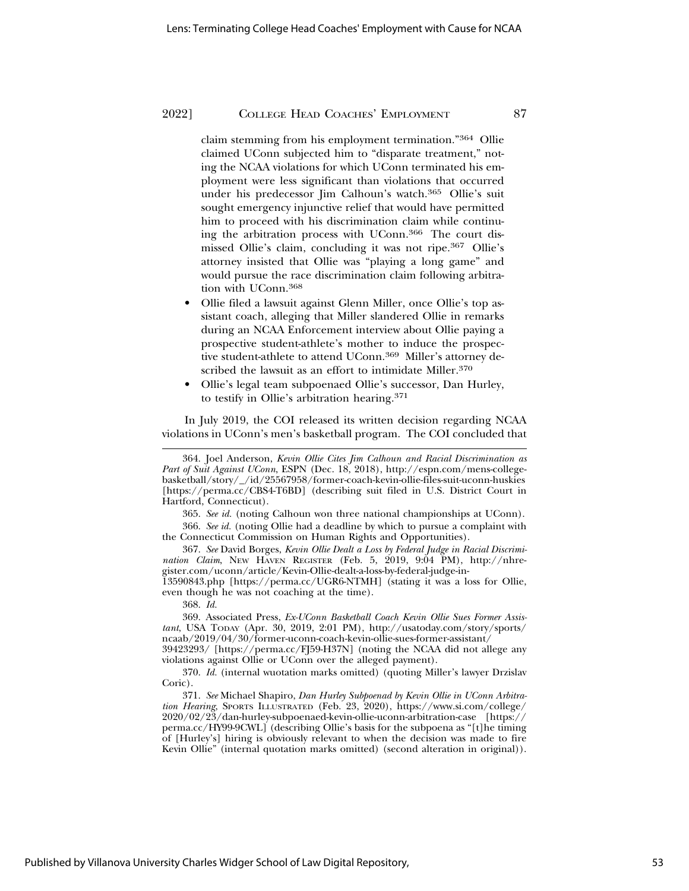claim stemming from his employment termination."364 Ollie claimed UConn subjected him to "disparate treatment," noting the NCAA violations for which UConn terminated his employment were less significant than violations that occurred under his predecessor Jim Calhoun's watch.365 Ollie's suit sought emergency injunctive relief that would have permitted him to proceed with his discrimination claim while continuing the arbitration process with UConn.366 The court dismissed Ollie's claim, concluding it was not ripe.367 Ollie's attorney insisted that Ollie was "playing a long game" and would pursue the race discrimination claim following arbitration with UConn.368

- Ollie filed a lawsuit against Glenn Miller, once Ollie's top assistant coach, alleging that Miller slandered Ollie in remarks during an NCAA Enforcement interview about Ollie paying a prospective student-athlete's mother to induce the prospective student-athlete to attend UConn.<sup>369</sup> Miller's attorney described the lawsuit as an effort to intimidate Miller.<sup>370</sup>
- Ollie's legal team subpoenaed Ollie's successor, Dan Hurley, to testify in Ollie's arbitration hearing.371

In July 2019, the COI released its written decision regarding NCAA violations in UConn's men's basketball program. The COI concluded that

365. *See id.* (noting Calhoun won three national championships at UConn). 366. *See id.* (noting Ollie had a deadline by which to pursue a complaint with the Connecticut Commission on Human Rights and Opportunities).

367. *See* David Borges, *Kevin Ollie Dealt a Loss by Federal Judge in Racial Discrimination Claim*, NEW HAVEN REGISTER (Feb. 5, 2019, 9:04 PM), http://nhregister.com/uconn/article/Kevin-Ollie-dealt-a-loss-by-federal-judge-in-

13590843.php [https://perma.cc/UGR6-NTMH] (stating it was a loss for Ollie, even though he was not coaching at the time).

368. *Id.*

369. Associated Press, *Ex-UConn Basketball Coach Kevin Ollie Sues Former Assistant*, USA TODAY (Apr. 30, 2019, 2:01 PM), http://usatoday.com/story/sports/ ncaab/2019/04/30/former-uconn-coach-kevin-ollie-sues-former-assistant/

39423293/ [https://perma.cc/FJ59-H37N] (noting the NCAA did not allege any violations against Ollie or UConn over the alleged payment).

370. *Id.* (internal wuotation marks omitted) (quoting Miller's lawyer Drzislav Coric).

371. *See* Michael Shapiro, *Dan Hurley Subpoenad by Kevin Ollie in UConn Arbitration Hearing*, SPORTS ILLUSTRATED (Feb. 23, 2020), https://www.si.com/college/ 2020/02/23/dan-hurley-subpoenaed-kevin-ollie-uconn-arbitration-case [https:// perma.cc/HY99-9CWL] (describing Ollie's basis for the subpoena as "[t]he timing of [Hurley's] hiring is obviously relevant to when the decision was made to fire Kevin Ollie" (internal quotation marks omitted) (second alteration in original)).

<sup>364.</sup> Joel Anderson, *Kevin Ollie Cites Jim Calhoun and Racial Discrimination as Part of Suit Against UConn*, ESPN (Dec. 18, 2018), http://espn.com/mens-collegebasketball/story/\_/id/25567958/former-coach-kevin-ollie-files-suit-uconn-huskies [https://perma.cc/CBS4-T6BD] (describing suit filed in U.S. District Court in Hartford, Connecticut).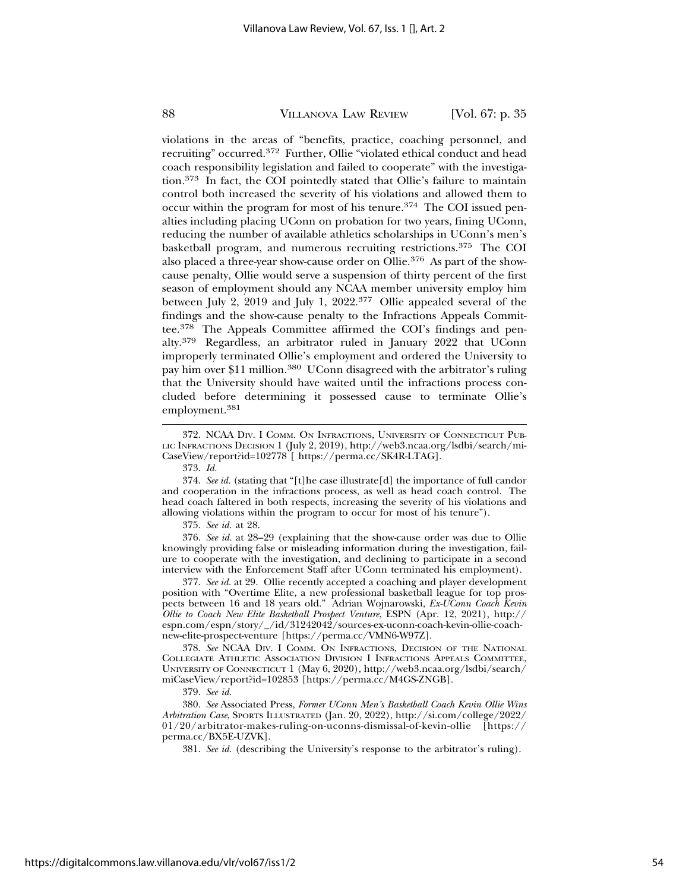violations in the areas of "benefits, practice, coaching personnel, and recruiting" occurred.372 Further, Ollie "violated ethical conduct and head coach responsibility legislation and failed to cooperate" with the investigation.373 In fact, the COI pointedly stated that Ollie's failure to maintain control both increased the severity of his violations and allowed them to occur within the program for most of his tenure.374 The COI issued penalties including placing UConn on probation for two years, fining UConn, reducing the number of available athletics scholarships in UConn's men's basketball program, and numerous recruiting restrictions.375 The COI also placed a three-year show-cause order on Ollie.376 As part of the showcause penalty, Ollie would serve a suspension of thirty percent of the first season of employment should any NCAA member university employ him between July 2, 2019 and July 1, 2022.377 Ollie appealed several of the findings and the show-cause penalty to the Infractions Appeals Committee.378 The Appeals Committee affirmed the COI's findings and penalty.379 Regardless, an arbitrator ruled in January 2022 that UConn improperly terminated Ollie's employment and ordered the University to pay him over \$11 million.380 UConn disagreed with the arbitrator's ruling that the University should have waited until the infractions process concluded before determining it possessed cause to terminate Ollie's employment.<sup>381</sup>

373. *Id.*

374. *See id.* (stating that "[t]he case illustrate[d] the importance of full candor and cooperation in the infractions process, as well as head coach control. The head coach faltered in both respects, increasing the severity of his violations and allowing violations within the program to occur for most of his tenure").

375. *See id.* at 28.

376. *See id.* at 28–29 (explaining that the show-cause order was due to Ollie knowingly providing false or misleading information during the investigation, failure to cooperate with the investigation, and declining to participate in a second interview with the Enforcement Staff after UConn terminated his employment).

377. *See id.* at 29. Ollie recently accepted a coaching and player development position with "Overtime Elite, a new professional basketball league for top prospects between 16 and 18 years old." Adrian Wojnarowski, *Ex-UConn Coach Kevin Ollie to Coach New Elite Basketball Prospect Venture*, ESPN (Apr. 12, 2021), http:// espn.com/espn/story/\_/id/31242042/sources-ex-uconn-coach-kevin-ollie-coachnew-elite-prospect-venture [https://perma.cc/VMN6-W97Z].

378. *See* NCAA DIV. I COMM. ON INFRACTIONS, DECISION OF THE NATIONAL COLLEGIATE ATHLETIC ASSOCIATION DIVISION I INFRACTIONS APPEALS COMMITTEE, UNIVERSITY OF CONNECTICUT 1 (May 6, 2020), http://web3.ncaa.org/lsdbi/search/ miCaseView/report?id=102853 [https://perma.cc/M4GS-ZNGB].

379. *See id.*

380. *See* Associated Press, *Former UConn Men's Basketball Coach Kevin Ollie Wins Arbitration Case*, SPORTS ILLUSTRATED (Jan. 20, 2022), http://si.com/college/2022/ 01/20/arbitrator-makes-ruling-on-uconns-dismissal-of-kevin-ollie [https:// perma.cc/BX5E-UZVK].

381. *See id.* (describing the University's response to the arbitrator's ruling).

<sup>372.</sup> NCAA DIV. I COMM. ON INFRACTIONS, UNIVERSITY OF CONNECTICUT PUB-LIC INFRACTIONS DECISION 1 (July 2, 2019), http://web3.ncaa.org/lsdbi/search/mi-CaseView/report?id=102778 [ https://perma.cc/SK4R-LTAG].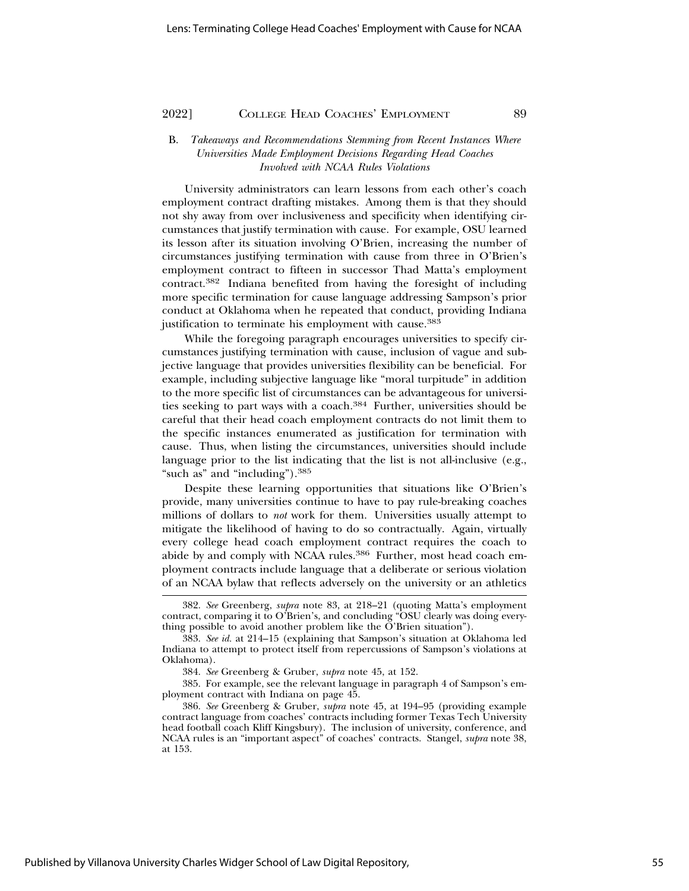#### B. *Takeaways and Recommendations Stemming from Recent Instances Where Universities Made Employment Decisions Regarding Head Coaches Involved with NCAA Rules Violations*

University administrators can learn lessons from each other's coach employment contract drafting mistakes. Among them is that they should not shy away from over inclusiveness and specificity when identifying circumstances that justify termination with cause. For example, OSU learned its lesson after its situation involving O'Brien, increasing the number of circumstances justifying termination with cause from three in O'Brien's employment contract to fifteen in successor Thad Matta's employment contract.382 Indiana benefited from having the foresight of including more specific termination for cause language addressing Sampson's prior conduct at Oklahoma when he repeated that conduct, providing Indiana justification to terminate his employment with cause.<sup>383</sup>

While the foregoing paragraph encourages universities to specify circumstances justifying termination with cause, inclusion of vague and subjective language that provides universities flexibility can be beneficial. For example, including subjective language like "moral turpitude" in addition to the more specific list of circumstances can be advantageous for universities seeking to part ways with a coach.384 Further, universities should be careful that their head coach employment contracts do not limit them to the specific instances enumerated as justification for termination with cause. Thus, when listing the circumstances, universities should include language prior to the list indicating that the list is not all-inclusive (e.g., "such as" and "including").<sup>385</sup>

Despite these learning opportunities that situations like O'Brien's provide, many universities continue to have to pay rule-breaking coaches millions of dollars to *not* work for them. Universities usually attempt to mitigate the likelihood of having to do so contractually. Again, virtually every college head coach employment contract requires the coach to abide by and comply with NCAA rules.<sup>386</sup> Further, most head coach employment contracts include language that a deliberate or serious violation of an NCAA bylaw that reflects adversely on the university or an athletics

<sup>382.</sup> *See* Greenberg, *supra* note 83, at 218–21 (quoting Matta's employment contract, comparing it to O'Brien's, and concluding "OSU clearly was doing everything possible to avoid another problem like the  $\tilde{O}'$ Brien situation").

<sup>383.</sup> *See id.* at 214–15 (explaining that Sampson's situation at Oklahoma led Indiana to attempt to protect itself from repercussions of Sampson's violations at Oklahoma).

<sup>384.</sup> *See* Greenberg & Gruber, *supra* note 45, at 152.

<sup>385.</sup> For example, see the relevant language in paragraph 4 of Sampson's employment contract with Indiana on page 45.

<sup>386.</sup> *See* Greenberg & Gruber, *supra* note 45, at 194–95 (providing example contract language from coaches' contracts including former Texas Tech University head football coach Kliff Kingsbury). The inclusion of university, conference, and NCAA rules is an "important aspect" of coaches' contracts. Stangel, *supra* note 38, at 153.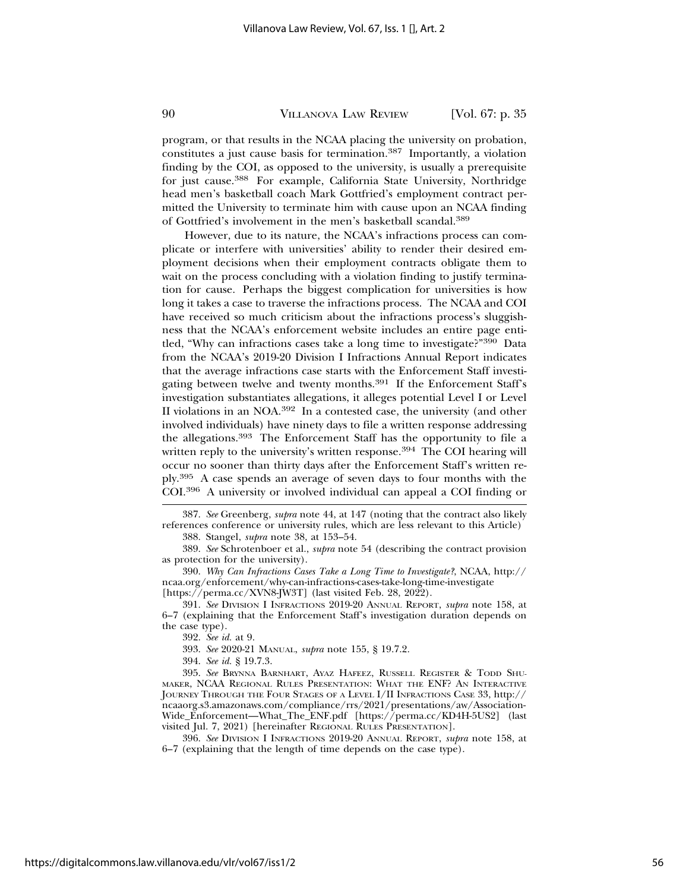program, or that results in the NCAA placing the university on probation, constitutes a just cause basis for termination.387 Importantly, a violation finding by the COI, as opposed to the university, is usually a prerequisite for just cause.388 For example, California State University, Northridge head men's basketball coach Mark Gottfried's employment contract permitted the University to terminate him with cause upon an NCAA finding of Gottfried's involvement in the men's basketball scandal.389

However, due to its nature, the NCAA's infractions process can complicate or interfere with universities' ability to render their desired employment decisions when their employment contracts obligate them to wait on the process concluding with a violation finding to justify termination for cause. Perhaps the biggest complication for universities is how long it takes a case to traverse the infractions process. The NCAA and COI have received so much criticism about the infractions process's sluggishness that the NCAA's enforcement website includes an entire page entitled, "Why can infractions cases take a long time to investigate?"390 Data from the NCAA's 2019-20 Division I Infractions Annual Report indicates that the average infractions case starts with the Enforcement Staff investigating between twelve and twenty months.<sup>391</sup> If the Enforcement Staff's investigation substantiates allegations, it alleges potential Level I or Level II violations in an NOA.392 In a contested case, the university (and other involved individuals) have ninety days to file a written response addressing the allegations.393 The Enforcement Staff has the opportunity to file a written reply to the university's written response.<sup>394</sup> The COI hearing will occur no sooner than thirty days after the Enforcement Staff's written reply.395 A case spends an average of seven days to four months with the COI.396 A university or involved individual can appeal a COI finding or

387. *See* Greenberg, *supra* note 44, at 147 (noting that the contract also likely references conference or university rules, which are less relevant to this Article)

388. Stangel, *supra* note 38, at 153–54.

389. *See* Schrotenboer et al., *supra* note 54 (describing the contract provision as protection for the university).

390. *Why Can Infractions Cases Take a Long Time to Investigate?*, NCAA, http:// ncaa.org/enforcement/why-can-infractions-cases-take-long-time-investigate [https://perma.cc/XVN8-JW3T] (last visited Feb. 28, 2022).

391. *See* DIVISION I INFRACTIONS 2019-20 ANNUAL REPORT, *supra* note 158, at 6–7 (explaining that the Enforcement Staff's investigation duration depends on the case type).

393. *See* 2020-21 MANUAL, *supra* note 155, § 19.7.2.

394. *See id.* § 19.7.3.

395. *See* BRYNNA BARNHART, AYAZ HAFEEZ, RUSSELL REGISTER & TODD SHU-MAKER, NCAA REGIONAL RULES PRESENTATION: WHAT THE ENF? AN INTERACTIVE JOURNEY THROUGH THE FOUR STAGES OF A LEVEL I/II INFRACTIONS CASE 33, http:// ncaaorg.s3.amazonaws.com/compliance/rrs/2021/presentations/aw/Association-Wide\_Enforcement—What\_The\_ENF.pdf [https://perma.cc/KD4H-5US2] (last visited Jul. 7, 2021) [hereinafter REGIONAL RULES PRESENTATION].

396. *See* DIVISION I INFRACTIONS 2019-20 ANNUAL REPORT, *supra* note 158, at 6–7 (explaining that the length of time depends on the case type).

<sup>392.</sup> *See id.* at 9.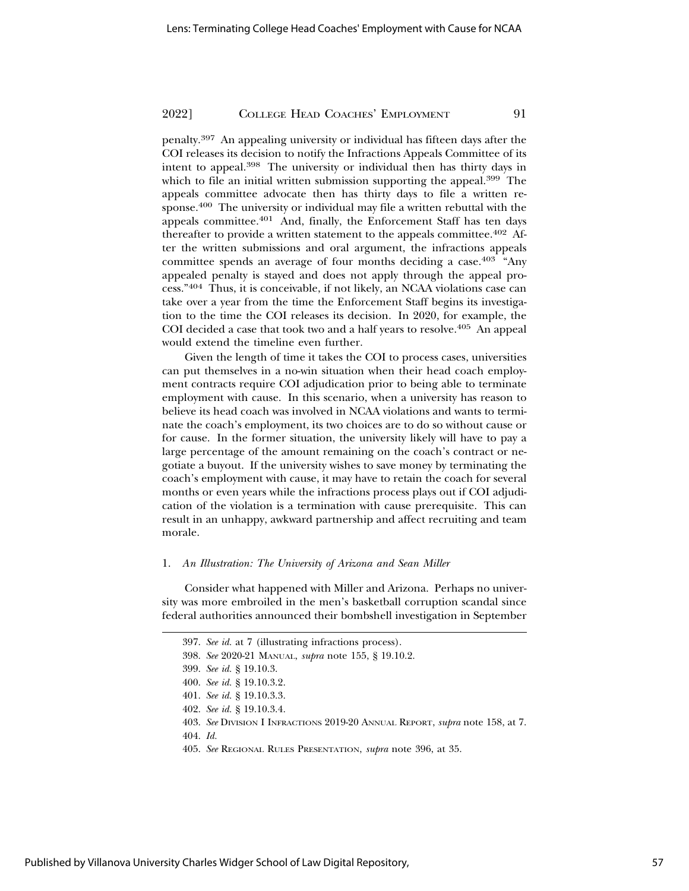penalty.397 An appealing university or individual has fifteen days after the COI releases its decision to notify the Infractions Appeals Committee of its intent to appeal.398 The university or individual then has thirty days in which to file an initial written submission supporting the appeal.<sup>399</sup> The appeals committee advocate then has thirty days to file a written response.400 The university or individual may file a written rebuttal with the appeals committee.401 And, finally, the Enforcement Staff has ten days thereafter to provide a written statement to the appeals committee.<sup>402</sup> After the written submissions and oral argument, the infractions appeals committee spends an average of four months deciding a case.403 "Any appealed penalty is stayed and does not apply through the appeal process."404 Thus, it is conceivable, if not likely, an NCAA violations case can take over a year from the time the Enforcement Staff begins its investigation to the time the COI releases its decision. In 2020, for example, the COI decided a case that took two and a half years to resolve.<sup>405</sup> An appeal would extend the timeline even further.

Given the length of time it takes the COI to process cases, universities can put themselves in a no-win situation when their head coach employment contracts require COI adjudication prior to being able to terminate employment with cause. In this scenario, when a university has reason to believe its head coach was involved in NCAA violations and wants to terminate the coach's employment, its two choices are to do so without cause or for cause. In the former situation, the university likely will have to pay a large percentage of the amount remaining on the coach's contract or negotiate a buyout. If the university wishes to save money by terminating the coach's employment with cause, it may have to retain the coach for several months or even years while the infractions process plays out if COI adjudication of the violation is a termination with cause prerequisite. This can result in an unhappy, awkward partnership and affect recruiting and team morale.

#### 1. *An Illustration: The University of Arizona and Sean Miller*

Consider what happened with Miller and Arizona. Perhaps no university was more embroiled in the men's basketball corruption scandal since federal authorities announced their bombshell investigation in September

397. *See id.* at 7 (illustrating infractions process).

<sup>398.</sup> *See* 2020-21 MANUAL, *supra* note 155, § 19.10.2.

<sup>399.</sup> *See id.* § 19.10.3.

<sup>400.</sup> *See id.* § 19.10.3.2.

<sup>401.</sup> *See id.* § 19.10.3.3.

<sup>402.</sup> *See id.* § 19.10.3.4.

<sup>403.</sup> *See* DIVISION I INFRACTIONS 2019-20 ANNUAL REPORT, *supra* note 158, at 7.

<sup>404.</sup> *Id.*

<sup>405.</sup> *See* REGIONAL RULES PRESENTATION, *supra* note 396, at 35.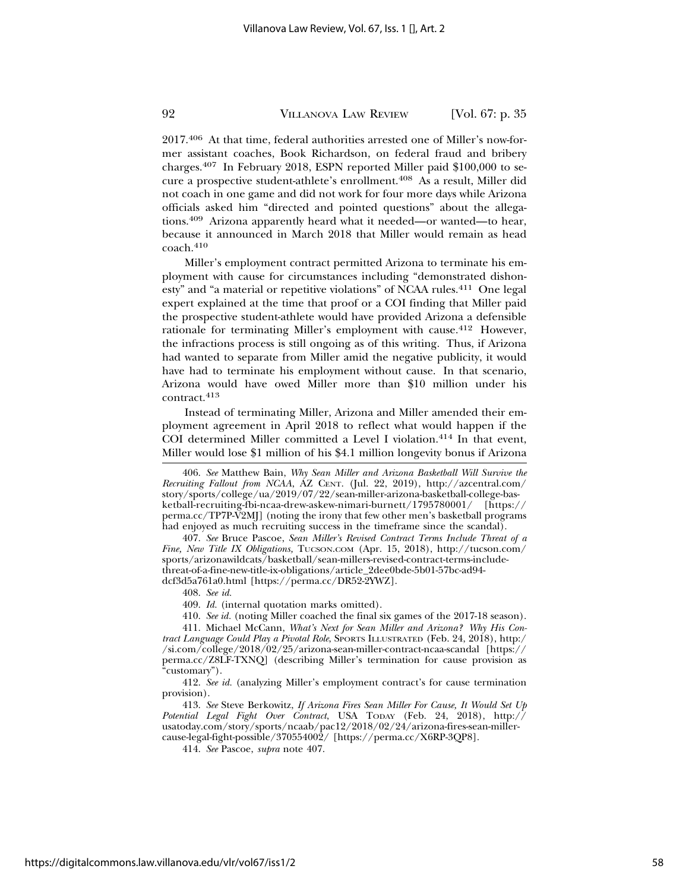2017.406 At that time, federal authorities arrested one of Miller's now-former assistant coaches, Book Richardson, on federal fraud and bribery charges.407 In February 2018, ESPN reported Miller paid \$100,000 to secure a prospective student-athlete's enrollment.408 As a result, Miller did not coach in one game and did not work for four more days while Arizona officials asked him "directed and pointed questions" about the allegations.409 Arizona apparently heard what it needed—or wanted—to hear, because it announced in March 2018 that Miller would remain as head coach.<sup>410</sup>

Miller's employment contract permitted Arizona to terminate his employment with cause for circumstances including "demonstrated dishonesty" and "a material or repetitive violations" of NCAA rules.411 One legal expert explained at the time that proof or a COI finding that Miller paid the prospective student-athlete would have provided Arizona a defensible rationale for terminating Miller's employment with cause.412 However, the infractions process is still ongoing as of this writing. Thus, if Arizona had wanted to separate from Miller amid the negative publicity, it would have had to terminate his employment without cause. In that scenario, Arizona would have owed Miller more than \$10 million under his contract.<sup>413</sup>

Instead of terminating Miller, Arizona and Miller amended their employment agreement in April 2018 to reflect what would happen if the COI determined Miller committed a Level I violation.<sup>414</sup> In that event, Miller would lose \$1 million of his \$4.1 million longevity bonus if Arizona

406. *See* Matthew Bain, *Why Sean Miller and Arizona Basketball Will Survive the Recruiting Fallout from NCAA*, AZ CENT. (Jul. 22, 2019), http://azcentral.com/ story/sports/college/ua/2019/07/22/sean-miller-arizona-basketball-college-basketball-recruiting-fbi-ncaa-drew-askew-nimari-burnett/1795780001/ [https:// perma.cc/TP7P-V2MJ] (noting the irony that few other men's basketball programs had enjoyed as much recruiting success in the timeframe since the scandal).

407. *See* Bruce Pascoe, *Sean Miller's Revised Contract Terms Include Threat of a Fine, New Title IX Obligations,* TUCSON.COM (Apr. 15, 2018), http://tucson.com/ sports/arizonawildcats/basketball/sean-millers-revised-contract-terms-includethreat-of-a-fine-new-title-ix-obligations/article\_2dee0bde-5b01-57bc-ad94 dcf3d5a761a0.html [https://perma.cc/DR52-2YWZ].

408. *See id.*

409. *Id.* (internal quotation marks omitted).

410. *See id.* (noting Miller coached the final six games of the 2017-18 season).

411. Michael McCann, *What's Next for Sean Miller and Arizona? Why His Contract Language Could Play a Pivotal Role*, SPORTS ILLUSTRATED (Feb. 24, 2018), http:/ /si.com/college/2018/02/25/arizona-sean-miller-contract-ncaa-scandal [https:// perma.cc/Z8LF-TXNQ] (describing Miller's termination for cause provision as "customary").

412. *See id.* (analyzing Miller's employment contract's for cause termination provision).

413. *See* Steve Berkowitz, *If Arizona Fires Sean Miller For Cause, It Would Set Up Potential Legal Fight Over Contract*, USA TODAY (Feb. 24, 2018), http:// usatoday.com/story/sports/ncaab/pac12/2018/02/24/arizona-fires-sean-millercause-legal-fight-possible/370554002/ [https://perma.cc/X6RP-3QP8].

414. *See* Pascoe, *supra* note 407.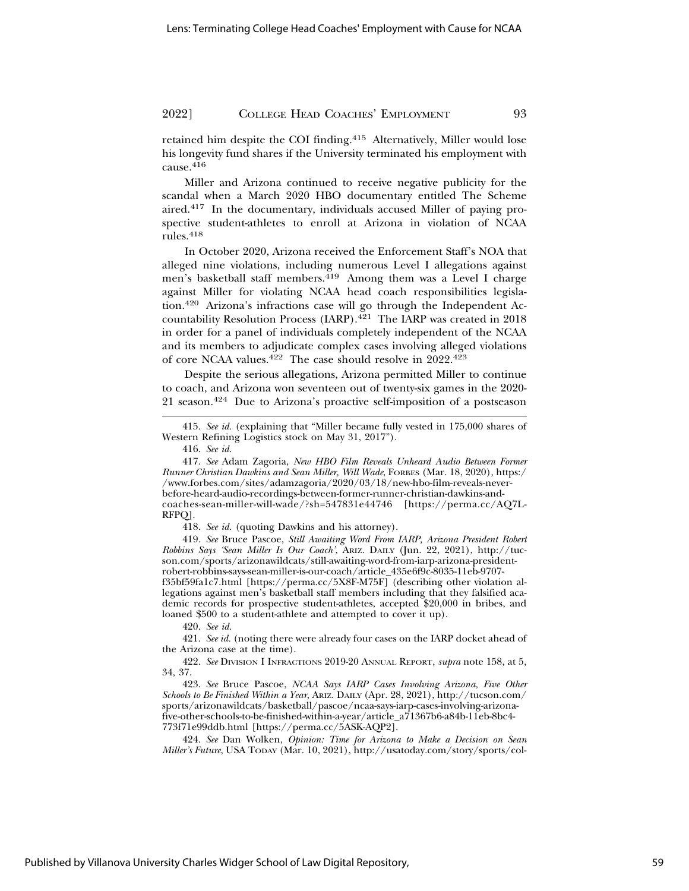retained him despite the COI finding.415 Alternatively, Miller would lose his longevity fund shares if the University terminated his employment with cause.<sup>416</sup>

Miller and Arizona continued to receive negative publicity for the scandal when a March 2020 HBO documentary entitled The Scheme aired.417 In the documentary, individuals accused Miller of paying prospective student-athletes to enroll at Arizona in violation of NCAA rules.<sup>418</sup>

In October 2020, Arizona received the Enforcement Staff's NOA that alleged nine violations, including numerous Level I allegations against men's basketball staff members.<sup>419</sup> Among them was a Level I charge against Miller for violating NCAA head coach responsibilities legislation.420 Arizona's infractions case will go through the Independent Accountability Resolution Process (IARP).421 The IARP was created in 2018 in order for a panel of individuals completely independent of the NCAA and its members to adjudicate complex cases involving alleged violations of core NCAA values.422 The case should resolve in 2022.423

Despite the serious allegations, Arizona permitted Miller to continue to coach, and Arizona won seventeen out of twenty-six games in the 2020- 21 season.424 Due to Arizona's proactive self-imposition of a postseason

418. *See id.* (quoting Dawkins and his attorney).

419. *See* Bruce Pascoe, *Still Awaiting Word From IARP, Arizona President Robert Robbins Says 'Sean Miller Is Our Coach'*, ARIZ. DAILY (Jun. 22, 2021), http://tucson.com/sports/arizonawildcats/still-awaiting-word-from-iarp-arizona-presidentrobert-robbins-says-sean-miller-is-our-coach/article\_435e6f9c-8035-11eb-9707 f35bf59fa1c7.html [https://perma.cc/5X8F-M75F] (describing other violation allegations against men's basketball staff members including that they falsified academic records for prospective student-athletes, accepted \$20,000 in bribes, and loaned \$500 to a student-athlete and attempted to cover it up).

420. *See id.*

421. *See id.* (noting there were already four cases on the IARP docket ahead of the Arizona case at the time).

422. *See* DIVISION I INFRACTIONS 2019-20 ANNUAL REPORT, *supra* note 158, at 5, 34, 37.

423. *See* Bruce Pascoe, *NCAA Says IARP Cases Involving Arizona, Five Other Schools to Be Finished Within a Year*, ARIZ. DAILY (Apr. 28, 2021), http://tucson.com/ sports/arizonawildcats/basketball/pascoe/ncaa-says-iarp-cases-involving-arizonafive-other-schools-to-be-finished-within-a-year/article\_a71367b6-a84b-11eb-8bc4- 773f71e99ddb.html [https://perma.cc/5ASK-AQP2].

424. *See* Dan Wolken, *Opinion: Time for Arizona to Make a Decision on Sean Miller's Future*, USA TODAY (Mar. 10, 2021), http://usatoday.com/story/sports/col-

<sup>415.</sup> *See id.* (explaining that "Miller became fully vested in 175,000 shares of Western Refining Logistics stock on May 31, 2017").

<sup>416.</sup> *See id.*

<sup>417.</sup> *See* Adam Zagoria, *New HBO Film Reveals Unheard Audio Between Former Runner Christian Dawkins and Sean Miller, Will Wade*, FORBES (Mar. 18, 2020), https:/ /www.forbes.com/sites/adamzagoria/2020/03/18/new-hbo-film-reveals-neverbefore-heard-audio-recordings-between-former-runner-christian-dawkins-andcoaches-sean-miller-will-wade/?sh=547831e44746 [https://perma.cc/AQ7L-RFPQ].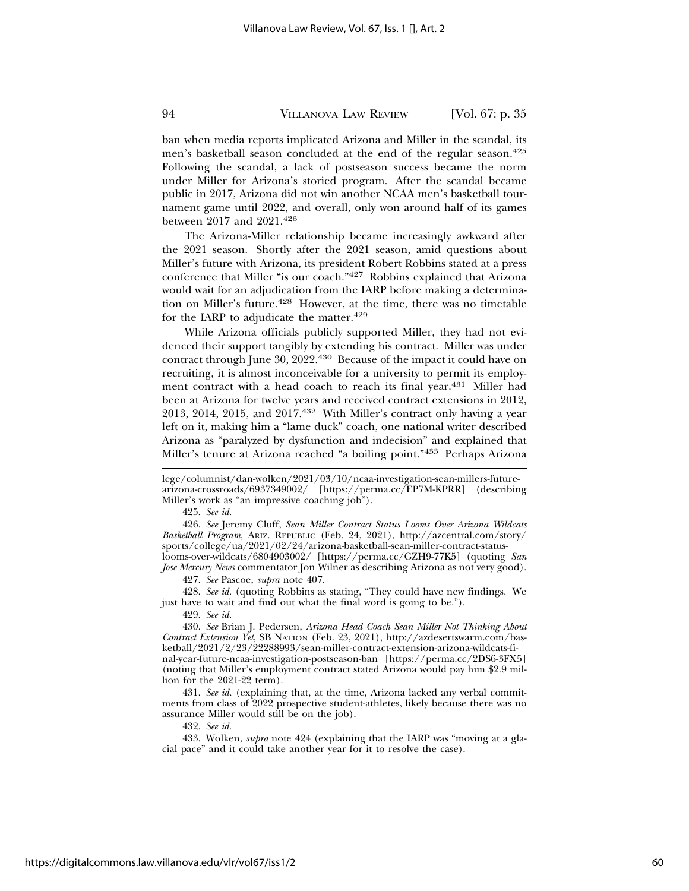ban when media reports implicated Arizona and Miller in the scandal, its men's basketball season concluded at the end of the regular season.425 Following the scandal, a lack of postseason success became the norm under Miller for Arizona's storied program. After the scandal became public in 2017, Arizona did not win another NCAA men's basketball tournament game until 2022, and overall, only won around half of its games between 2017 and 2021.426

The Arizona-Miller relationship became increasingly awkward after the 2021 season. Shortly after the 2021 season, amid questions about Miller's future with Arizona, its president Robert Robbins stated at a press conference that Miller "is our coach."427 Robbins explained that Arizona would wait for an adjudication from the IARP before making a determination on Miller's future.<sup>428</sup> However, at the time, there was no timetable for the IARP to adjudicate the matter.<sup>429</sup>

While Arizona officials publicly supported Miller, they had not evidenced their support tangibly by extending his contract. Miller was under contract through June 30, 2022.430 Because of the impact it could have on recruiting, it is almost inconceivable for a university to permit its employment contract with a head coach to reach its final year.431 Miller had been at Arizona for twelve years and received contract extensions in 2012, 2013, 2014, 2015, and 2017.432 With Miller's contract only having a year left on it, making him a "lame duck" coach, one national writer described Arizona as "paralyzed by dysfunction and indecision" and explained that Miller's tenure at Arizona reached "a boiling point."433 Perhaps Arizona

426. *See* Jeremy Cluff, *Sean Miller Contract Status Looms Over Arizona Wildcats Basketball Program*, ARIZ. REPUBLIC (Feb. 24, 2021), http://azcentral.com/story/ sports/college/ua/2021/02/24/arizona-basketball-sean-miller-contract-statuslooms-over-wildcats/6804903002/ [https://perma.cc/GZH9-77K5] (quoting *San*

*Jose Mercury News* commentator Jon Wilner as describing Arizona as not very good). 427. *See* Pascoe, *supra* note 407.

428. *See id.* (quoting Robbins as stating, "They could have new findings. We just have to wait and find out what the final word is going to be.").

429. *See id.*

430. *See* Brian J. Pedersen, *Arizona Head Coach Sean Miller Not Thinking About Contract Extension Yet*, SB NATION (Feb. 23, 2021), http://azdesertswarm.com/basketball/2021/2/23/22288993/sean-miller-contract-extension-arizona-wildcats-final-year-future-ncaa-investigation-postseason-ban [https://perma.cc/2DS6-3FX5] (noting that Miller's employment contract stated Arizona would pay him \$2.9 million for the 2021-22 term).

431. *See id.* (explaining that, at the time, Arizona lacked any verbal commitments from class of 2022 prospective student-athletes, likely because there was no assurance Miller would still be on the job).

432. *See id.*

433. Wolken, *supra* note 424 (explaining that the IARP was "moving at a glacial pace" and it could take another year for it to resolve the case).

lege/columnist/dan-wolken/2021/03/10/ncaa-investigation-sean-millers-futurearizona-crossroads/6937349002/ [https://perma.cc/EP7M-KPRR] (describing Miller's work as "an impressive coaching job").

<sup>425.</sup> *See id.*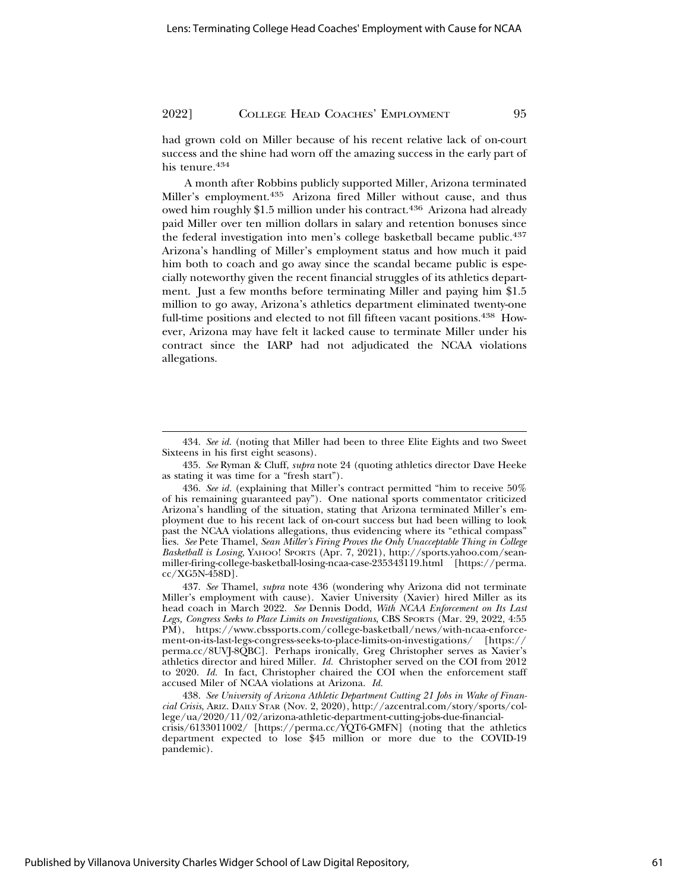had grown cold on Miller because of his recent relative lack of on-court success and the shine had worn off the amazing success in the early part of his tenure.<sup>434</sup>

A month after Robbins publicly supported Miller, Arizona terminated Miller's employment.435 Arizona fired Miller without cause, and thus owed him roughly \$1.5 million under his contract.<sup>436</sup> Arizona had already paid Miller over ten million dollars in salary and retention bonuses since the federal investigation into men's college basketball became public.437 Arizona's handling of Miller's employment status and how much it paid him both to coach and go away since the scandal became public is especially noteworthy given the recent financial struggles of its athletics department. Just a few months before terminating Miller and paying him \$1.5 million to go away, Arizona's athletics department eliminated twenty-one full-time positions and elected to not fill fifteen vacant positions.438 However, Arizona may have felt it lacked cause to terminate Miller under his contract since the IARP had not adjudicated the NCAA violations allegations.

435. *See* Ryman & Cluff, *supra* note 24 (quoting athletics director Dave Heeke as stating it was time for a "fresh start").

438. *See University of Arizona Athletic Department Cutting 21 Jobs in Wake of Financial Crisis*, ARIZ. DAILY STAR (Nov. 2, 2020), http://azcentral.com/story/sports/college/ua/2020/11/02/arizona-athletic-department-cutting-jobs-due-financialcrisis/6133011002/ [https://perma.cc/YQT6-GMFN] (noting that the athletics

department expected to lose \$45 million or more due to the COVID-19 pandemic).

<sup>434.</sup> *See id.* (noting that Miller had been to three Elite Eights and two Sweet Sixteens in his first eight seasons).

<sup>436.</sup> *See id.* (explaining that Miller's contract permitted "him to receive 50% of his remaining guaranteed pay"). One national sports commentator criticized Arizona's handling of the situation, stating that Arizona terminated Miller's employment due to his recent lack of on-court success but had been willing to look past the NCAA violations allegations, thus evidencing where its "ethical compass" lies. *See* Pete Thamel, *Sean Miller's Firing Proves the Only Unacceptable Thing in College Basketball is Losing,* YAHOO! SPORTS (Apr. 7, 2021), http://sports.yahoo.com/seanmiller-firing-college-basketball-losing-ncaa-case-235343119.html [https://perma. cc/XG5N-458D].

<sup>437.</sup> *See* Thamel, *supra* note 436 (wondering why Arizona did not terminate Miller's employment with cause). Xavier University (Xavier) hired Miller as its head coach in March 2022. *See* Dennis Dodd, *With NCAA Enforcement on Its Last Legs, Congress Seeks to Place Limits on Investigations*, CBS SPORTS (Mar. 29, 2022, 4:55 PM), https://www.cbssports.com/college-basketball/news/with-ncaa-enforcement-on-its-last-legs-congress-seeks-to-place-limits-on-investigations/ [https:// perma.cc/8UVJ-8QBC]. Perhaps ironically, Greg Christopher serves as Xavier's athletics director and hired Miller. *Id.* Christopher served on the COI from 2012 to 2020. *Id.* In fact, Christopher chaired the COI when the enforcement staff accused Miler of NCAA violations at Arizona. *Id.*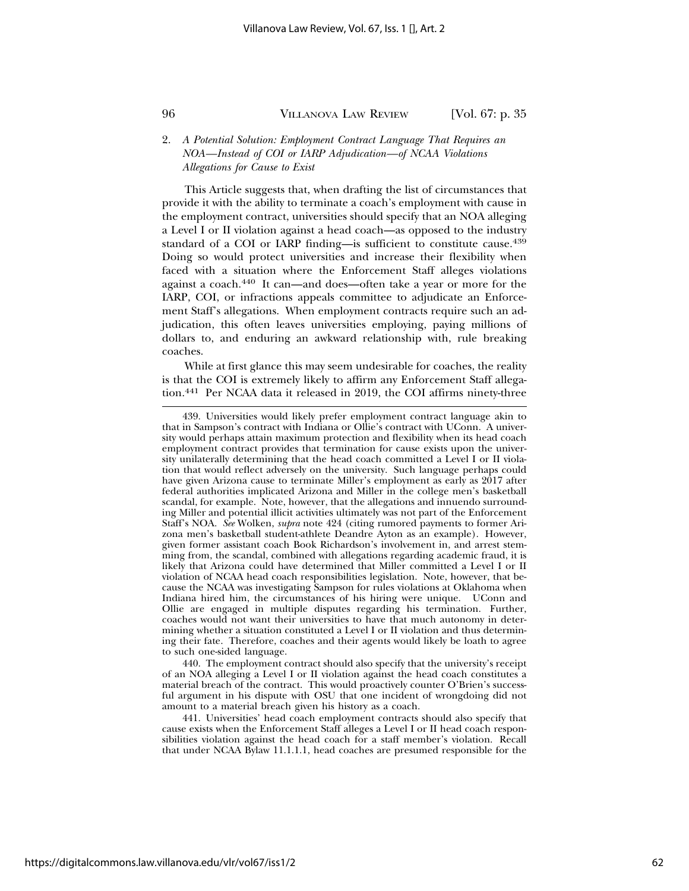#### 2. *A Potential Solution: Employment Contract Language That Requires an NOA—Instead of COI or IARP Adjudication—of NCAA Violations Allegations for Cause to Exist*

This Article suggests that, when drafting the list of circumstances that provide it with the ability to terminate a coach's employment with cause in the employment contract, universities should specify that an NOA alleging a Level I or II violation against a head coach—as opposed to the industry standard of a COI or IARP finding-is sufficient to constitute cause.<sup>439</sup> Doing so would protect universities and increase their flexibility when faced with a situation where the Enforcement Staff alleges violations against a coach.440 It can—and does—often take a year or more for the IARP, COI, or infractions appeals committee to adjudicate an Enforcement Staff's allegations. When employment contracts require such an adjudication, this often leaves universities employing, paying millions of dollars to, and enduring an awkward relationship with, rule breaking coaches.

While at first glance this may seem undesirable for coaches, the reality is that the COI is extremely likely to affirm any Enforcement Staff allegation.441 Per NCAA data it released in 2019, the COI affirms ninety-three

440. The employment contract should also specify that the university's receipt of an NOA alleging a Level I or II violation against the head coach constitutes a material breach of the contract. This would proactively counter O'Brien's successful argument in his dispute with OSU that one incident of wrongdoing did not amount to a material breach given his history as a coach.

441. Universities' head coach employment contracts should also specify that cause exists when the Enforcement Staff alleges a Level I or II head coach responsibilities violation against the head coach for a staff member's violation. Recall that under NCAA Bylaw 11.1.1.1, head coaches are presumed responsible for the

<sup>439.</sup> Universities would likely prefer employment contract language akin to that in Sampson's contract with Indiana or Ollie's contract with UConn. A university would perhaps attain maximum protection and flexibility when its head coach employment contract provides that termination for cause exists upon the university unilaterally determining that the head coach committed a Level I or II violation that would reflect adversely on the university. Such language perhaps could have given Arizona cause to terminate Miller's employment as early as 2017 after federal authorities implicated Arizona and Miller in the college men's basketball scandal, for example. Note, however, that the allegations and innuendo surrounding Miller and potential illicit activities ultimately was not part of the Enforcement Staff's NOA. *See* Wolken, *supra* note 424 (citing rumored payments to former Arizona men's basketball student-athlete Deandre Ayton as an example). However, given former assistant coach Book Richardson's involvement in, and arrest stemming from, the scandal, combined with allegations regarding academic fraud, it is likely that Arizona could have determined that Miller committed a Level I or II violation of NCAA head coach responsibilities legislation. Note, however, that because the NCAA was investigating Sampson for rules violations at Oklahoma when Indiana hired him, the circumstances of his hiring were unique. UConn and Ollie are engaged in multiple disputes regarding his termination. Further, coaches would not want their universities to have that much autonomy in determining whether a situation constituted a Level I or II violation and thus determining their fate. Therefore, coaches and their agents would likely be loath to agree to such one-sided language.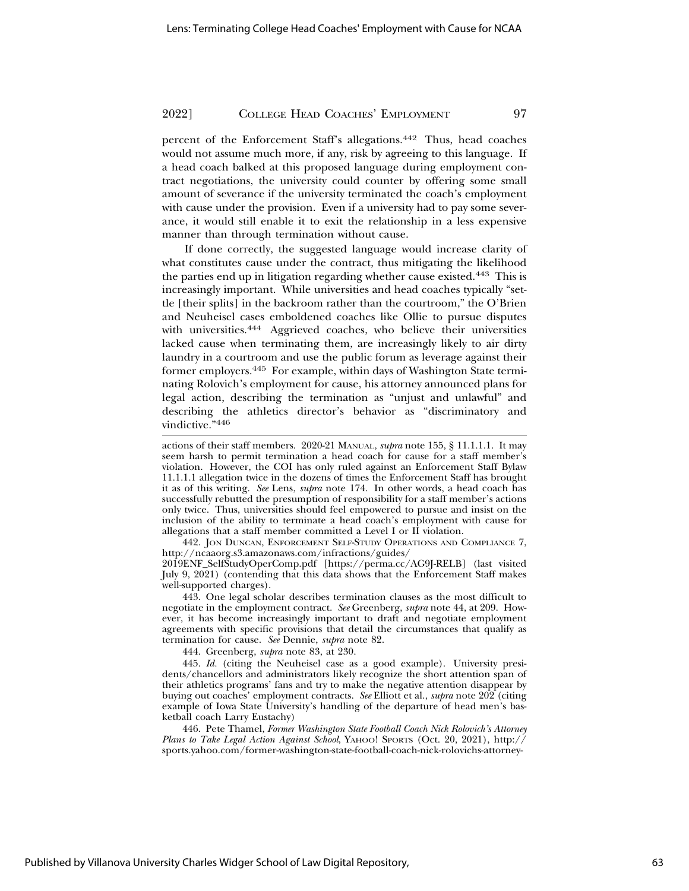percent of the Enforcement Staff's allegations.442 Thus, head coaches would not assume much more, if any, risk by agreeing to this language. If a head coach balked at this proposed language during employment contract negotiations, the university could counter by offering some small amount of severance if the university terminated the coach's employment with cause under the provision. Even if a university had to pay some severance, it would still enable it to exit the relationship in a less expensive manner than through termination without cause.

If done correctly, the suggested language would increase clarity of what constitutes cause under the contract, thus mitigating the likelihood the parties end up in litigation regarding whether cause existed.<sup>443</sup> This is increasingly important. While universities and head coaches typically "settle [their splits] in the backroom rather than the courtroom," the O'Brien and Neuheisel cases emboldened coaches like Ollie to pursue disputes with universities.<sup>444</sup> Aggrieved coaches, who believe their universities lacked cause when terminating them, are increasingly likely to air dirty laundry in a courtroom and use the public forum as leverage against their former employers.445 For example, within days of Washington State terminating Rolovich's employment for cause, his attorney announced plans for legal action, describing the termination as "unjust and unlawful" and describing the athletics director's behavior as "discriminatory and vindictive."<sup>446</sup>

actions of their staff members. 2020-21 MANUAL, *supra* note 155, § 11.1.1.1. It may seem harsh to permit termination a head coach for cause for a staff member's violation. However, the COI has only ruled against an Enforcement Staff Bylaw 11.1.1.1 allegation twice in the dozens of times the Enforcement Staff has brought it as of this writing. *See* Lens, *supra* note 174. In other words, a head coach has successfully rebutted the presumption of responsibility for a staff member's actions only twice. Thus, universities should feel empowered to pursue and insist on the inclusion of the ability to terminate a head coach's employment with cause for allegations that a staff member committed a Level I or II violation.

442. JON DUNCAN, ENFORCEMENT SELF-STUDY OPERATIONS AND COMPLIANCE 7, http://ncaaorg.s3.amazonaws.com/infractions/guides/ 2019ENF\_SelfStudyOperComp.pdf [https://perma.cc/AG9J-RELB] (last visited July 9, 2021) (contending that this data shows that the Enforcement Staff makes well-supported charges).

443. One legal scholar describes termination clauses as the most difficult to negotiate in the employment contract. *See* Greenberg, *supra* note 44, at 209. However, it has become increasingly important to draft and negotiate employment agreements with specific provisions that detail the circumstances that qualify as termination for cause. *See* Dennie, *supra* note 82.

444. Greenberg, *supra* note 83, at 230.

445. *Id.* (citing the Neuheisel case as a good example). University presidents/chancellors and administrators likely recognize the short attention span of their athletics programs' fans and try to make the negative attention disappear by buying out coaches' employment contracts. *See* Elliott et al., *supra* note 202 (citing example of Iowa State University's handling of the departure of head men's basketball coach Larry Eustachy)

446. Pete Thamel, *Former Washington State Football Coach Nick Rolovich's Attorney Plans to Take Legal Action Against School*, YAHOO! SPORTS (Oct. 20, 2021), http:// sports.yahoo.com/former-washington-state-football-coach-nick-rolovichs-attorney-

Published by Villanova University Charles Widger School of Law Digital Repository,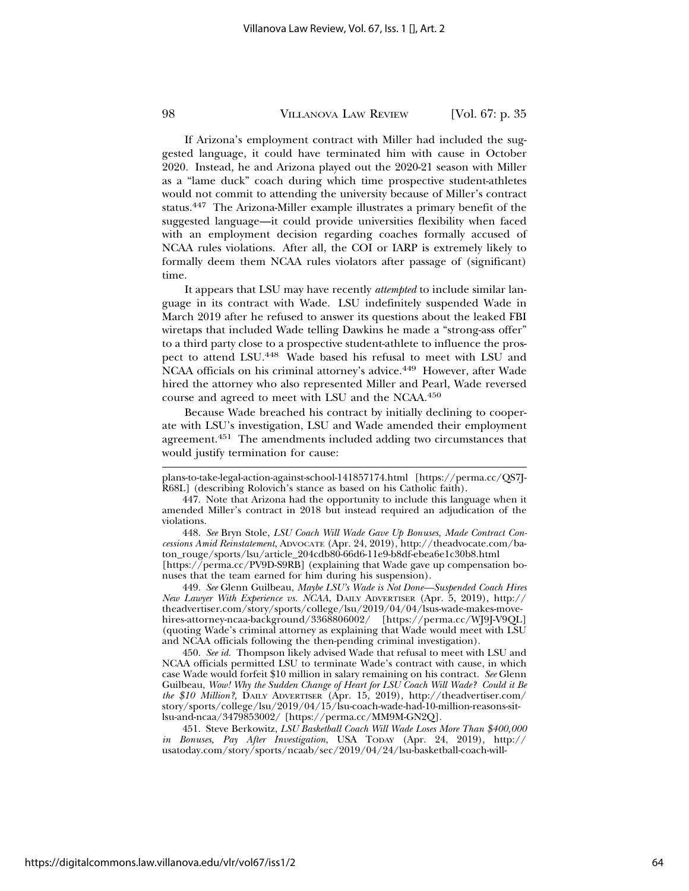If Arizona's employment contract with Miller had included the suggested language, it could have terminated him with cause in October 2020. Instead, he and Arizona played out the 2020-21 season with Miller as a "lame duck" coach during which time prospective student-athletes would not commit to attending the university because of Miller's contract status.447 The Arizona-Miller example illustrates a primary benefit of the suggested language—it could provide universities flexibility when faced with an employment decision regarding coaches formally accused of NCAA rules violations. After all, the COI or IARP is extremely likely to formally deem them NCAA rules violators after passage of (significant) time.

It appears that LSU may have recently *attempted* to include similar language in its contract with Wade. LSU indefinitely suspended Wade in March 2019 after he refused to answer its questions about the leaked FBI wiretaps that included Wade telling Dawkins he made a "strong-ass offer" to a third party close to a prospective student-athlete to influence the prospect to attend LSU.448 Wade based his refusal to meet with LSU and NCAA officials on his criminal attorney's advice.<sup>449</sup> However, after Wade hired the attorney who also represented Miller and Pearl, Wade reversed course and agreed to meet with LSU and the NCAA.450

Because Wade breached his contract by initially declining to cooperate with LSU's investigation, LSU and Wade amended their employment agreement.451 The amendments included adding two circumstances that would justify termination for cause:

449. *See* Glenn Guilbeau, *Maybe LSU's Wade is Not Done—Suspended Coach Hires New Lawyer With Experience vs. NCAA*, DAILY ADVERTISER (Apr. 5, 2019), http:// theadvertiser.com/story/sports/college/lsu/2019/04/04/lsus-wade-makes-movehires-attorney-ncaa-background/3368806002/ [https://perma.cc/WJ9J-V9QL] (quoting Wade's criminal attorney as explaining that Wade would meet with LSU and NCAA officials following the then-pending criminal investigation).

450. *See id.* Thompson likely advised Wade that refusal to meet with LSU and NCAA officials permitted LSU to terminate Wade's contract with cause, in which case Wade would forfeit \$10 million in salary remaining on his contract. *See* Glenn Guilbeau, *Wow! Why the Sudden Change of Heart for LSU Coach Will Wade? Could it Be the \$10 Million?*, DAILY ADVERTISER (Apr. 15, 2019), http://theadvertiser.com/ story/sports/college/lsu/2019/04/15/lsu-coach-wade-had-10-million-reasons-sitlsu-and-ncaa/3479853002/ [https://perma.cc/MM9M-GN2Q].

451. Steve Berkowitz, *LSU Basketball Coach Will Wade Loses More Than \$400,000 in Bonuses, Pay After Investigation*, USA TODAY (Apr. 24, 2019), http:// usatoday.com/story/sports/ncaab/sec/2019/04/24/lsu-basketball-coach-will-

plans-to-take-legal-action-against-school-141857174.html [https://perma.cc/QS7J-R68L] (describing Rolovich's stance as based on his Catholic faith).

<sup>447.</sup> Note that Arizona had the opportunity to include this language when it amended Miller's contract in 2018 but instead required an adjudication of the violations.

<sup>448.</sup> *See* Bryn Stole, *LSU Coach Will Wade Gave Up Bonuses, Made Contract Concessions Amid Reinstatement*, ADVOCATE (Apr. 24, 2019), http://theadvocate.com/baton\_rouge/sports/lsu/article\_204cdb80-66d6-11e9-b8df-ebea6e1c30b8.html [https://perma.cc/PV9D-S9RB] (explaining that Wade gave up compensation bonuses that the team earned for him during his suspension).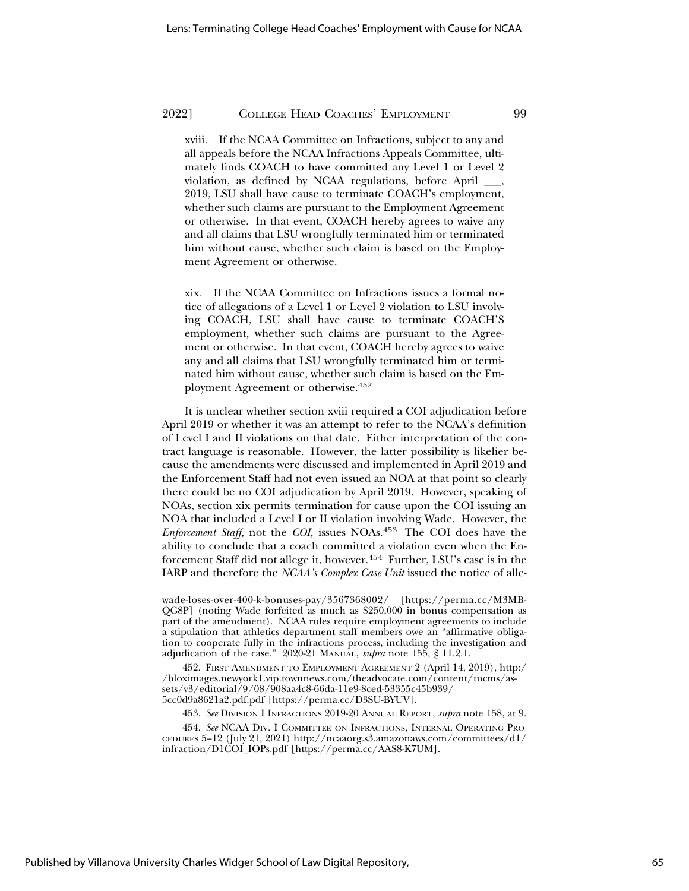xviii. If the NCAA Committee on Infractions, subject to any and all appeals before the NCAA Infractions Appeals Committee, ultimately finds COACH to have committed any Level 1 or Level 2 violation, as defined by NCAA regulations, before April \_\_\_, 2019, LSU shall have cause to terminate COACH's employment, whether such claims are pursuant to the Employment Agreement or otherwise. In that event, COACH hereby agrees to waive any and all claims that LSU wrongfully terminated him or terminated him without cause, whether such claim is based on the Employment Agreement or otherwise.

xix. If the NCAA Committee on Infractions issues a formal notice of allegations of a Level 1 or Level 2 violation to LSU involving COACH, LSU shall have cause to terminate COACH'S employment, whether such claims are pursuant to the Agreement or otherwise. In that event, COACH hereby agrees to waive any and all claims that LSU wrongfully terminated him or terminated him without cause, whether such claim is based on the Employment Agreement or otherwise.452

It is unclear whether section xviii required a COI adjudication before April 2019 or whether it was an attempt to refer to the NCAA's definition of Level I and II violations on that date. Either interpretation of the contract language is reasonable. However, the latter possibility is likelier because the amendments were discussed and implemented in April 2019 and the Enforcement Staff had not even issued an NOA at that point so clearly there could be no COI adjudication by April 2019. However, speaking of NOAs, section xix permits termination for cause upon the COI issuing an NOA that included a Level I or II violation involving Wade. However, the *Enforcement Staff*, not the *COI*, issues NOAs.453 The COI does have the ability to conclude that a coach committed a violation even when the Enforcement Staff did not allege it, however.454 Further, LSU's case is in the IARP and therefore the *NCAA's Complex Case Unit* issued the notice of alle-

453. *See* DIVISION I INFRACTIONS 2019-20 ANNUAL REPORT, *supra* note 158, at 9.

454. *See* NCAA DIV. I COMMITTEE ON INFRACTIONS, INTERNAL OPERATING PRO-CEDURES 5–12 (July 21, 2021) http://ncaaorg.s3.amazonaws.com/committees/d1/ infraction/D1COI\_IOPs.pdf [https://perma.cc/AAS8-K7UM].

wade-loses-over-400-k-bonuses-pay/3567368002/ [https://perma.cc/M3MB-QG8P] (noting Wade forfeited as much as \$250,000 in bonus compensation as part of the amendment). NCAA rules require employment agreements to include a stipulation that athletics department staff members owe an "affirmative obligation to cooperate fully in the infractions process, including the investigation and adjudication of the case." 2020-21 MANUAL, *supra* note 155, § 11.2.1.

<sup>452.</sup> FIRST AMENDMENT TO EMPLOYMENT AGREEMENT 2 (April 14, 2019), http:/ /bloximages.newyork1.vip.townnews.com/theadvocate.com/content/tncms/assets/v3/editorial/9/08/908aa4c8-66da-11e9-8ced-53355c45b939/ 5cc0d9a8621a2.pdf.pdf [https://perma.cc/D3SU-BYUV].